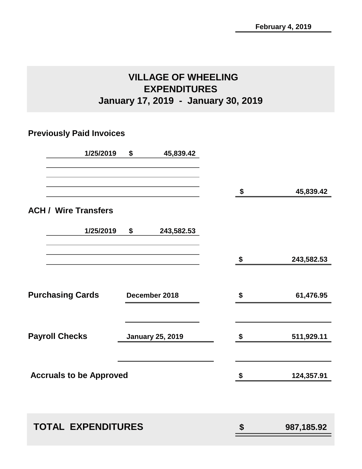# **VILLAGE OF WHEELING EXPENDITURES January 17, 2019 - January 30, 2019**

# **Previously Paid Invoices**

| 1/25/2019                      | \$<br>45,839.42         |                                 |              |
|--------------------------------|-------------------------|---------------------------------|--------------|
|                                |                         | \$                              | 45,839.42    |
| <b>ACH / Wire Transfers</b>    |                         |                                 |              |
| 1/25/2019                      | \$<br>243,582.53        |                                 |              |
|                                |                         | $\frac{\mathsf{s}}{\mathsf{t}}$ | 243,582.53   |
| <b>Purchasing Cards</b>        | December 2018           | \$                              | 61,476.95    |
| <b>Payroll Checks</b>          | <b>January 25, 2019</b> | \$                              | 511,929.11   |
| <b>Accruals to be Approved</b> |                         | \$                              | 124,357.91   |
| <b>TOTAL EXPENDITURES</b>      |                         | \$                              | 987, 185. 92 |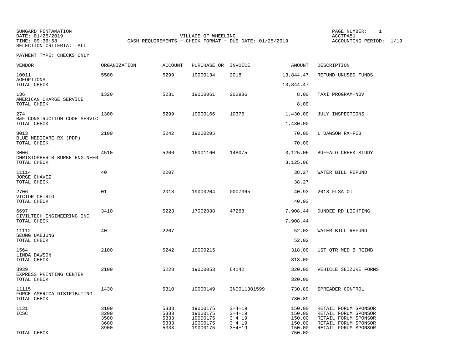SUNGARD PENTAMATION PAGE NUMBER: 1SELECTION CRITERIA: ALL

DATE: 01/25/2019 VILLAGE OF WHEELING ACCTPA51TIME: 09:36:58 CASH REQUIREMENTS - CHECK FORMAT - DUE DATE: 01/25/2019

ACCOUNTING PERIOD: 1/19

PAYMENT TYPE: CHECKS ONLY

| <b>VENDOR</b>                                      | ORGANIZATION                         | <b>ACCOUNT</b>                       | PURCHASE OR                                              | INVOICE                                                                      | AMOUNT                                         | DESCRIPTION                                                                                                          |
|----------------------------------------------------|--------------------------------------|--------------------------------------|----------------------------------------------------------|------------------------------------------------------------------------------|------------------------------------------------|----------------------------------------------------------------------------------------------------------------------|
| 10011<br><b>AGEOPTIONS</b>                         | 5500                                 | 5299                                 | 19000134                                                 | 2018                                                                         | 13,844.47                                      | REFUND UNUSED FUNDS                                                                                                  |
| TOTAL CHECK                                        |                                      |                                      |                                                          |                                                                              | 13,844.47                                      |                                                                                                                      |
| 136<br>AMERICAN CHARGE SERVICE                     | 1320                                 | 5231                                 | 19000061                                                 | 202986                                                                       | 8.00                                           | TAXI PROGRAM-NOV                                                                                                     |
| TOTAL CHECK                                        |                                      |                                      |                                                          |                                                                              | 8.00                                           |                                                                                                                      |
| 274<br>B&F CONSTRUCTION CODE SERVIC<br>TOTAL CHECK | 1300                                 | 5299                                 | 19000166                                                 | 10375                                                                        | 1,430.00<br>1,430.00                           | JULY INSPECTIONS                                                                                                     |
|                                                    |                                      |                                      |                                                          |                                                                              |                                                |                                                                                                                      |
| 8013<br>BLUE MEDICARE RX (PDP)<br>TOTAL CHECK      | 2100                                 | 5242                                 | 19000205                                                 |                                                                              | 70.00<br>70.00                                 | L DAWSON RX-FEB                                                                                                      |
| 3006<br>CHRISTOPHER B BURKE ENGINEER               | 4510                                 | 5206                                 | 16001160                                                 | 148075                                                                       | 3,125.06                                       | BUFFALO CREEK STUDY                                                                                                  |
| TOTAL CHECK                                        |                                      |                                      |                                                          |                                                                              | 3,125.06                                       |                                                                                                                      |
| 11114                                              | 40                                   | 2207                                 |                                                          |                                                                              | 38.27                                          | WATER BILL REFUND                                                                                                    |
| JORGE CHAVEZ<br>TOTAL CHECK                        |                                      |                                      |                                                          |                                                                              | 38.27                                          |                                                                                                                      |
| 2706<br>VICTOR CHIRIO                              | 01                                   | 2013                                 | 19000204                                                 | 0007365                                                                      | 40.93                                          | 2018 FLSA OT                                                                                                         |
| TOTAL CHECK                                        |                                      |                                      |                                                          |                                                                              | 40.93                                          |                                                                                                                      |
| 6697<br>CIVILTECH ENGINEERING INC                  | 3410                                 | 5223                                 | 17002088                                                 | 47268                                                                        | 7,908.44                                       | DUNDEE RD LIGHTING                                                                                                   |
| TOTAL CHECK                                        |                                      |                                      |                                                          |                                                                              | 7,908.44                                       |                                                                                                                      |
| 11112<br>SEUNG DAEJUNG                             | 40                                   | 2207                                 |                                                          |                                                                              | 52.02                                          | WATER BILL REFUND                                                                                                    |
| TOTAL CHECK                                        |                                      |                                      |                                                          |                                                                              | 52.02                                          |                                                                                                                      |
| 1564<br>LINDA DAWSON                               | 2100                                 | 5242                                 | 19000215                                                 |                                                                              | 318.00                                         | 1ST OTR MED B REIMB                                                                                                  |
| TOTAL CHECK                                        |                                      |                                      |                                                          |                                                                              | 318.00                                         |                                                                                                                      |
| 3939<br>EXPRESS PRINTING CENTER                    | 2100                                 | 5228                                 | 19000053                                                 | 64142                                                                        | 320.00                                         | VEHICLE SEIZURE FORMS                                                                                                |
| TOTAL CHECK                                        |                                      |                                      |                                                          |                                                                              | 320.00                                         |                                                                                                                      |
| 11115<br>FORCE AMERICA DISTRIBUTING L              | 1430                                 | 5310                                 | 19000149                                                 | IN0011301599                                                                 | 730.89                                         | SPREADER CONTROL                                                                                                     |
| TOTAL CHECK                                        |                                      |                                      |                                                          |                                                                              | 730.89                                         |                                                                                                                      |
| 1131<br>ICSC                                       | 3100<br>3200<br>3500<br>3600<br>3900 | 5333<br>5333<br>5333<br>5333<br>5333 | 19000175<br>19000175<br>19000175<br>19000175<br>19000175 | $3 - 4 - 19$<br>$3 - 4 - 19$<br>$3 - 4 - 19$<br>$3 - 4 - 19$<br>$3 - 4 - 19$ | 150.00<br>150.00<br>150.00<br>150.00<br>150.00 | RETAIL FORUM SPONSOR<br>RETAIL FORUM SPONSOR<br>RETAIL FORUM SPONSOR<br>RETAIL FORUM SPONSOR<br>RETAIL FORUM SPONSOR |
| TOTAL CHECK                                        |                                      |                                      |                                                          |                                                                              | 750.00                                         |                                                                                                                      |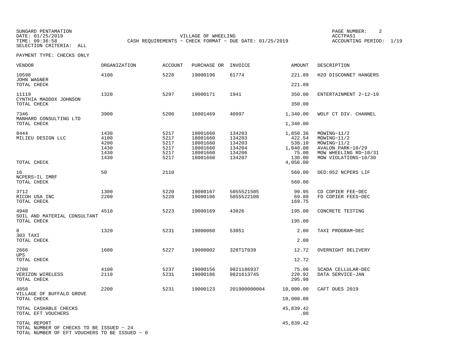SUNGARD PENTAMATION PAGE NUMBER: 2SELECTION CRITERIA: ALL

DATE: 01/25/2019 VILLAGE OF WHEELING ACCTPA51TIME: 09:36:58 CASH REQUIREMENTS - CHECK FORMAT - DUE DATE: 01/25/2019

ACCOUNTING PERIOD: 1/19

PAYMENT TYPE: CHECKS ONLY

| <b>VENDOR</b>                                                                                             | ORGANIZATION                                 | <b>ACCOUNT</b>                               | PURCHASE OR                                                          | INVOICE                                                  | <b>AMOUNT</b>                                               | DESCRIPTION                                                                                                     |
|-----------------------------------------------------------------------------------------------------------|----------------------------------------------|----------------------------------------------|----------------------------------------------------------------------|----------------------------------------------------------|-------------------------------------------------------------|-----------------------------------------------------------------------------------------------------------------|
| 10598<br>JOHN WAGNER                                                                                      | 4100                                         | 5228                                         | 19000196                                                             | 61774                                                    | 221.89                                                      | H2O DISCONNET HANGERS                                                                                           |
| TOTAL CHECK                                                                                               |                                              |                                              |                                                                      |                                                          | 221.89                                                      |                                                                                                                 |
| 11119<br>CYNTHIA MADDOX JOHNSON                                                                           | 1320                                         | 5297                                         | 19000171                                                             | 1941                                                     | 350.00                                                      | ENTERTAINMENT 2-12-19                                                                                           |
| TOTAL CHECK                                                                                               |                                              |                                              |                                                                      |                                                          | 350.00                                                      |                                                                                                                 |
| 7346<br>MANHARD CONSULTING LTD                                                                            | 3900                                         | 5206                                         | 16001469                                                             | 40997                                                    | 1,340.00                                                    | WOLF CT DIV. CHANNEL                                                                                            |
| TOTAL CHECK                                                                                               |                                              |                                              |                                                                      |                                                          | 1,340.00                                                    |                                                                                                                 |
| 8444<br>MILIEU DESIGN LLC                                                                                 | 1430<br>4100<br>4200<br>1430<br>1430<br>1430 | 5217<br>5217<br>5217<br>5217<br>5217<br>5217 | 18001660<br>18001660<br>18001660<br>18001660<br>18001660<br>18001660 | 134203<br>134203<br>134203<br>134204<br>134206<br>134207 | 1,850.36<br>422.54<br>538.10<br>1,040.00<br>75.00<br>130.00 | MOWING-11/2<br>MOWING-11/2<br>MOWING-11/2<br>AVALON PARK-10/29<br>MOW WHEELING RD-10/31<br>MOW VIOLATIONS-10/30 |
| TOTAL CHECK                                                                                               |                                              |                                              |                                                                      |                                                          | 4,056.00                                                    |                                                                                                                 |
| 16<br>NCPERS-IL IMRF                                                                                      | 50                                           | 2110                                         |                                                                      |                                                          | 560.00                                                      | DED:052 NCPERS LIF                                                                                              |
| TOTAL CHECK                                                                                               |                                              |                                              |                                                                      |                                                          | 560.00                                                      |                                                                                                                 |
| 3712<br>RICOH USA INC<br>TOTAL CHECK                                                                      | 1300<br>2200                                 | 5220<br>5220                                 | 19000167<br>19000106                                                 | 5055521505<br>5055522108                                 | 99.95<br>69.80<br>169.75                                    | CD COPIER FEE-DEC<br>FD COPIER FEES-DEC                                                                         |
| 4948<br>SOIL AND MATERIAL CONSULTANT                                                                      | 4510                                         | 5223                                         | 19000169                                                             | 43826                                                    | 195.00                                                      | CONCRETE TESTING                                                                                                |
| TOTAL CHECK                                                                                               |                                              |                                              |                                                                      |                                                          | 195.00                                                      |                                                                                                                 |
| 8<br>303 TAXI                                                                                             | 1320                                         | 5231                                         | 19000060                                                             | 53051                                                    | 2.00                                                        | TAXI PROGRAM-DEC                                                                                                |
| TOTAL CHECK                                                                                               |                                              |                                              |                                                                      |                                                          | 2.00                                                        |                                                                                                                 |
| 2666<br><b>UPS</b>                                                                                        | 1600                                         | 5227                                         | 19000002                                                             | 328T1T039                                                | 12.72                                                       | OVERNIGHT DELIVERY                                                                                              |
| TOTAL CHECK                                                                                               |                                              |                                              |                                                                      |                                                          | 12.72                                                       |                                                                                                                 |
| 2700<br>VERIZON WIRELESS<br>TOTAL CHECK                                                                   | 4100<br>2110                                 | 5237<br>5231                                 | 19000156<br>19000186                                                 | 9821186937<br>9821613745                                 | 75.06<br>220.92<br>295.98                                   | SCADA CELLULAR-DEC<br>DATA SERVICE-JAN                                                                          |
| 4858                                                                                                      | 2200                                         | 5231                                         | 19000123                                                             | 201900000004                                             | 10,000.00                                                   | CAFT DUES 2019                                                                                                  |
| VILLAGE OF BUFFALO GROVE<br>TOTAL CHECK                                                                   |                                              |                                              |                                                                      |                                                          | 10,000.00                                                   |                                                                                                                 |
| TOTAL CASHABLE CHECKS<br>TOTAL EFT VOUCHERS                                                               |                                              |                                              |                                                                      |                                                          | 45,839.42<br>.00                                            |                                                                                                                 |
| TOTAL REPORT<br>TOTAL NUMBER OF CHECKS TO BE ISSUED - 24<br>TOTAL NUMBER OF EFT VOUCHERS TO BE ISSUED - 0 |                                              |                                              |                                                                      |                                                          | 45,839.42                                                   |                                                                                                                 |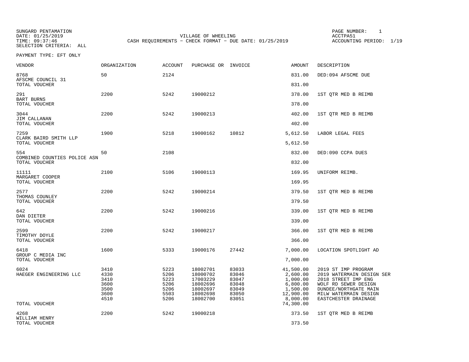SUNGARD PENTAMATION PAGE NUMBER: 1SELECTION CRITERIA: ALL

DATE: 01/25/2019 VILLAGE OF WHEELING ACCTPA51TIME: 09:37:46 CASH REQUIREMENTS - CHECK FORMAT - DUE DATE: 01/25/2019

ACCOUNTING PERIOD: 1/19

PAYMENT TYPE: EFT ONLY

| VENDOR                                        | ORGANIZATION                                         | ACCOUNT                                              | PURCHASE OR INVOICE                                                              |                                                             | AMOUNT                                                                             | DESCRIPTION                                                                                                                                                               |
|-----------------------------------------------|------------------------------------------------------|------------------------------------------------------|----------------------------------------------------------------------------------|-------------------------------------------------------------|------------------------------------------------------------------------------------|---------------------------------------------------------------------------------------------------------------------------------------------------------------------------|
| 8768<br>AFSCME COUNCIL 31                     | 50                                                   | 2124                                                 |                                                                                  |                                                             | 831.00                                                                             | DED:094 AFSCME DUE                                                                                                                                                        |
| TOTAL VOUCHER                                 |                                                      |                                                      |                                                                                  |                                                             | 831.00                                                                             |                                                                                                                                                                           |
| 291<br><b>BART BURNS</b><br>TOTAL VOUCHER     | 2200                                                 | 5242                                                 | 19000212                                                                         |                                                             | 378.00<br>378.00                                                                   | 1ST QTR MED B REIMB                                                                                                                                                       |
|                                               |                                                      |                                                      |                                                                                  |                                                             |                                                                                    |                                                                                                                                                                           |
| 3044<br>JIM CALLANAN<br>TOTAL VOUCHER         | 2200                                                 | 5242                                                 | 19000213                                                                         |                                                             | 402.00<br>402.00                                                                   | 1ST QTR MED B REIMB                                                                                                                                                       |
| 7259                                          | 1900                                                 | 5218                                                 | 19000162                                                                         | 10812                                                       | 5,612.50                                                                           | LABOR LEGAL FEES                                                                                                                                                          |
| CLARK BAIRD SMITH LLP<br>TOTAL VOUCHER        |                                                      |                                                      |                                                                                  |                                                             | 5,612.50                                                                           |                                                                                                                                                                           |
| 554                                           | 50                                                   | 2108                                                 |                                                                                  |                                                             | 832.00                                                                             | DED:090 CCPA DUES                                                                                                                                                         |
| COMBINED COUNTIES POLICE ASN<br>TOTAL VOUCHER |                                                      |                                                      |                                                                                  |                                                             | 832.00                                                                             |                                                                                                                                                                           |
| 11111                                         | 2100                                                 | 5106                                                 | 19000113                                                                         |                                                             | 169.95                                                                             | UNIFORM REIMB.                                                                                                                                                            |
| MARGARET COOPER<br>TOTAL VOUCHER              |                                                      |                                                      |                                                                                  |                                                             | 169.95                                                                             |                                                                                                                                                                           |
| 2577                                          | 2200                                                 | 5242                                                 | 19000214                                                                         |                                                             | 379.50                                                                             | 1ST QTR MED B REIMB                                                                                                                                                       |
| THOMAS COUNLEY<br>TOTAL VOUCHER               |                                                      |                                                      |                                                                                  |                                                             | 379.50                                                                             |                                                                                                                                                                           |
| 642                                           | 2200                                                 | 5242                                                 | 19000216                                                                         |                                                             | 339.00                                                                             | 1ST QTR MED B REIMB                                                                                                                                                       |
| DAN DIETER<br>TOTAL VOUCHER                   |                                                      |                                                      |                                                                                  |                                                             | 339.00                                                                             |                                                                                                                                                                           |
| 2599                                          | 2200                                                 | 5242                                                 | 19000217                                                                         |                                                             | 366.00                                                                             | 1ST QTR MED B REIMB                                                                                                                                                       |
| TIMOTHY DOYLE<br>TOTAL VOUCHER                |                                                      |                                                      |                                                                                  |                                                             | 366.00                                                                             |                                                                                                                                                                           |
| 6418                                          | 1600                                                 | 5333                                                 | 19000176                                                                         | 27442                                                       | 7,000.00                                                                           | LOCATION SPOTLIGHT AD                                                                                                                                                     |
| GROUP C MEDIA INC<br>TOTAL VOUCHER            |                                                      |                                                      |                                                                                  |                                                             | 7,000.00                                                                           |                                                                                                                                                                           |
| 6024<br>HAEGER ENGINEERING LLC                | 3410<br>4330<br>3410<br>3600<br>3500<br>3600<br>4510 | 5223<br>5206<br>5223<br>5206<br>5206<br>5503<br>5206 | 18002701<br>18000702<br>17003229<br>18002696<br>18002697<br>18002698<br>18002700 | 83033<br>83046<br>83047<br>83048<br>83049<br>83050<br>83051 | 41,500.00<br>2,600.00<br>1,000.00<br>6,800.00<br>1,500.00<br>12,900.00<br>8,000.00 | 2019 ST IMP PROGRAM<br>2019 WATERMAIN DESIGN SER<br>2018 STREET IMP ENG<br>WOLF RD SEWER DESIGN<br>DUNDEE/NORTHGATE MAIN<br>MILW WATERMAIN DESIGN<br>EASTCHESTER DRAINAGE |
| TOTAL VOUCHER                                 |                                                      |                                                      |                                                                                  |                                                             | 74,300.00                                                                          |                                                                                                                                                                           |
| 4268<br>WILLIAM HENRY                         | 2200                                                 | 5242                                                 | 19000218                                                                         |                                                             | 373.50                                                                             | 1ST QTR MED B REIMB                                                                                                                                                       |
| TOTAL VOUCHER                                 |                                                      |                                                      |                                                                                  |                                                             | 373.50                                                                             |                                                                                                                                                                           |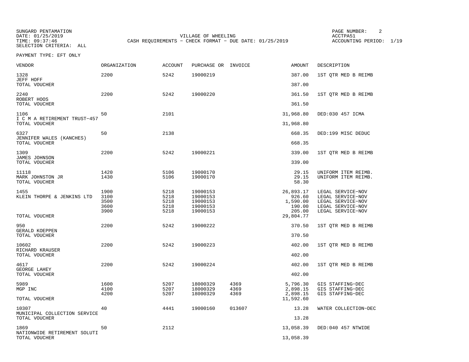SELECTION CRITERIA: ALL

SUNGARD PENTAMATION PAGE NUMBER: 2VILLAGE OF WHEELING **ACCTPA51** TIME: 09:37:46 CASH REQUIREMENTS - CHECK FORMAT - DUE DATE: 01/25/2019

ACCOUNTING PERIOD: 1/19

PAYMENT TYPE: EFT ONLY

| <b>VENDOR</b>                                 | ORGANIZATION                         | <b>ACCOUNT</b>                       | PURCHASE OR INVOICE                                      |                      | <b>AMOUNT</b>                                       | DESCRIPTION                                                                                           |
|-----------------------------------------------|--------------------------------------|--------------------------------------|----------------------------------------------------------|----------------------|-----------------------------------------------------|-------------------------------------------------------------------------------------------------------|
| 1328<br>JEFF HOFF                             | 2200                                 | 5242                                 | 19000219                                                 |                      | 387.00                                              | 1ST QTR MED B REIMB                                                                                   |
| TOTAL VOUCHER                                 |                                      |                                      |                                                          |                      | 387.00                                              |                                                                                                       |
| 2240<br>ROBERT HOOS                           | 2200                                 | 5242                                 | 19000220                                                 |                      | 361.50                                              | 1ST QTR MED B REIMB                                                                                   |
| TOTAL VOUCHER                                 |                                      |                                      |                                                          |                      | 361.50                                              |                                                                                                       |
| 1106<br>I C M A RETIREMENT TRUST-457          | 50                                   | 2101                                 |                                                          |                      | 31,968.80                                           | DED:030 457 ICMA                                                                                      |
| TOTAL VOUCHER                                 |                                      |                                      |                                                          |                      | 31,968.80                                           |                                                                                                       |
| 6327<br>JENNIFER WALES (KANCHES)              | 50                                   | 2138                                 |                                                          |                      | 668.35<br>668.35                                    | DED:199 MISC DEDUC                                                                                    |
| TOTAL VOUCHER                                 |                                      |                                      |                                                          |                      |                                                     |                                                                                                       |
| 1309<br><b>JAMES JOHNSON</b>                  | 2200                                 | 5242                                 | 19000221                                                 |                      | 339.00                                              | 1ST OTR MED B REIMB                                                                                   |
| TOTAL VOUCHER                                 |                                      |                                      |                                                          |                      | 339.00                                              |                                                                                                       |
| 11118<br>MARK JOHNSTON JR<br>TOTAL VOUCHER    | 1420<br>1430                         | 5106<br>5106                         | 19000170<br>19000170                                     |                      | 29.15<br>29.15<br>58.30                             | UNIFORM ITEM REIMB.<br>UNIFORM ITEM REIMB.                                                            |
| 1455<br>KLEIN THORPE & JENKINS LTD            | 1900<br>3100<br>3500<br>3600<br>3900 | 5218<br>5218<br>5218<br>5218<br>5218 | 19000153<br>19000153<br>19000153<br>19000153<br>19000153 |                      | 26,893.17<br>926.60<br>1,590.00<br>190.00<br>205.00 | LEGAL SERVICE-NOV<br>LEGAL SERVICE-NOV<br>LEGAL SERVICE-NOV<br>LEGAL SERVICE-NOV<br>LEGAL SERVICE-NOV |
| TOTAL VOUCHER                                 |                                      |                                      |                                                          |                      | 29,804.77                                           |                                                                                                       |
| 950<br>GERALD KOEPPEN                         | 2200                                 | 5242                                 | 19000222                                                 |                      | 370.50                                              | 1ST QTR MED B REIMB                                                                                   |
| TOTAL VOUCHER                                 |                                      |                                      |                                                          |                      | 370.50                                              |                                                                                                       |
| 10602<br>RICHARD KRAUSER                      | 2200                                 | 5242                                 | 19000223                                                 |                      | 402.00                                              | 1ST OTR MED B REIMB                                                                                   |
| TOTAL VOUCHER                                 |                                      |                                      |                                                          |                      | 402.00                                              |                                                                                                       |
| 4617<br>GEORGE LAHEY                          | 2200                                 | 5242                                 | 19000224                                                 |                      | 402.00                                              | 1ST QTR MED B REIMB                                                                                   |
| TOTAL VOUCHER                                 |                                      |                                      |                                                          |                      | 402.00                                              |                                                                                                       |
| 5989<br>MGP INC                               | 1600<br>4100<br>4200                 | 5207<br>5207<br>5207                 | 18000329<br>18000329<br>18000329                         | 4369<br>4369<br>4369 | 5,796.30<br>2,898.15<br>2,898.15                    | GIS STAFFING-DEC<br>GIS STAFFING-DEC<br>GIS STAFFING-DEC                                              |
| TOTAL VOUCHER                                 |                                      |                                      |                                                          |                      | 11,592.60                                           |                                                                                                       |
| 10307<br>MUNICIPAL COLLECTION SERVICE         | 40                                   | 4441                                 | 19000160                                                 | 013607               | 13.28                                               | WATER COLLECTION-DEC                                                                                  |
| TOTAL VOUCHER                                 |                                      |                                      |                                                          |                      | 13.28                                               |                                                                                                       |
| 1869                                          | 50                                   | 2112                                 |                                                          |                      | 13,058.39                                           | DED:040 457 NTWIDE                                                                                    |
| NATIONWIDE RETIREMENT SOLUTI<br>TOTAL VOUCHER |                                      |                                      |                                                          |                      | 13,058.39                                           |                                                                                                       |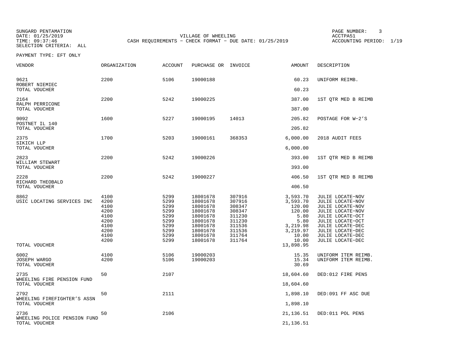SUNGARD PENTAMATION PAGE NUMBER: 3SELECTION CRITERIA: ALL

VILLAGE OF WHEELING **ACCTPA51** TIME: 09:37:46 CASH REQUIREMENTS - CHECK FORMAT - DUE DATE: 01/25/2019

ACCOUNTING PERIOD: 1/19

PAYMENT TYPE: EFT ONLY

| <b>VENDOR</b>                            | <b>ORGANIZATION</b>                                                          | <b>ACCOUNT</b>                                                               | PURCHASE OR INVOICE                                                                                                  |                                                                                                  | <b>AMOUNT</b>                                                                                      | DESCRIPTION                                                                                                                                                                                          |
|------------------------------------------|------------------------------------------------------------------------------|------------------------------------------------------------------------------|----------------------------------------------------------------------------------------------------------------------|--------------------------------------------------------------------------------------------------|----------------------------------------------------------------------------------------------------|------------------------------------------------------------------------------------------------------------------------------------------------------------------------------------------------------|
| 9621<br>ROBERT NIEMIEC                   | 2200                                                                         | 5106                                                                         | 19000188                                                                                                             |                                                                                                  | 60.23                                                                                              | UNIFORM REIMB.                                                                                                                                                                                       |
| TOTAL VOUCHER                            |                                                                              |                                                                              |                                                                                                                      |                                                                                                  | 60.23                                                                                              |                                                                                                                                                                                                      |
| 2164<br>RALPH PERRICONE<br>TOTAL VOUCHER | 2200                                                                         | 5242                                                                         | 19000225                                                                                                             |                                                                                                  | 387.00<br>387.00                                                                                   | 1ST QTR MED B REIMB                                                                                                                                                                                  |
| 9092<br>POSTNET IL 140                   | 1600                                                                         | 5227                                                                         | 19000195                                                                                                             | 14013                                                                                            | 205.82                                                                                             | POSTAGE FOR W-2'S                                                                                                                                                                                    |
| TOTAL VOUCHER                            |                                                                              |                                                                              |                                                                                                                      |                                                                                                  | 205.82                                                                                             |                                                                                                                                                                                                      |
| 2375<br>SIKICH LLP                       | 1700                                                                         | 5203                                                                         | 19000161                                                                                                             | 368353                                                                                           | 6,000.00                                                                                           | 2018 AUDIT FEES                                                                                                                                                                                      |
| TOTAL VOUCHER                            |                                                                              |                                                                              |                                                                                                                      |                                                                                                  | 6,000.00                                                                                           |                                                                                                                                                                                                      |
| 2823                                     | 2200                                                                         | 5242                                                                         | 19000226                                                                                                             |                                                                                                  | 393.00                                                                                             | 1ST QTR MED B REIMB                                                                                                                                                                                  |
| WILLIAM STEWART<br>TOTAL VOUCHER         |                                                                              |                                                                              |                                                                                                                      |                                                                                                  | 393.00                                                                                             |                                                                                                                                                                                                      |
| 2228<br>RICHARD THEOBALD                 | 2200                                                                         | 5242                                                                         | 19000227                                                                                                             |                                                                                                  | 406.50                                                                                             | 1ST QTR MED B REIMB                                                                                                                                                                                  |
| TOTAL VOUCHER                            |                                                                              |                                                                              |                                                                                                                      |                                                                                                  | 406.50                                                                                             |                                                                                                                                                                                                      |
| 8862<br>USIC LOCATING SERVICES INC       | 4100<br>4200<br>4100<br>4200<br>4100<br>4200<br>4100<br>4200<br>4100<br>4200 | 5299<br>5299<br>5299<br>5299<br>5299<br>5299<br>5299<br>5299<br>5299<br>5299 | 18001678<br>18001678<br>18001678<br>18001678<br>18001678<br>18001678<br>18001678<br>18001678<br>18001678<br>18001678 | 307916<br>307916<br>308347<br>308347<br>311230<br>311230<br>311536<br>311536<br>311764<br>311764 | 3,593.70<br>3,593.70<br>120.00<br>120.00<br>5.80<br>5.80<br>3,219.98<br>3,219.97<br>10.00<br>10.00 | JULIE LOCATE-NOV<br>JULIE LOCATE-NOV<br>JULIE LOCATE-NOV<br>JULIE LOCATE-NOV<br>JULIE LOCATE-OCT<br>JULIE LOCATE-OCT<br>JULIE LOCATE-DEC<br>JULIE LOCATE-DEC<br>JULIE LOCATE-DEC<br>JULIE LOCATE-DEC |
| TOTAL VOUCHER                            |                                                                              |                                                                              |                                                                                                                      |                                                                                                  | 13,898.95                                                                                          |                                                                                                                                                                                                      |
| 6002<br>JOSEPH WARGO<br>TOTAL VOUCHER    | 4100<br>4200                                                                 | 5106<br>5106                                                                 | 19000203<br>19000203                                                                                                 |                                                                                                  | 15.35<br>15.34<br>30.69                                                                            | UNIFORM ITEM REIMB.<br>UNIFORM ITEM REIMB.                                                                                                                                                           |
| 2735<br>WHEELING FIRE PENSION FUND       | 50                                                                           | 2107                                                                         |                                                                                                                      |                                                                                                  | 18,604.60                                                                                          | DED:012 FIRE PENS                                                                                                                                                                                    |
| TOTAL VOUCHER                            |                                                                              |                                                                              |                                                                                                                      |                                                                                                  | 18,604.60                                                                                          |                                                                                                                                                                                                      |
| 2792<br>WHEELING FIREFIGHTER'S ASSN      | 50                                                                           | 2111                                                                         |                                                                                                                      |                                                                                                  | 1,898.10                                                                                           | DED:091 FF ASC DUE                                                                                                                                                                                   |
| TOTAL VOUCHER                            |                                                                              |                                                                              |                                                                                                                      |                                                                                                  | 1,898.10                                                                                           |                                                                                                                                                                                                      |
| 2736<br>WHEELING POLICE PENSION FUND     | 50                                                                           | 2106                                                                         |                                                                                                                      |                                                                                                  | 21,136.51                                                                                          | DED:011 POL PENS                                                                                                                                                                                     |
| TOTAL VOUCHER                            |                                                                              |                                                                              |                                                                                                                      |                                                                                                  | 21,136.51                                                                                          |                                                                                                                                                                                                      |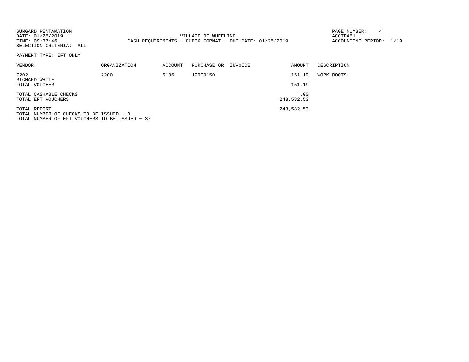| SUNGARD PENTAMATION<br>DATE: 01/25/2019<br>TIME: 09:37:46<br>SELECTION CRITERIA: ALL                      |                     | 4<br>PAGE NUMBER:<br>VILLAGE OF WHEELING<br>ACCTPA51<br>CASH REOUIREMENTS - CHECK FORMAT - DUE DATE: 01/25/2019<br>ACCOUNTING PERIOD: 1/19<br>DESCRIPTION<br>ACCOUNT<br>PURCHASE OR<br>INVOICE<br>AMOUNT<br>19000150<br>151.19<br>5106<br>WORK BOOTS<br>151.19<br>.00<br>243,582.53<br>243,582.53 |  |  |  |  |
|-----------------------------------------------------------------------------------------------------------|---------------------|---------------------------------------------------------------------------------------------------------------------------------------------------------------------------------------------------------------------------------------------------------------------------------------------------|--|--|--|--|
| PAYMENT TYPE: EFT ONLY                                                                                    |                     |                                                                                                                                                                                                                                                                                                   |  |  |  |  |
| VENDOR                                                                                                    | <b>ORGANIZATION</b> |                                                                                                                                                                                                                                                                                                   |  |  |  |  |
| 7202<br>RICHARD WHITE<br>TOTAL VOUCHER                                                                    | 2200                |                                                                                                                                                                                                                                                                                                   |  |  |  |  |
|                                                                                                           |                     |                                                                                                                                                                                                                                                                                                   |  |  |  |  |
| TOTAL CASHABLE CHECKS<br>TOTAL EFT VOUCHERS                                                               |                     |                                                                                                                                                                                                                                                                                                   |  |  |  |  |
| TOTAL REPORT<br>TOTAL NUMBER OF CHECKS TO BE ISSUED - 0<br>TOTAL NUMBER OF EFT VOUCHERS TO BE ISSUED - 37 |                     |                                                                                                                                                                                                                                                                                                   |  |  |  |  |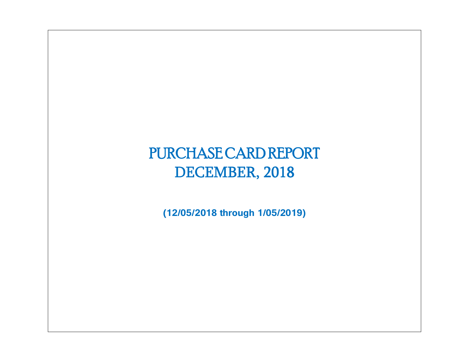# PURCHASE CARD REPORT DECEMBER, 2018

**(12/05/2018 through 1/05/2019)**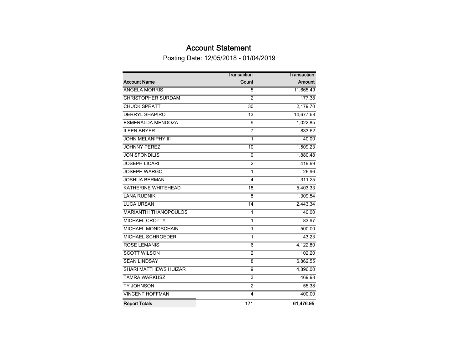# Account Statement

Posting Date: 12/05/2018 - 01/04/2019

|                              | <b>Transaction</b>      | Transaction |
|------------------------------|-------------------------|-------------|
| <b>Account Name</b>          | Count                   | Amount      |
| <b>ANGELA MORRIS</b>         | 5                       | 11,665.49   |
| <b>CHRISTOPHER SURDAM</b>    | $\overline{2}$          | 177.38      |
| <b>CHUCK SPRATT</b>          | $\overline{30}$         | 2,179.70    |
| <b>DERRYL SHAPIRO</b>        | $\overline{13}$         | 14,677.68   |
| <b>ESMERALDA MENDOZA</b>     | $\overline{9}$          | 1,022.85    |
| <b>ILEEN BRYER</b>           | 7                       | 833.62      |
| <b>JOHN MELANIPHY III</b>    | 1                       | 40.00       |
| <b>JOHNNY PEREZ</b>          | 10                      | 1,509.23    |
| <b>JON SFONDILIS</b>         | 9                       | 1,880.48    |
| <b>JOSEPH LICARI</b>         | $\overline{2}$          | 419.99      |
| <b>JOSEPH WARGO</b>          | $\mathbf{1}$            | 26.96       |
| <b>JOSHUA BERMAN</b>         | 4                       | 311.25      |
| <b>KATHERINE WHITEHEAD</b>   | 18                      | 5,403.33    |
| <b>LANA RUDNIK</b>           | $\overline{8}$          | 1,309.54    |
| <b>LUCA URSAN</b>            | 14                      | 2,443.34    |
| <b>MARIANTHI THANOPOULOS</b> | 1                       | 40.00       |
| <b>MICHAEL CROTTY</b>        | $\mathbf{1}$            | 83.97       |
| <b>MICHAEL MONDSCHAIN</b>    | $\overline{1}$          | 500.00      |
| <b>MICHAEL SCHROEDER</b>     | $\mathbf{1}$            | 43.23       |
| <b>ROSE LEMANIS</b>          | $\overline{6}$          | 4,122.80    |
| <b>SCOTT WILSON</b>          | $\overline{2}$          | 102.20      |
| <b>SEAN LINDSAY</b>          | 8                       | 6,862.55    |
| <b>SHARI MATTHEWS HUIZAR</b> | $\overline{9}$          | 4,896.00    |
| <b>TAMRA WARKUSZ</b>         | $\overline{\mathbf{3}}$ | 469.98      |
| <b>TY JOHNSON</b>            | $\overline{2}$          | 55.38       |
| <b>VINCENT HOFFMAN</b>       | 4                       | 400.00      |
| <b>Report Totals</b>         | 171                     | 61,476.95   |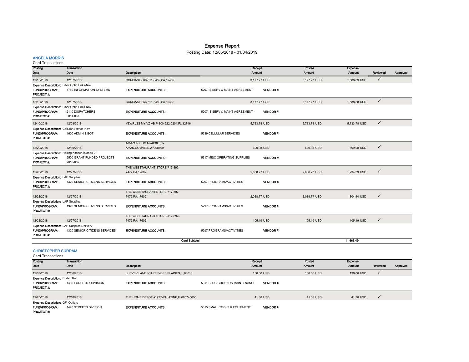# Expense Report

Posting Date: 12/05/2018 - 01/04/2019

# ANGELA MORRIS

Card Transactions

| Posting<br>Dato                                                        | Transaction<br>Date                            | <b>Description</b>                              |                                | <b>Receipt</b><br>Amount | Posted<br><b>Amount</b> | <b>Expense</b><br><b>Amount</b> | Reviewed     | Approved |
|------------------------------------------------------------------------|------------------------------------------------|-------------------------------------------------|--------------------------------|--------------------------|-------------------------|---------------------------------|--------------|----------|
| 12/10/2018                                                             | 12/07/2018                                     | COMCAST-866-511-6489, PA, 19462                 |                                | 3,177.77 USD             | 3,177.77 USD            | 1,588.89 USD                    | $\checkmark$ |          |
|                                                                        | Expense Description: Fiber Optic Links-Nov     |                                                 |                                |                          |                         |                                 |              |          |
| <b>FUND/PROGRAM:</b><br>PROJECT #:                                     | 1750 INFORMATION SYSTEMS                       | <b>EXPENDITURE ACCOUNTS:</b>                    | 5207 IS SERV & MAINT AGREEMENT | <b>VENDOR#</b>           |                         |                                 |              |          |
| 12/10/2018                                                             | 12/07/2018                                     | COMCAST-866-511-6489, PA, 19462                 |                                | 3,177.77 USD             | 3.177.77 USD            | 1,588.88 USD                    | $\checkmark$ |          |
|                                                                        | Expense Description: Fiber Optic Links-Nov     |                                                 |                                |                          |                         |                                 |              |          |
| <b>FUND/PROGRAM:</b><br>PROJECT#:                                      | 2110 DISPATCHERS<br>2014-037                   | <b>EXPENDITURE ACCOUNTS:</b>                    | 5207 IS SERV & MAINT AGREEMENT | <b>VENDOR#:</b>          |                         |                                 |              |          |
| 12/10/2018                                                             | 12/08/2018                                     | VZWRLSS MY VZ VB P-800-922-0204,FL,32746        |                                | 5,733.78 USD             | 5,733.78 USD            | 5,733.78 USD                    | $\checkmark$ |          |
|                                                                        | Expense Description: Cellular Service-Nov      |                                                 |                                |                          |                         |                                 |              |          |
| FUND/PROGRAM:<br><b>PROJECT#:</b>                                      | 1600 ADMIN & BOT                               | <b>EXPENDITURE ACCOUNTS:</b>                    | 5239 CELLULAR SERVICES         | <b>VENDOR#:</b>          |                         |                                 |              |          |
| 12/20/2018                                                             | 12/19/2018                                     | AMAZON.COM M24IQ8E32-<br>AMZN.COM/BILL.WA.98109 |                                | 609.98 USD               | 609.98 USD              | 609.98 USD                      | $\checkmark$ |          |
|                                                                        | Expense Description: Rolling Kitchen Islands-2 |                                                 |                                |                          |                         |                                 |              |          |
| <b>FUND/PROGRAM:</b><br>PROJECT #:                                     | 5500 GRANT FUNDED PROJECTS<br>2018-032         | <b>EXPENDITURE ACCOUNTS:</b>                    | 5317 MISC OPERATING SUPPLIES   | <b>VENDOR#:</b>          |                         |                                 |              |          |
|                                                                        |                                                | THE WEBSTAURANT STORE-717-392-                  |                                |                          |                         |                                 | $\checkmark$ |          |
| 12/28/2018<br><b>Expense Description: LAP Supplies</b>                 | 12/27/2018                                     | 7472, PA, 17602                                 |                                | 2,038.77 USD             | 2,038.77 USD            | 1,234.33 USD                    |              |          |
| <b>FUND/PROGRAM:</b><br>PROJECT#:                                      | 1320 SENIOR CITIZENS SERVICES                  | <b>EXPENDITURE ACCOUNTS:</b>                    | 5297 PROGRAMS/ACTIVITIES       | <b>VENDOR#:</b>          |                         |                                 |              |          |
|                                                                        |                                                | THE WEBSTAURANT STORE-717-392-                  |                                |                          |                         |                                 | $\checkmark$ |          |
| 12/28/2018                                                             | 12/27/2018                                     | 7472, PA, 17602                                 |                                | 2.038.77 USD             | 2.038.77 USD            | 804.44 USD                      |              |          |
| Expense Description: LAP Supplies<br><b>FUND/PROGRAM:</b><br>PROJECT#: | 1320 SENIOR CITIZENS SERVICES                  | <b>EXPENDITURE ACCOUNTS:</b>                    | 5297 PROGRAMS/ACTIVITIES       | <b>VENDOR#:</b>          |                         |                                 |              |          |
|                                                                        |                                                | THE WEBSTAURANT STORE-717-392-                  |                                |                          |                         |                                 |              |          |
| 12/28/2018                                                             | 12/27/2018                                     | 7472, PA, 17602                                 |                                | 105.19 USD               | 105.19 USD              | 105.19 USD                      | $\checkmark$ |          |
|                                                                        | Expense Description: LAP Supplies Delivery     |                                                 |                                |                          |                         |                                 |              |          |
| <b>FUND/PROGRAM:</b><br>PROJECT#:                                      | 1320 SENIOR CITIZENS SERVICES                  | <b>EXPENDITURE ACCOUNTS:</b>                    | 5297 PROGRAMS/ACTIVITIES       | <b>VENDOR#:</b>          |                         |                                 |              |          |
|                                                                        |                                                | <b>Card Subtotal</b>                            |                                |                          |                         | 11.665.49                       |              |          |
| <b>CHRISTOPHER SURDAM</b><br><b>Card Transactions</b>                  |                                                |                                                 |                                |                          |                         |                                 |              |          |
| Posting                                                                | <b>Transaction</b>                             |                                                 |                                | Receipt                  | Posted                  | <b>Expense</b>                  |              |          |

| Posting                                                                             | Transaction            |                                              | <b>Receipt</b>                                   | Posted        | Expense    |              |          |
|-------------------------------------------------------------------------------------|------------------------|----------------------------------------------|--------------------------------------------------|---------------|------------|--------------|----------|
| Date                                                                                | Date                   | <b>Description</b>                           | Amount                                           | <b>Amount</b> | Amount     | Reviewed     | Approved |
| 12/07/2018                                                                          | 12/06/2018             | LURVEY LANDSCAPE S-DES PLAINES, IL, 60016    | 136,00 USD                                       | 136,00 USD    | 136,00 USD | $\checkmark$ |          |
| <b>Expense Description: Burlap Roll</b><br><b>FUND/PROGRAM:</b><br><b>PROJECT#:</b> | 1430 FORESTRY DIVISION | <b>EXPENDITURE ACCOUNTS:</b>                 | 5311 BLDG/GROUNDS MAINTENANCE<br><b>VENDOR#:</b> |               |            |              |          |
| 12/20/2018                                                                          | 12/18/2018             | THE HOME DEPOT #1927-PALATINE, IL, 600740000 | 41.38 USD                                        | 41.38 USD     | 41.38 USD  | $\checkmark$ |          |
| <b>Expense Description: GFI Outlets</b><br><b>FUND/PROGRAM:</b><br>PROJECT#:        | 1420 STREETS DIVISION  | <b>EXPENDITURE ACCOUNTS:</b>                 | <b>VENDOR#:</b><br>5315 SMALL TOOLS & EQUIPMENT  |               |            |              |          |

L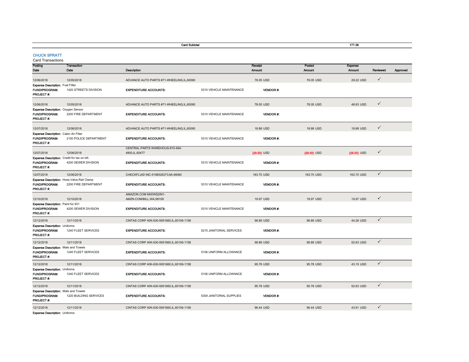|                                                                            |                                                                      | <b>Card Subtotal</b>                               |                          |                   |                         | 177.38                   |              |          |
|----------------------------------------------------------------------------|----------------------------------------------------------------------|----------------------------------------------------|--------------------------|-------------------|-------------------------|--------------------------|--------------|----------|
| <b>CHUCK SPRATT</b><br><b>Card Transactions</b>                            |                                                                      |                                                    |                          |                   |                         |                          |              |          |
| Posting<br>Date                                                            | Transaction<br>Date                                                  | Description                                        |                          | Receipt<br>Amount | Posted<br><b>Amount</b> | <b>Expense</b><br>Amount | Reviewed     | Approved |
| 12/06/2018                                                                 | 12/05/2018                                                           | ADVANCE AUTO PARTS #71-WHEELING,IL,60090           |                          | 78.05 USD         | 78.05 USD               | 29.22 USD                | $\checkmark$ |          |
| Expense Description: Fuel Filter<br>FUND/PROGRAM:<br>PROJECT #:            | 1420 STREETS DIVISION                                                | <b>EXPENDITURE ACCOUNTS:</b>                       | 5310 VEHICLE MAINTENANCE | VENDOR #          |                         |                          |              |          |
| 12/06/2018                                                                 | 12/05/2018                                                           | ADVANCE AUTO PARTS #71-WHEELING,IL,60090           |                          | 78.05 USD         | 78.05 USD               | 48.83 USD                | $\checkmark$ |          |
| Expense Description: Oxygen Sensor<br>FUND/PROGRAM:<br>PROJECT#:           | 2200 FIRE DEPARTMENT                                                 | <b>EXPENDITURE ACCOUNTS:</b>                       | 5310 VEHICLE MAINTENANCE | <b>VENDOR#:</b>   |                         |                          |              |          |
| 12/07/2018                                                                 | 12/06/2018                                                           | ADVANCE AUTO PARTS #71-WHEELING.IL.60090           |                          | 18,88 USD         | 18.88 USD               | 18,88 USD                | $\checkmark$ |          |
| <b>Expense Description: Cabin Air Filter</b><br>FUND/PROGRAM:<br>PROJECT#: | 2100 POLICE DEPARTMENT                                               | <b>EXPENDITURE ACCOUNTS:</b>                       | 5310 VEHICLE MAINTENANCE | <b>VENDOR#:</b>   |                         |                          |              |          |
| 12/07/2018                                                                 | 12/06/2018                                                           | CENTRAL PARTS WAREHOUS-815-464-<br>4800, IL, 60477 |                          | $(29.50)$ USD     | $(29.50)$ USD           | $(29.50)$ USD            | $\checkmark$ |          |
| Expense Description: Credit for tax on bill.<br>FUND/PROGRAM:<br>PROJECT#: | 4200 SEWER DIVISION                                                  | <b>EXPENDITURE ACCOUNTS:</b>                       | 5310 VEHICLE MAINTENANCE | <b>VENDOR#:</b>   |                         |                          |              |          |
| 12/07/2018                                                                 | 12/06/2018                                                           | CHECKFLUID INC-5196526373, MI, 48060               |                          | 163.70 USD        | 163.70 USD              | 163.70 USD               | $\checkmark$ |          |
| FUND/PROGRAM:<br>PROJECT#:                                                 | Expense Description: Hose, Valve, Rail Clamp<br>2200 FIRE DEPARTMENT | <b>EXPENDITURE ACCOUNTS:</b>                       | 5310 VEHICLE MAINTENANCE | <b>VENDOR#:</b>   |                         |                          |              |          |
| 12/10/2018                                                                 | 12/10/2018                                                           | AMAZON.COM M00WS2IN1-<br>AMZN.COM/BILL, WA, 98109  |                          | 19.97 USD         | 19.97 USD               | 19.97 USD                | $\checkmark$ |          |
| Expense Description: Paint for 931<br>FUND/PROGRAM:<br>PROJECT#:           | 4200 SEWER DIVISION                                                  | <b>EXPENDITURE ACCOUNTS:</b>                       | 5310 VEHICLE MAINTENANCE | <b>VENDOR#:</b>   |                         |                          |              |          |
| 12/12/2018                                                                 | 12/11/2018                                                           | CINTAS CORP 40K-630-5951660,IL,60106-1158          |                          | 96.89 USD         | 96.89 USD               | 44.26 USD                | $\checkmark$ |          |
| <b>Expense Description: Uniforms</b><br><b>FUND/PROGRAM:</b><br>PROJECT #: | 1240 FLEET SERVICES                                                  | <b>EXPENDITURE ACCOUNTS:</b>                       | 5215 JANITORIAL SERVICES | <b>VENDOR#:</b>   |                         |                          |              |          |
| 12/12/2018                                                                 | 12/11/2018                                                           | CINTAS CORP 40K-630-5951660.IL.60106-1158          |                          | 96.89 USD         | 96.89 USD               | 52.63 USD                | $\checkmark$ |          |
| Expense Description: Mats and Towels<br>FUND/PROGRAM:<br>PROJECT#:         | 1240 FLEET SERVICES                                                  | <b>EXPENDITURE ACCOUNTS:</b>                       | 5106 UNIFORM ALLOWANCE   | <b>VENDOR#:</b>   |                         |                          |              |          |
| 12/12/2018                                                                 | 12/11/2018                                                           | CINTAS CORP 40K-630-5951660,IL,60106-1158          |                          | 95.78 USD         | 95.78 USD               | 43.15 USD                | $\checkmark$ |          |
| <b>Expense Description: Uniforms</b><br>FUND/PROGRAM:<br>PROJECT#:         | 1240 FLEET SERVICES                                                  | <b>EXPENDITURE ACCOUNTS:</b>                       | 5106 UNIFORM ALLOWANCE   | <b>VENDOR#:</b>   |                         |                          |              |          |
| 12/12/2018                                                                 | 12/11/2018                                                           | CINTAS CORP 40K-630-5951660,IL,60106-1158          |                          | 95.78 USD         | 95.78 USD               | 52.63 USD                | $\checkmark$ |          |
| Expense Description: Mats and Towels<br>FUND/PROGRAM:<br>PROJECT#:         | 1220 BUILDING SERVICES                                               | <b>EXPENDITURE ACCOUNTS:</b>                       | 5309 JANITORIAL SUPPLIES | <b>VENDOR#:</b>   |                         |                          |              |          |
| 12/12/2018                                                                 | 12/11/2018                                                           | CINTAS CORP 40K-630-5951660, IL, 60106-1158        |                          | 96.44 USD         | 96.44 USD               | 43.81 USD                | $\checkmark$ |          |

Expense Description: Uniforms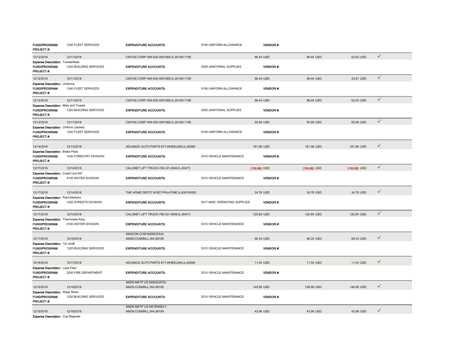| <b>FUND/PROGRAM:</b><br>PROJECT #:                                                | 1240 FLEET SERVICES    | <b>EXPENDITURE ACCOUNTS:</b>                        | 5106 UNIFORM ALLOWANCE       | <b>VENDOR #:</b> |                |                |              |
|-----------------------------------------------------------------------------------|------------------------|-----------------------------------------------------|------------------------------|------------------|----------------|----------------|--------------|
| 12/12/2018                                                                        | 12/11/2018             | CINTAS CORP 40K-630-5951660,IL,60106-1158           |                              | 96.44 USD        | 96.44 USD      | 52.63 USD      | $\checkmark$ |
| Expense Description: Towels/Mats<br><b>FUND/PROGRAM:</b><br>PROJECT #:            | 1220 BUILDING SERVICES | <b>EXPENDITURE ACCOUNTS:</b>                        | 5309 JANITORIAL SUPPLIES     | <b>VENDOR#:</b>  |                |                |              |
| 12/12/2018                                                                        | 12/11/2018             | CINTAS CORP 40K-630-5951660,IL,60106-1158           |                              | 96.44 USD        | 96.44 USD      | 43.81 USD      | $\checkmark$ |
| Expense Description: Uniforms<br>FUND/PROGRAM:<br>PROJECT#:                       | 1240 FLEET SERVICES    | <b>EXPENDITURE ACCOUNTS:</b>                        | 5106 UNIFORM ALLOWANCE       | VENDOR#:         |                |                |              |
| 12/12/2018                                                                        | 12/11/2018             | CINTAS CORP 40K-630-5951660,IL,60106-1158           |                              | 96.44 USD        | 96.44 USD      | 52.63 USD      | $\checkmark$ |
| <b>Expense Description: Mats and Towels</b><br><b>FUND/PROGRAM:</b><br>PROJECT #: | 1220 BUILDING SERVICES | <b>EXPENDITURE ACCOUNTS:</b>                        | 5309 JANITORIAL SUPPLIES     | <b>VENDOR#:</b>  |                |                |              |
| 12/12/2018                                                                        | 12/11/2018             | CINTAS CORP 40K-630-5951660, IL, 60106-1158         |                              | 55.99 USD        | 55.99 USD      | 55.99 USD      | $\checkmark$ |
| Expense Description: Uniform (Jacket)<br>FUND/PROGRAM:<br>PROJECT#:               | 1240 FLEET SERVICES    | <b>EXPENDITURE ACCOUNTS:</b>                        | 5106 UNIFORM ALLOWANCE       | <b>VENDOR#:</b>  |                |                |              |
| 12/14/2018                                                                        | 12/13/2018             | ADVANCE AUTO PARTS #71-WHEELING,IL,60090            |                              | 181.96 USD       | 181.96 USD     | 181.96 USD     | $\checkmark$ |
| <b>Expense Description: Brake Pads</b><br><b>FUND/PROGRAM:</b><br>PROJECT#:       | 1430 FORESTRY DIVISION | <b>EXPENDITURE ACCOUNTS:</b>                        | 5310 VEHICLE MAINTENANCE     | <b>VENDOR#:</b>  |                |                |              |
| 12/17/2018                                                                        | 12/14/2018             | CALUMET LIFT TRUCK-708-331-8549,IL,60473            |                              | $(130.86)$ USD   | $(130.86)$ USD | $(130.86)$ USD | $\checkmark$ |
| Expense Description: Credit Unit 847<br>FUND/PROGRAM:<br>PROJECT#:                | 4100 WATER DIVISION    | <b>EXPENDITURE ACCOUNTS:</b>                        | 5310 VEHICLE MAINTENANCE     | <b>VENDOR#:</b>  |                |                |              |
| 12/17/2018                                                                        | 12/14/2018             | THE HOME DEPOT #1927-PALATINE,IL,600740000          |                              | 34.78 USD        | 34.78 USD      | 34.78 USD      | $\checkmark$ |
| <b>Expense Description: Paint Markers</b><br>FUND/PROGRAM:<br>PROJECT#:           | 1420 STREETS DIVISION  | <b>EXPENDITURE ACCOUNTS:</b>                        | 5317 MISC OPERATING SUPPLIES | <b>VENDOR#:</b>  |                |                |              |
| 12/17/2018                                                                        | 12/14/2018             | CALUMET LIFT TRUCK-708-331-8549.IL.60473            |                              | 120.84 USD       | 120.84 USD     | 120.84 USD     | $\checkmark$ |
| <b>Expense Description: Thermostat Assy</b><br>FUND/PROGRAM:<br>PROJECT #:        | 4100 WATER DIVISION    | <b>EXPENDITURE ACCOUNTS:</b>                        | 5310 VEHICLE MAINTENANCE     | <b>VENDOR#:</b>  |                |                |              |
| 12/17/2018                                                                        | 12/16/2018             | AMAZON.COM M299C53J0-<br>AMZN.COM/BILL, WA, 98109   |                              | 96.33 USD        | 96.33 USD      | 96.33 USD      | $\checkmark$ |
| Expense Description: 12v shaft<br>FUND/PROGRAM:<br>PROJECT#:                      | 1220 BUILDING SERVICES | <b>EXPENDITURE ACCOUNTS:</b>                        | 5310 VEHICLE MAINTENANCE     | <b>VENDOR#:</b>  |                |                |              |
| 12/18/2018                                                                        | 12/17/2018             | ADVANCE AUTO PARTS #71-WHEELING,IL,60090            |                              | 11.04 USD        | 11.04 USD      | 11.04 USD      | $\checkmark$ |
| Expense Description: Lube Filter<br>FUND/PROGRAM:<br>PROJECT #:                   | 2200 FIRE DEPARTMENT   | <b>EXPENDITURE ACCOUNTS:</b>                        | 5310 VEHICLE MAINTENANCE     | <b>VENDOR#:</b>  |                |                |              |
| 12/19/2018                                                                        | 12/18/2018             | AMZN MKTP US M26Q52F52-<br>AMZN.COM/BILL, WA, 98109 |                              | 149.99 USD       | 149.99 USD     | 149.99 USD     | $\checkmark$ |
| <b>Expense Description: Wiper Motor</b><br>FUND/PROGRAM:<br>PROJECT#:             | 1220 BUILDING SERVICES | <b>EXPENDITURE ACCOUNTS:</b>                        | 5310 VEHICLE MAINTENANCE     | <b>VENDOR#:</b>  |                |                |              |
| 12/19/2018                                                                        | 12/18/2018             | AMZN MKTP US M21R94EA1-<br>AMZN.COM/BILL, WA, 98109 |                              | 43.96 USD        | 43.96 USD      | 43.96 USD      | $\checkmark$ |
| <b>Expense Description: Cup Magnets</b>                                           |                        |                                                     |                              |                  |                |                |              |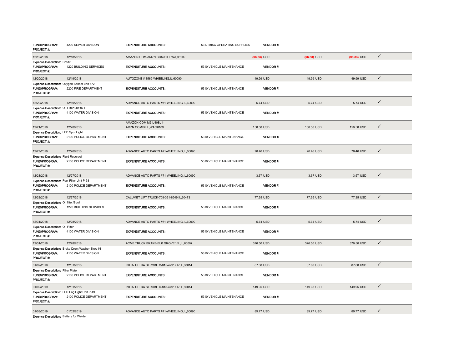| FUND/PROGRAM:<br><b>PROJECT#:</b>                                                | 4200 SEWER DIVISION                                                     | <b>EXPENDITURE ACCOUNTS:</b>                      | 5317 MISC OPERATING SUPPLIES | <b>VENDOR#:</b> |               |               |              |  |
|----------------------------------------------------------------------------------|-------------------------------------------------------------------------|---------------------------------------------------|------------------------------|-----------------|---------------|---------------|--------------|--|
| 12/19/2018                                                                       | 12/18/2018                                                              | AMAZON.COM-AMZN.COM/BILL, WA, 98109               |                              | $(96.33)$ USD   | $(96.33)$ USD | $(96.33)$ USD | $\checkmark$ |  |
| <b>Expense Description: Credit</b><br>FUND/PROGRAM:<br>PROJECT #:                | 1220 BUILDING SERVICES                                                  | <b>EXPENDITURE ACCOUNTS:</b>                      | 5310 VEHICLE MAINTENANCE     | <b>VENDOR#:</b> |               |               |              |  |
| 12/20/2018                                                                       | 12/19/2018                                                              | AUTOZONE #3569-WHEELING,IL,60090                  |                              | 49.99 USD       | 49.99 USD     | 49.99 USD     | $\checkmark$ |  |
| FUND/PROGRAM.<br>PROJECT#:                                                       | Expense Description: Oxygen Sensor unit 672<br>2200 FIRE DEPARTMENT     | <b>EXPENDITURE ACCOUNTS:</b>                      | 5310 VEHICLE MAINTENANCE     | <b>VENDOR#:</b> |               |               |              |  |
| 12/20/2018                                                                       | 12/19/2018                                                              | ADVANCE AUTO PARTS #71-WHEELING.IL.60090          |                              | 5.74 USD        | 5.74 USD      | 5.74 USD      | $\checkmark$ |  |
| Expense Description: Oil Filter unit 871<br>FUND/PROGRAM:<br>PROJECT #:          | 4100 WATER DIVISION                                                     | <b>EXPENDITURE ACCOUNTS:</b>                      | 5310 VEHICLE MAINTENANCE     | <b>VENDOR#:</b> |               |               |              |  |
| 12/21/2018                                                                       | 12/20/2018                                                              | AMAZON.COM M21J40BJ1-<br>AMZN.COM/BILL, WA, 98109 |                              | 158.58 USD      | 158.58 USD    | 158.58 USD    | $\checkmark$ |  |
| Expense Description: LED Spot Light<br>FUND/PROGRAM.<br>PROJECT #:               | 2100 POLICE DEPARTMENT                                                  | <b>EXPENDITURE ACCOUNTS:</b>                      | 5310 VEHICLE MAINTENANCE     | VENDOR#.        |               |               |              |  |
| 12/27/2018                                                                       | 12/26/2018                                                              | ADVANCE AUTO PARTS #71-WHEELING,IL,60090          |                              | 70.46 USD       | 70.46 USD     | 70.46 USD     | $\checkmark$ |  |
| <b>Expense Description: Fluid Reservoir</b><br>FUND/PROGRAM:<br><b>PROJECT#:</b> | 2100 POLICE DEPARTMENT                                                  | <b>EXPENDITURE ACCOUNTS:</b>                      | 5310 VEHICLE MAINTENANCE     | <b>VENDOR#:</b> |               |               |              |  |
| 12/28/2018                                                                       | 12/27/2018                                                              | ADVANCE AUTO PARTS #71-WHEELING.IL.60090          |                              | 3.67 USD        | 3.67 USD      | 3.67 USD      | $\checkmark$ |  |
| Expense Description: Fuel Filter Unit P-58<br>FUND/PROGRAM:<br>PROJECT#:         | 2100 POLICE DEPARTMENT                                                  | <b>EXPENDITURE ACCOUNTS:</b>                      | 5310 VEHICLE MAINTENANCE     | <b>VENDOR#:</b> |               |               |              |  |
| 12/28/2018                                                                       | 12/27/2018                                                              | CALUMET LIFT TRUCK-708-331-8549,IL,60473          |                              | 77.35 USD       | 77.35 USD     | 77.35 USD     | $\checkmark$ |  |
| Expense Description: Oil filter/Bowl<br>FUND/PROGRAM:<br>PROJECT#:               | 1220 BUILDING SERVICES                                                  | <b>EXPENDITURE ACCOUNTS:</b>                      | 5310 VEHICLE MAINTENANCE     | <b>VENDOR#:</b> |               |               |              |  |
| 12/31/2018                                                                       | 12/28/2018                                                              | ADVANCE AUTO PARTS #71-WHEELING.IL.60090          |                              | 5.74 USD        | 5.74 USD      | 5.74 USD      | $\checkmark$ |  |
| <b>Expense Description: Oil Filter</b><br>FUND/PROGRAM:<br>PROJECT #:            | 4100 WATER DIVISION                                                     | <b>EXPENDITURE ACCOUNTS:</b>                      | 5310 VEHICLE MAINTENANCE     | <b>VENDOR#:</b> |               |               |              |  |
| 12/31/2018                                                                       | 12/28/2018                                                              | ACME TRUCK BRAKE-ELK GROVE VIL, IL, 60007         |                              | 376.50 USD      | 376.50 USD    | 376.50 USD    | $\checkmark$ |  |
| FUND/PROGRAM:<br>PROJECT #:                                                      | Expense Description: Brake Drum, Washer, Shoe Ki<br>4100 WATER DIVISION | <b>EXPENDITURE ACCOUNTS:</b>                      | 5310 VEHICLE MAINTENANCE     | <b>VENDOR#:</b> |               |               |              |  |
| 01/02/2019                                                                       | 12/31/2018                                                              | INT IN ULTRA STROBE C-815-4791717, IL, 60014      |                              | 87.60 USD       | 87.60 USD     | 87.60 USD     | $\checkmark$ |  |
| <b>Expense Description: Filler Plate</b><br>FUND/PROGRAM.<br>PROJECT #:          | 2100 POLICE DEPARTMENT                                                  | <b>EXPENDITURE ACCOUNTS:</b>                      | 5310 VEHICLE MAINTENANCE     | <b>VENDOR#:</b> |               |               |              |  |
| 01/02/2019                                                                       | 12/31/2018                                                              | INT IN ULTRA STROBE C-815-4791717, IL, 60014      |                              | 149.95 USD      | 149.95 USD    | 149.95 USD    | $\checkmark$ |  |
| FUND/PROGRAM:<br><b>PROJECT#:</b>                                                | Expense Description: LED Fog Light Unit P-49<br>2100 POLICE DEPARTMENT  | <b>EXPENDITURE ACCOUNTS:</b>                      | 5310 VEHICLE MAINTENANCE     | VENDOR#:        |               |               |              |  |
| 01/03/2019                                                                       | 01/02/2019                                                              | ADVANCE AUTO PARTS #71-WHEELING,IL,60090          |                              | 89.77 USD       | 89.77 USD     | 89.77 USD     | $\checkmark$ |  |
|                                                                                  |                                                                         |                                                   |                              |                 |               |               |              |  |

Expense Description: Battery for Welder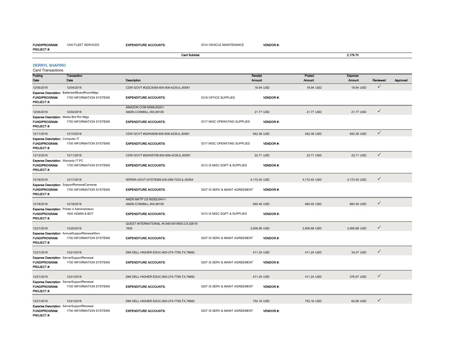#### FUND/PROGRAM:1240 FLEET SERVICES

PROJECT #:

**Card Subtotal** 

EXPENDITURE ACCOUNTS: 5310 VEHICLE MAINTENANCE VENDOR #:

2,179.70

|  |  | DERRYL SHAPIRO |
|--|--|----------------|

| Posting<br>Date                                                                         | <b>Transaction</b><br>Date                                                    | Description                                          |                                | Receipt<br><b>Amount</b> |                 | Posted<br>Amount | <b>Expense</b><br><b>Amount</b> | Reviewed     | Approved |
|-----------------------------------------------------------------------------------------|-------------------------------------------------------------------------------|------------------------------------------------------|--------------------------------|--------------------------|-----------------|------------------|---------------------------------|--------------|----------|
| 12/05/2018                                                                              | 12/04/2018                                                                    | CDW GOVT #QGC9058-800-808-4239,IL,60061              |                                | 18.94 USD                |                 | 18.94 USD        | 18.94 USD                       | $\checkmark$ |          |
| <b>FUND/PROGRAM:</b><br>PROJECT#:                                                       | Expense Description: Batteries4BoardRoomMtgs<br>1750 INFORMATION SYSTEMS      | <b>EXPENDITURE ACCOUNTS:</b>                         | 5318 OFFICE SUPPLIES           |                          | <b>VENDOR#:</b> |                  |                                 |              |          |
| 12/05/2018                                                                              | 12/04/2018                                                                    | AMAZON.COM M086J5QS1-<br>AMZN.COM/BILL, WA, 98109    |                                | 21.77 USD                |                 | 21.77 USD        | 21.77 USD                       | $\checkmark$ |          |
| Expense Description: Media Brd Rm Mtgs<br>FUND/PROGRAM:<br>PROJECT#:                    | 1750 INFORMATION SYSTEMS                                                      | <b>EXPENDITURE ACCOUNTS:</b>                         | 5317 MISC OPERATING SUPPLIES   |                          | VENDOR#:        |                  |                                 |              |          |
| 12/11/2018                                                                              | 12/10/2018                                                                    | CDW GOVT #QHK0698-800-808-4239,IL,60061              |                                | 942.38 USD               |                 | 942.38 USD       | 942.38 USD                      | $\checkmark$ |          |
| Expense Description: Computer IT<br>FUND/PROGRAM:<br>PROJECT#:                          | 1750 INFORMATION SYSTEMS                                                      | <b>EXPENDITURE ACCOUNTS:</b>                         | 5317 MISC OPERATING SUPPLIES   |                          | <b>VENDOR#:</b> |                  |                                 |              |          |
| 12/12/2018                                                                              | 12/11/2018                                                                    | CDW GOVT #QHW5708-800-808-4239,IL,60061              |                                | 22.71 USD                |                 | 22.71 USD        | 22.71 USD                       | $\checkmark$ |          |
| <b>Expense Description: Warranty IT PC</b><br><b>FUND/PROGRAM:</b><br><b>PROJECT #:</b> | 1750 INFORMATION SYSTEMS                                                      | <b>EXPENDITURE ACCOUNTS:</b>                         | 5313 IS MISC EQPT & SUPPLIES   |                          | <b>VENDOR#:</b> |                  |                                 |              |          |
| 12/18/2018                                                                              | 12/17/2018                                                                    | ISPERA GOVT-SYSTEMS-630-658-7020,IL,60554            |                                | 4,172.40 USD             |                 | 4,172.40 USD     | 4,172.40 USD                    | $\checkmark$ |          |
| FUND/PROGRAM:<br>PROJECT#:                                                              | <b>Expense Description: SupportRenewalCameras</b><br>1750 INFORMATION SYSTEMS | <b>EXPENDITURE ACCOUNTS:</b>                         | 5207 IS SERV & MAINT AGREEMENT |                          | <b>VENDOR#:</b> |                  |                                 |              |          |
| 12/18/2018                                                                              | 12/18/2018                                                                    | AMZN MKTP US M292L6AV1-<br>AMZN.COM/BILL, WA, 98109  |                                | 660.49 USD               |                 | 660.49 USD       | 660.49 USD                      | $\checkmark$ |          |
| <b>FUND/PROGRAM:</b><br>PROJECT#:                                                       | Expense Description: Printer 4 Administration<br>1600 ADMIN & BOT             | <b>EXPENDITURE ACCOUNTS:</b>                         | 5313 IS MISC EQPT & SUPPLIES   |                          | <b>VENDOR#</b>  |                  |                                 |              |          |
| 12/21/2018                                                                              | 12/20/2018                                                                    | QUEST INTERNATIONAL IN-949-5819900,CA,92618-<br>1605 |                                | 2,906.88 USD             |                 | 2,906.88 USD     | 2,906.88 USD                    | $\checkmark$ |          |
| FUND/PROGRAM:<br>PROJECT#:                                                              | Expense Description: AnnualSupportRenewalServ<br>1750 INFORMATION SYSTEMS     | <b>EXPENDITURE ACCOUNTS:</b>                         | 5207 IS SERV & MAINT AGREEMENT |                          | VENDOR#.        |                  |                                 |              |          |
| 12/21/2018                                                                              | 12/21/2018                                                                    | DMI DELL HIGHER EDUC-800-274-7799, TX, 78682         |                                | 411.24 USD               |                 | 411.24 USD       | 34.27 USD                       | $\checkmark$ |          |
| <b>FUND/PROGRAM:</b><br><b>PROJECT#:</b>                                                | Expense Description: ServerSupportRenewal<br>1750 INFORMATION SYSTEMS         | <b>EXPENDITURE ACCOUNTS:</b>                         | 5207 IS SERV & MAINT AGREEMENT |                          | <b>VENDOR#:</b> |                  |                                 |              |          |
| 12/21/2018                                                                              | 12/21/2018                                                                    | DMI DELL HIGHER EDUC-800-274-7799, TX, 78682         |                                | 411.24 USD               |                 | 411.24 USD       | 376.97 USD                      | $\checkmark$ |          |
| <b>FUND/PROGRAM:</b><br>PROJECT #:                                                      | Expense Description: ServerSupportRenewal<br>1750 INFORMATION SYSTEMS         | <b>EXPENDITURE ACCOUNTS:</b>                         | 5207 IS SERV & MAINT AGREEMENT |                          | <b>VENDOR#:</b> |                  |                                 |              |          |
| 12/21/2018                                                                              | 12/21/2018                                                                    | DMI DELL HIGHER EDUC-800-274-7799.TX.78682           |                                | 752.16 USD               |                 | 752.16 USD       | 62.68 USD                       | $\checkmark$ |          |
| FUND/PROGRAM:<br>PROJECT #:                                                             | Expense Description: ServerSupportRenewal<br>1750 INFORMATION SYSTEMS         | <b>EXPENDITURE ACCOUNTS:</b>                         | 5207 IS SERV & MAINT AGREEMENT |                          | <b>VENDOR#:</b> |                  |                                 |              |          |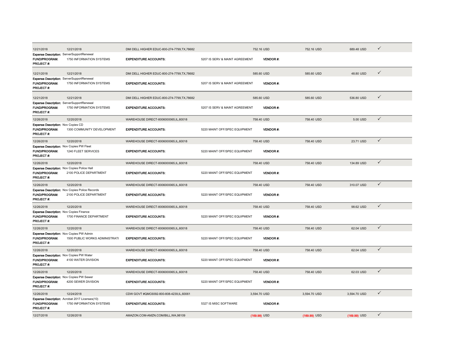| 12/21/2018                                                                            | 12/21/2018                                                                 | DMI DELL HIGHER EDUC-800-274-7799, TX, 78682 |                                | 752.16 USD      | 752.16 USD   | 689.48 USD   | ✓            |  |
|---------------------------------------------------------------------------------------|----------------------------------------------------------------------------|----------------------------------------------|--------------------------------|-----------------|--------------|--------------|--------------|--|
| Expense Description: ServerSupportRenewal<br><b>FUND/PROGRAM:</b><br>PROJECT#:        | 1750 INFORMATION SYSTEMS                                                   | <b>EXPENDITURE ACCOUNTS:</b>                 | 5207 IS SERV & MAINT AGREEMENT | <b>VENDOR#:</b> |              |              |              |  |
| 12/21/2018                                                                            | 12/21/2018                                                                 | DMI DELL HIGHER EDUC-800-274-7799, TX, 78682 |                                | 585.60 USD      | 585.60 USD   | 48.80 USD    | ✓            |  |
| Expense Description: ServerSupportRenewal<br>FUND/PROGRAM:<br>PROJECT#:               | 1750 INFORMATION SYSTEMS                                                   | <b>EXPENDITURE ACCOUNTS:</b>                 | 5207 IS SERV & MAINT AGREEMENT | <b>VENDOR#:</b> |              |              |              |  |
| 12/21/2018                                                                            | 12/21/2018                                                                 | DMI DELL HIGHER EDUC-800-274-7799, TX, 78682 |                                | 585.60 USD      | 585.60 USD   | 536.80 USD   | ✓            |  |
| Expense Description: ServerSupportRenewal<br><b>FUND/PROGRAM:</b><br><b>PROJECT#:</b> | 1750 INFORMATION SYSTEMS                                                   | <b>EXPENDITURE ACCOUNTS:</b>                 | 5207 IS SERV & MAINT AGREEMENT | <b>VENDOR#:</b> |              |              |              |  |
| 12/26/2018                                                                            | 12/20/2018                                                                 | WAREHOUSE DIRECT-8006000065,IL,60018         |                                | 758.40 USD      | 758.40 USD   | 5.00 USD     | $\checkmark$ |  |
| Expense Description: Nov Copies CD<br>FUND/PROGRAM:<br><b>PROJECT#:</b>               | 1300 COMMUNITY DEVELOPMENT                                                 | <b>EXPENDITURE ACCOUNTS:</b>                 | 5220 MAINT OFF/SPEC EQUIPMENT  | <b>VENDOR#:</b> |              |              |              |  |
| 12/26/2018                                                                            | 12/20/2018                                                                 | WAREHOUSE DIRECT-8006000065.IL.60018         |                                | 758.40 USD      | 758.40 USD   | 23.71 USD    | $\checkmark$ |  |
| Expense Description: Nov Copies PW Fleet<br><b>FUND/PROGRAM:</b><br>PROJECT#:         | 1240 FLEET SERVICES                                                        | <b>EXPENDITURE ACCOUNTS:</b>                 | 5220 MAINT OFF/SPEC EQUIPMENT  | <b>VENDOR#:</b> |              |              |              |  |
| 12/26/2018                                                                            | 12/20/2018                                                                 | WAREHOUSE DIRECT-8006000065,IL,60018         |                                | 758.40 USD      | 758.40 USD   | 134.89 USD   | $\checkmark$ |  |
| Expense Description: Nov Copies Police Hall<br>FUND/PROGRAM:<br>PROJECT #:            | 2100 POLICE DEPARTMENT                                                     | <b>EXPENDITURE ACCOUNTS:</b>                 | 5220 MAINT OFF/SPEC EQUIPMENT  | <b>VENDOR#:</b> |              |              |              |  |
| 12/26/2018                                                                            | 12/20/2018                                                                 | WAREHOUSE DIRECT-8006000065,IL,60018         |                                | 758.40 USD      | 758.40 USD   | 310.07 USD   | ✓            |  |
| FUND/PROGRAM:                                                                         | Expense Description: Nov Copies Police Records                             |                                              |                                |                 |              |              |              |  |
| <b>PROJECT#:</b>                                                                      | 2100 POLICE DEPARTMENT                                                     | <b>EXPENDITURE ACCOUNTS:</b>                 | 5220 MAINT OFF/SPEC EQUIPMENT  | <b>VENDOR#:</b> |              |              |              |  |
| 12/26/2018                                                                            | 12/20/2018                                                                 | WAREHOUSE DIRECT-8006000065.IL.60018         |                                | 758,40 USD      | 758,40 USD   | 98.62 USD    | $\checkmark$ |  |
| Expense Description: Nov Copies Finance<br><b>FUND/PROGRAM:</b><br>PROJECT #:         | 1700 FINANCE DEPARTMENT                                                    | <b>EXPENDITURE ACCOUNTS:</b>                 | 5220 MAINT OFF/SPEC EQUIPMENT  | <b>VENDOR#:</b> |              |              |              |  |
| 12/26/2018                                                                            | 12/20/2018                                                                 | WAREHOUSE DIRECT-8006000065,IL,60018         |                                | 758.40 USD      | 758.40 USD   | 62.04 USD    | $\checkmark$ |  |
| Expense Description: Nov Copies PW Admin<br>FUND/PROGRAM:<br>PROJECT#:                | 1500 PUBLIC WORKS ADMINISTRATI                                             | <b>EXPENDITURE ACCOUNTS:</b>                 | 5220 MAINT OFF/SPEC EQUIPMENT  | <b>VENDOR#:</b> |              |              |              |  |
| 12/26/2018                                                                            | 12/20/2018                                                                 | WAREHOUSE DIRECT-8006000065,IL,60018         |                                | 758.40 USD      | 758.40 USD   | 62.04 USD    | $\checkmark$ |  |
| Expense Description: Nov Copies PW Water<br>FUND/PROGRAM:<br>PROJECT#:                | 4100 WATER DIVISION                                                        | <b>EXPENDITURE ACCOUNTS:</b>                 | 5220 MAINT OFF/SPEC EQUIPMENT  | <b>VENDOR#:</b> |              |              |              |  |
| 12/26/2018                                                                            | 12/20/2018                                                                 | WAREHOUSE DIRECT-8006000065.IL.60018         |                                | 758.40 USD      | 758,40 USD   | 62.03 USD    | $\checkmark$ |  |
| <b>Expense Description: Nov Copies PW Sewer</b><br>FUND/PROGRAM:<br><b>PROJECT#:</b>  | 4200 SEWER DIVISION                                                        | <b>EXPENDITURE ACCOUNTS:</b>                 | 5220 MAINT OFF/SPEC EQUIPMENT  | <b>VENDOR#:</b> |              |              |              |  |
| 12/26/2018                                                                            | 12/24/2018                                                                 | CDW GOVT #QMC6092-800-808-4239,IL,60061      |                                | 3,594.70 USD    | 3,594.70 USD | 3,594.70 USD | $\checkmark$ |  |
| <b>FUND/PROGRAM:</b><br>PROJECT#:                                                     | Expense Description: Acrobat 2017 Licenses(10)<br>1750 INFORMATION SYSTEMS | <b>EXPENDITURE ACCOUNTS:</b>                 | 5327 IS MISC SOFTWARE          | <b>VENDOR#:</b> |              |              |              |  |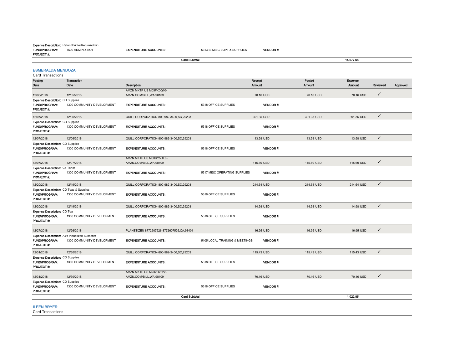## Expense Description: RefundPrinterReturnAdmin

**FUND/PROGRAM:** 1600 ADMIN & BOT<br>**PROJECT #:** 

| FRUJELI #                                                                           |                                                                              | <b>Card Subtotal</b>                                |                                |                   |                  | 14.677.68                |              |          |
|-------------------------------------------------------------------------------------|------------------------------------------------------------------------------|-----------------------------------------------------|--------------------------------|-------------------|------------------|--------------------------|--------------|----------|
| <b>ESMERALDA MENDOZA</b><br>Card Transactions                                       |                                                                              |                                                     |                                |                   |                  |                          |              |          |
| Posting<br>Date                                                                     | Transaction<br>Date                                                          | Description                                         |                                | Receipt<br>Amount | Posted<br>Amount | <b>Expense</b><br>Amount | Reviewed     | Approved |
| 12/06/2018                                                                          | 12/05/2018                                                                   | AMZN MKTP US M05FK0Q10-<br>AMZN.COM/BILL, WA, 98109 |                                | 70.16 USD         | 70.16 USD        | 70.16 USD                | $\checkmark$ |          |
| <b>Expense Description: CD Supplies</b><br>FUND/PROGRAM.<br>PROJECT#:               | 1300 COMMUNITY DEVELOPMENT                                                   | <b>EXPENDITURE ACCOUNTS:</b>                        | 5318 OFFICE SUPPLIES           | VENDOR #.         |                  |                          |              |          |
| 12/07/2018                                                                          | 12/06/2018                                                                   | QUILL CORPORATION-800-982-3400.SC.29203             |                                | 391.35 USD        | 391.35 USD       | 391.35 USD               | $\checkmark$ |          |
| <b>Expense Description: CD Supplies</b><br><b>FUND/PROGRAM:</b><br><b>PROJECT#:</b> | 1300 COMMUNITY DEVELOPMENT                                                   | <b>EXPENDITURE ACCOUNTS:</b>                        | 5318 OFFICE SUPPLIES           | VENDOR #:         |                  |                          |              |          |
| 12/07/2018                                                                          | 12/06/2018                                                                   | QUILL CORPORATION-800-982-3400, SC, 29203           |                                | 13.58 USD         | 13.58 USD        | 13.58 USD                | $\checkmark$ |          |
| <b>Expense Description: CD Supplies</b><br><b>FUND/PROGRAM:</b><br>PROJECT #:       | 1300 COMMUNITY DEVELOPMENT                                                   | <b>EXPENDITURE ACCOUNTS:</b>                        | 5318 OFFICE SUPPLIES           | <b>VENDOR#:</b>   |                  |                          |              |          |
| 12/07/2018                                                                          | 12/07/2018                                                                   | AMZN MKTP US M00RY5DE0-<br>AMZN.COM/BILL, WA, 98109 |                                | 115.60 USD        | 115.60 USD       | 115.60 USD               | $\checkmark$ |          |
| Expense Description: Cd Toner<br><b>FUND/PROGRAM:</b><br>PROJECT#:                  | 1300 COMMUNITY DEVELOPMENT                                                   | <b>EXPENDITURE ACCOUNTS:</b>                        | 5317 MISC OPERATING SUPPLIES   | <b>VENDOR#:</b>   |                  |                          |              |          |
| 12/20/2018                                                                          | 12/19/2018                                                                   | QUILL CORPORATION-800-982-3400, SC, 29203           |                                | 214.64 USD        | 214.64 USD       | 214.64 USD               | $\checkmark$ |          |
| Expense Description: CD Teas & Supplies<br>FUND/PROGRAM:<br>PROJECT#:               | 1300 COMMUNITY DEVELOPMENT                                                   | <b>EXPENDITURE ACCOUNTS:</b>                        | 5318 OFFICE SUPPLIES           | <b>VENDOR#:</b>   |                  |                          |              |          |
| 12/20/2018                                                                          | 12/19/2018                                                                   | QUILL CORPORATION-800-982-3400, SC, 29203           |                                | 14.98 USD         | 14.98 USD        | 14.98 USD                | $\checkmark$ |          |
| <b>Expense Description: CD Tea</b><br><b>FUND/PROGRAM:</b><br><b>PROJECT#:</b>      | 1300 COMMUNITY DEVELOPMENT                                                   | <b>EXPENDITURE ACCOUNTS:</b>                        | 5318 OFFICE SUPPLIES           | <b>VENDOR#:</b>   |                  |                          |              |          |
| 12/27/2018                                                                          | 12/26/2018                                                                   | PLANETIZEN 8772607526-8772607526.CA.93401           |                                | 16.95 USD         | 16.95 USD        | 16.95 USD                | $\checkmark$ |          |
| <b>FUND/PROGRAM:</b><br>PROJECT #:                                                  | Expense Description: AJ's Planetizen Subscript<br>1300 COMMUNITY DEVELOPMENT | <b>EXPENDITURE ACCOUNTS:</b>                        | 5105 LOCAL TRAINING & MEETINGS | <b>VENDOR#:</b>   |                  |                          |              |          |
| 12/31/2018                                                                          | 12/30/2018                                                                   | QUILL CORPORATION-800-982-3400, SC, 29203           |                                | 115.43 USD        | 115.43 USD       | 115.43 USD               | $\checkmark$ |          |
| <b>Expense Description: CD Supplies</b><br>FUND/PROGRAM:<br>PROJECT#:               | 1300 COMMUNITY DEVELOPMENT                                                   | <b>EXPENDITURE ACCOUNTS:</b>                        | 5318 OFFICE SUPPLIES           | VENDOR#:          |                  |                          |              |          |
| 12/31/2018                                                                          | 12/30/2018                                                                   | AMZN MKTP US M232O2822-<br>AMZN.COM/BILL, WA, 98109 |                                | 70.16 USD         | 70.16 USD        | 70.16 USD                | $\checkmark$ |          |
| <b>Expense Description: CD Supplies</b><br>FUND/PROGRAM:<br>PROJECT#:               | 1300 COMMUNITY DEVELOPMENT                                                   | <b>EXPENDITURE ACCOUNTS:</b>                        | 5318 OFFICE SUPPLIES           | <b>VENDOR#:</b>   |                  |                          |              |          |
|                                                                                     |                                                                              | <b>Card Subtotal</b>                                |                                |                   |                  | 1,022.85                 |              |          |
| <b>ILEEN BRYER</b>                                                                  |                                                                              |                                                     |                                |                   |                  |                          |              |          |

VENDOR #:

EXPENDITURE ACCOUNTS: 5313 IS MISC EQPT & SUPPLIES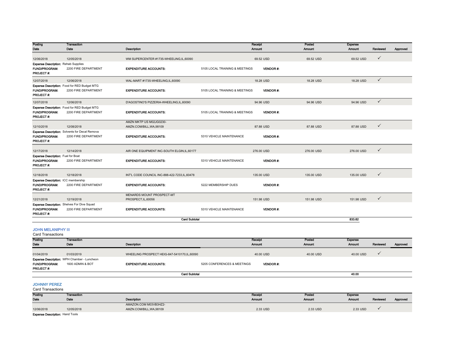| Posting                                               | <b>Transaction</b>                                                         |                                                |                                | Receipt         | Posted        | Expense    |              |          |
|-------------------------------------------------------|----------------------------------------------------------------------------|------------------------------------------------|--------------------------------|-----------------|---------------|------------|--------------|----------|
| Date                                                  | Date                                                                       | Description                                    |                                | Amount          | <b>Amount</b> | Amount     | Reviewed     | Approved |
| 12/06/2018                                            | 12/05/2018                                                                 | WM SUPERCENTER #1735-WHEELING,IL,60090         |                                | 69.52 USD       | 69.52 USD     | 69.52 USD  | $\checkmark$ |          |
| <b>Expense Description: Rehab Supplies</b>            |                                                                            |                                                |                                |                 |               |            |              |          |
| FUND/PROGRAM:                                         | 2200 FIRE DEPARTMENT                                                       | <b>EXPENDITURE ACCOUNTS:</b>                   | 5105 LOCAL TRAINING & MEETINGS | <b>VENDOR#:</b> |               |            |              |          |
| PROJECT #:                                            |                                                                            |                                                |                                |                 |               |            |              |          |
| 12/07/2018                                            | 12/06/2018                                                                 | WAL-MART #1735-WHEELING,IL,60090               |                                | 18.28 USD       | 18.28 USD     | 18.28 USD  | $\checkmark$ |          |
|                                                       | Expense Description: Food for RED Budget MTG                               |                                                |                                |                 |               |            |              |          |
| FUND/PROGRAM:<br>PROJECT #:                           | 2200 FIRE DEPARTMENT                                                       | <b>EXPENDITURE ACCOUNTS:</b>                   | 5105 LOCAL TRAINING & MEETINGS | <b>VENDOR#:</b> |               |            |              |          |
| 12/07/2018                                            | 12/06/2018                                                                 | D'AGOSTINO'S PIZZERIA-WHEELING,IL,60090        |                                | 94.96 USD       | 94.96 USD     | 94.96 USD  | $\checkmark$ |          |
|                                                       | Expense Description: Food for RED Budget MTG                               |                                                |                                |                 |               |            |              |          |
| FUND/PROGRAM:<br><b>PROJECT#:</b>                     | 2200 FIRE DEPARTMENT                                                       | <b>EXPENDITURE ACCOUNTS:</b>                   | 5105 LOCAL TRAINING & MEETINGS | <b>VENDOR#:</b> |               |            |              |          |
|                                                       |                                                                            | AMZN MKTP US M02JG0230-                        |                                |                 |               |            |              |          |
| 12/10/2018                                            | 12/08/2018                                                                 | AMZN.COM/BILL, WA, 98109                       |                                | 87.88 USD       | 87.88 USD     | 87.88 USD  | $\checkmark$ |          |
| <b>FUND/PROGRAM:</b>                                  | Expense Description: Solvents for Decal Remova<br>2200 FIRE DEPARTMENT     | <b>EXPENDITURE ACCOUNTS:</b>                   | 5310 VEHICLE MAINTENANCE       | <b>VENDOR#:</b> |               |            |              |          |
| <b>PROJECT#:</b>                                      |                                                                            |                                                |                                |                 |               |            |              |          |
| 12/17/2018                                            | 12/14/2018                                                                 | AIR ONE EQUIPMENT INC-SOUTH ELGIN, IL, 60177   |                                | 276.00 USD      | 276.00 USD    | 276.00 USD | $\checkmark$ |          |
| Expense Description: Fuel for Boat                    |                                                                            |                                                |                                |                 |               |            |              |          |
| FUND/PROGRAM:<br>PROJECT#:                            | 2200 FIRE DEPARTMENT                                                       | <b>EXPENDITURE ACCOUNTS:</b>                   | 5310 VEHICLE MAINTENANCE       | VENDOR#:        |               |            |              |          |
| 12/18/2018                                            | 12/18/2018                                                                 | INT'L CODE COUNCIL INC-888-422-7233, IL, 60478 |                                | 135.00 USD      | 135,00 USD    | 135.00 USD | $\checkmark$ |          |
| Expense Description: ICC membership                   |                                                                            |                                                |                                |                 |               |            |              |          |
| FUND/PROGRAM:<br><b>PROJECT#:</b>                     | 2200 FIRE DEPARTMENT                                                       | <b>EXPENDITURE ACCOUNTS:</b>                   | 5222 MEMBERSHIP DUES           | <b>VENDOR#:</b> |               |            |              |          |
|                                                       |                                                                            | MENARDS MOUNT PROSPECT-MT                      |                                |                 |               |            |              |          |
| 12/21/2018                                            | 12/19/2018                                                                 | PROSPECT, IL, 60056                            |                                | 151.98 USD      | 151.98 USD    | 151.98 USD | $\checkmark$ |          |
| FUND/PROGRAM:<br>PROJECT #:                           | <b>Expense Description:</b> Shelves For Dive Squad<br>2200 FIRE DEPARTMENT | <b>EXPENDITURE ACCOUNTS:</b>                   | 5310 VEHICLE MAINTENANCE       | <b>VENDOR#:</b> |               |            |              |          |
|                                                       |                                                                            | <b>Card Subtotal</b>                           |                                |                 |               | 833.62     |              |          |
| <b>JOHN MELANIPHY III</b><br><b>Card Transactions</b> |                                                                            |                                                |                                |                 |               |            |              |          |
| Posting                                               | Transaction                                                                |                                                |                                | Receipt         | Posted        | Expense    |              |          |
| Date                                                  | Date                                                                       | Description                                    |                                | Amount          | Amount        | Amount     | Reviewed     | Approved |
| 01/04/2019                                            | 01/03/2019                                                                 | WHEELING PROSPECT HEIG-847-5410170,IL,60090    |                                | 40.00 USD       | 40.00 USD     | 40.00 USD  | $\checkmark$ |          |
|                                                       | Expense Description: WPH Chamber - Luncheon                                |                                                |                                |                 |               |            |              |          |
| FUND/PROGRAM.<br><b>PROJECT#:</b>                     | 1600 ADMIN & BOT                                                           | <b>EXPENDITURE ACCOUNTS:</b>                   | 5205 CONFERENCES & MEETINGS    | VENDOR#:        |               |            |              |          |
|                                                       |                                                                            | <b>Card Subtotal</b>                           |                                |                 |               | 40.00      |              |          |
| <b>JOHNNY PEREZ</b><br><b>Card Transactions</b>       |                                                                            |                                                |                                |                 |               |            |              |          |

| Posting                                | Transaction |                        | Receipt       | Posted   | Expense  |          |          |
|----------------------------------------|-------------|------------------------|---------------|----------|----------|----------|----------|
| Date                                   | Date        | Description            | <b>Amount</b> | Amount   | Amount   | Reviewed | Approved |
|                                        |             | AMAZON.COM M03VB3HZ2-  |               |          |          |          |          |
| 12/06/2018                             | 12/05/2018  | AMZN.COM/BILL.WA.98109 | 2.33 USD      | 2.33 USD | 2.33 USD |          |          |
| <b>Expense Description: Hand Tools</b> |             |                        |               |          |          |          |          |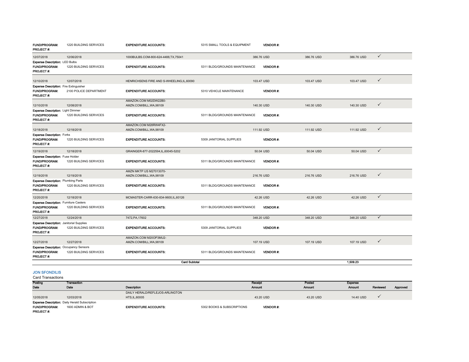| <b>FUND/PROGRAM:</b><br><b>PROJECT#:</b>                                           | 1220 BUILDING SERVICES | <b>EXPENDITURE ACCOUNTS:</b>             | 5315 SMALL TOOLS & EQUIPMENT  | <b>VENDOR #:</b> |            |            |              |
|------------------------------------------------------------------------------------|------------------------|------------------------------------------|-------------------------------|------------------|------------|------------|--------------|
| 12/07/2018                                                                         | 12/06/2018             | 1000BULBS.COM-800-624-4488.TX.75041      |                               | 386,76 USD       | 386,76 USD | 386,76 USD | $\checkmark$ |
| Expense Description: LED Bulbs                                                     |                        |                                          |                               |                  |            |            |              |
| <b>FUND/PROGRAM:</b><br>PROJECT#:                                                  | 1220 BUILDING SERVICES | <b>EXPENDITURE ACCOUNTS:</b>             | 5311 BLDG/GROUNDS MAINTENANCE | <b>VENDOR#:</b>  |            |            |              |
| 12/10/2018                                                                         | 12/07/2018             | HENRICHSENS FIRE AND S-WHEELING,IL,60090 |                               | 103.47 USD       | 103.47 USD | 103.47 USD | $\checkmark$ |
| Expense Description: Fire Extinguisher                                             |                        |                                          |                               |                  |            |            |              |
| <b>FUND/PROGRAM:</b><br>PROJECT#:                                                  | 2100 POLICE DEPARTMENT | <b>EXPENDITURE ACCOUNTS:</b>             | 5310 VEHICLE MAINTENANCE      | <b>VENDOR#:</b>  |            |            |              |
|                                                                                    |                        | AMAZON.COM M02DW22B0-                    |                               |                  |            |            |              |
| 12/10/2018                                                                         | 12/08/2018             | AMZN.COM/BILL, WA, 98109                 |                               | 140.30 USD       | 140.30 USD | 140.30 USD | $\checkmark$ |
| Expense Description: Light Dimmer<br><b>FUND/PROGRAM:</b><br>PROJECT#:             | 1220 BUILDING SERVICES | <b>EXPENDITURE ACCOUNTS:</b>             | 5311 BLDG/GROUNDS MAINTENANCE | <b>VENDOR#:</b>  |            |            |              |
|                                                                                    |                        | AMAZON.COM M28RW4FX2-                    |                               |                  |            |            |              |
| 12/18/2018                                                                         | 12/18/2018             | AMZN.COM/BILL, WA, 98109                 |                               | 111.92 USD       | 111.92 USD | 111.92 USD | $\checkmark$ |
| <b>Expense Description: Forks</b><br><b>FUND/PROGRAM:</b><br>PROJECT#:             | 1220 BUILDING SERVICES | <b>EXPENDITURE ACCOUNTS:</b>             | 5309 JANITORIAL SUPPLIES      | <b>VENDOR#:</b>  |            |            |              |
| 12/19/2018                                                                         | 12/18/2018             | GRAINGER-877-2022594,IL,60045-5202       |                               | 50.04 USD        | 50.04 USD  | 50.04 USD  | $\checkmark$ |
| <b>Expense Description: Fuse Holder</b><br>FUND/PROGRAM:<br><b>PROJECT#:</b>       | 1220 BUILDING SERVICES | <b>EXPENDITURE ACCOUNTS:</b>             | 5311 BLDG/GROUNDS MAINTENANCE | <b>VENDOR#:</b>  |            |            |              |
|                                                                                    |                        | AMZN MKTP US M27013070-                  |                               |                  |            |            |              |
| 12/19/2018                                                                         | 12/19/2018             | AMZN.COM/BILL, WA, 98109                 |                               | 216,76 USD       | 216,76 USD | 216.76 USD | $\checkmark$ |
| <b>Expense Description: Plumbing Parts</b><br><b>FUND/PROGRAM:</b><br>PROJECT#:    | 1220 BUILDING SERVICES | <b>EXPENDITURE ACCOUNTS:</b>             | 5311 BLDG/GROUNDS MAINTENANCE | <b>VENDOR#:</b>  |            |            |              |
| 12/20/2018                                                                         | 12/18/2018             | MCMASTER-CARR-630-834-9600,IL,60126      |                               | 42.26 USD        | 42.26 USD  | 42.26 USD  | $\checkmark$ |
| <b>Expense Description: Furniture Casters</b>                                      |                        |                                          |                               |                  |            |            |              |
| FUND/PROGRAM:<br>PROJECT#:                                                         | 1220 BUILDING SERVICES | <b>EXPENDITURE ACCOUNTS:</b>             | 5311 BLDG/GROUNDS MAINTENANCE | VENDOR#:         |            |            |              |
| 12/27/2018                                                                         | 12/24/2018             | 7472, PA, 17602                          |                               | 348.20 USD       | 348.20 USD | 348.20 USD | $\checkmark$ |
| <b>Expense Description: Janitorial Supplies</b>                                    |                        |                                          |                               |                  |            |            |              |
| <b>FUND/PROGRAM:</b><br><b>PROJECT#:</b>                                           | 1220 BUILDING SERVICES | <b>EXPENDITURE ACCOUNTS:</b>             | 5309 JANITORIAL SUPPLIES      | <b>VENDOR #:</b> |            |            |              |
|                                                                                    |                        | AMAZON.COM M20OP3MU2-                    |                               |                  |            |            | $\checkmark$ |
| 12/27/2018                                                                         | 12/27/2018             | AMZN.COM/BILL, WA, 98109                 |                               | 107.19 USD       | 107.19 USD | 107.19 USD |              |
| <b>Expense Description: Occupancy Sensors</b><br><b>FUND/PROGRAM:</b><br>PROJECT#: | 1220 BUILDING SERVICES | <b>EXPENDITURE ACCOUNTS:</b>             | 5311 BLDG/GROUNDS MAINTENANCE | <b>VENDOR#:</b>  |            |            |              |
|                                                                                    |                        | <b>Card Subtotal</b>                     |                               |                  |            | 1.509.23   |              |

JON SFONDILIS

|                  | <b>Card Transactions</b>                              |                                 |                            |                 |               |               |          |          |
|------------------|-------------------------------------------------------|---------------------------------|----------------------------|-----------------|---------------|---------------|----------|----------|
| Posting          | Transaction                                           |                                 |                            | Receipt         | Posted        | Expense       |          |          |
| Date             | Date                                                  | <b>Description</b>              |                            | <b>Amount</b>   | <b>Amount</b> | <b>Amount</b> | Reviewed | Approved |
|                  |                                                       | DAILY HERALD/REFLEJOS-ARLINGTON |                            |                 |               |               |          |          |
| 12/05/2018       | 12/03/2018                                            | HTS, IL, 60005                  |                            | 43.20 USD       | 43.20 USD     | 14.40 USD     |          |          |
|                  | <b>Expense Description:</b> Daily Herald Subscription |                                 |                            |                 |               |               |          |          |
|                  | <b>FUND/PROGRAM:</b><br>1600 ADMIN & BOT              | <b>EXPENDITURE ACCOUNTS:</b>    | 5302 BOOKS & SUBSCRIPTIONS | <b>VENDOR#:</b> |               |               |          |          |
| <b>PROJECT#:</b> |                                                       |                                 |                            |                 |               |               |          |          |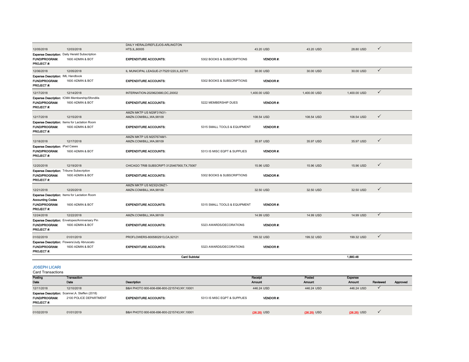|                                                  |                                                                    | DAILY HERALD/REFLEJOS-ARLINGTON              |                              |                 |              |              |              |
|--------------------------------------------------|--------------------------------------------------------------------|----------------------------------------------|------------------------------|-----------------|--------------|--------------|--------------|
| 12/05/2018                                       | 12/03/2018                                                         | HTS, IL, 60005                               |                              | 43.20 USD       | 43.20 USD    | 28.80 USD    | $\checkmark$ |
|                                                  | Expense Description: Daily Herald Subscription                     |                                              |                              |                 |              |              |              |
| <b>FUND/PROGRAM:</b>                             | 1600 ADMIN & BOT                                                   | <b>EXPENDITURE ACCOUNTS:</b>                 | 5302 BOOKS & SUBSCRIPTIONS   | <b>VENDOR#:</b> |              |              |              |
| PROJECT#:                                        |                                                                    |                                              |                              |                 |              |              |              |
| 12/06/2018                                       | 12/05/2018                                                         | IL MUNICIPAL LEAGUE-2175251220, IL, 62701    |                              | 30.00 USD       | 30.00 USD    | 30.00 USD    | $\checkmark$ |
| Expense Description: IML Handbook                |                                                                    |                                              |                              |                 |              |              |              |
| <b>FUND/PROGRAM:</b>                             | 1600 ADMIN & BOT                                                   | <b>EXPENDITURE ACCOUNTS:</b>                 | 5302 BOOKS & SUBSCRIPTIONS   | <b>VENDOR#:</b> |              |              |              |
| PROJECT#:                                        |                                                                    |                                              |                              |                 |              |              |              |
| 12/17/2018                                       | 12/14/2018                                                         | INTERNATION-2029623680,DC,20002              |                              | 1,400.00 USD    | 1,400.00 USD | 1,400.00 USD | $\checkmark$ |
|                                                  | Expense Description: ICMA Membership/Sfondilis                     |                                              |                              |                 |              |              |              |
| FUND/PROGRAM:                                    | 1600 ADMIN & BOT                                                   | <b>EXPENDITURE ACCOUNTS:</b>                 | 5222 MEMBERSHIP DUES         | VENDOR #.       |              |              |              |
| <b>PROJECT#:</b>                                 |                                                                    |                                              |                              |                 |              |              |              |
| 12/17/2018                                       | 12/15/2018                                                         | AMZN MKTP US M29F31N31-                      |                              | 108.54 USD      | 108.54 USD   | 108,54 USD   | $\checkmark$ |
|                                                  | Expense Description: Items for Lactation Room                      | AMZN.COM/BILL, WA, 98109                     |                              |                 |              |              |              |
| <b>FUND/PROGRAM:</b>                             | 1600 ADMIN & BOT                                                   | <b>EXPENDITURE ACCOUNTS:</b>                 | 5315 SMALL TOOLS & EQUIPMENT | <b>VENDOR#:</b> |              |              |              |
| <b>PROJECT#:</b>                                 |                                                                    |                                              |                              |                 |              |              |              |
|                                                  |                                                                    | AMZN MKTP US M25767AM1-                      |                              |                 |              |              |              |
| 12/18/2018                                       | 12/17/2018                                                         | AMZN.COM/BILL, WA, 98109                     |                              | 35.97 USD       | 35.97 USD    | 35.97 USD    | $\checkmark$ |
| <b>Expense Description: iPad Cases</b>           |                                                                    |                                              |                              |                 |              |              |              |
| FUND/PROGRAM.                                    | 1600 ADMIN & BOT                                                   | <b>EXPENDITURE ACCOUNTS:</b>                 | 5313 IS MISC EQPT & SUPPLIES | VENDOR#:        |              |              |              |
| PROJECT#:                                        |                                                                    |                                              |                              |                 |              |              |              |
| 12/20/2018                                       | 12/19/2018                                                         | CHICAGO TRIB SUBSCRIPT-3125467900, TX, 75067 |                              | 15.96 USD       | 15.96 USD    | 15.96 USD    | $\checkmark$ |
| <b>Expense Description: Tribune Subscription</b> |                                                                    |                                              |                              |                 |              |              |              |
| <b>FUND/PROGRAM:</b>                             | 1600 ADMIN & BOT                                                   | <b>EXPENDITURE ACCOUNTS:</b>                 | 5302 BOOKS & SUBSCRIPTIONS   | VENDOR#:        |              |              |              |
| PROJECT#:                                        |                                                                    |                                              |                              |                 |              |              |              |
|                                                  |                                                                    | AMZN MKTP US M23QV2MZ1-                      |                              |                 |              |              |              |
| 12/21/2018                                       | 12/20/2018                                                         | AMZN.COM/BILL, WA, 98109                     |                              | 32.50 USD       | 32.50 USD    | 32.50 USD    | $\checkmark$ |
|                                                  | Expense Description: Items for Lactation Room                      |                                              |                              |                 |              |              |              |
| <b>Accounting Codes</b>                          |                                                                    |                                              |                              |                 |              |              |              |
| <b>FUND/PROGRAM:</b>                             | 1600 ADMIN & BOT                                                   | <b>EXPENDITURE ACCOUNTS:</b>                 | 5315 SMALL TOOLS & EQUIPMENT | <b>VENDOR#:</b> |              |              |              |
| PROJECT#:                                        |                                                                    |                                              |                              |                 |              |              |              |
| 12/24/2018                                       | 12/22/2018                                                         | AMZN.COM/BILL, WA, 98109                     |                              | 14.99 USD       | 14.99 USD    | 14.99 USD    | ✓            |
|                                                  | Expense Description: Envelopes/Anniversary Pin<br>1600 ADMIN & BOT |                                              | 5323 AWARDS/DECORATIONS      |                 |              |              |              |
| FUND/PROGRAM:<br><b>PROJECT#:</b>                |                                                                    | <b>EXPENDITURE ACCOUNTS:</b>                 |                              | VENDOR #.       |              |              |              |
|                                                  |                                                                    |                                              |                              |                 |              |              | $\checkmark$ |
| 01/02/2019                                       | 01/01/2019                                                         | PROFLOWERS-8005802913,CA,92121               |                              | 199.32 USD      | 199.32 USD   | 199.32 USD   |              |
|                                                  | Expense Description: Flowers/Judy Abruscato                        |                                              |                              |                 |              |              |              |
| <b>FUND/PROGRAM:</b><br>PROJECT#:                | 1600 ADMIN & BOT                                                   | <b>EXPENDITURE ACCOUNTS:</b>                 | 5323 AWARDS/DECORATIONS      | VENDOR#:        |              |              |              |
|                                                  |                                                                    | <b>Card Subtotal</b>                         |                              |                 |              | 1.880.48     |              |
|                                                  |                                                                    |                                              |                              |                 |              |              |              |
| <b>JOSEPH LICARI</b>                             |                                                                    |                                              |                              |                 |              |              |              |
| <b>Card Transactions</b>                         |                                                                    |                                              |                              |                 |              |              |              |
|                                                  |                                                                    |                                              |                              |                 |              |              |              |

| Posting              | Transaction                                                               |                                            |                              | Receipt          | Posted        | <b>Expense</b> |          |          |
|----------------------|---------------------------------------------------------------------------|--------------------------------------------|------------------------------|------------------|---------------|----------------|----------|----------|
| Dato                 | Date                                                                      | <b>Description</b>                         |                              | <b>Amount</b>    | <b>Amount</b> | <b>Amount</b>  | Reviewed | Approved |
| 12/11/2018           | 12/10/2018                                                                | B&H PHOTO 800-606-696-800-2215743,NY,10001 |                              | 446.24 USD       | 446.24 USD    | 446.24 USD     |          |          |
| <b>FUND/PROGRAM:</b> | Expense Description: Scanner, A. Steffen (2018)<br>2100 POLICE DEPARTMENT | <b>EXPENDITURE ACCOUNTS:</b>               | 5313 IS MISC EQPT & SUPPLIES | <b>VENDOR 4:</b> |               |                |          |          |
| <b>PROJECT#:</b>     |                                                                           |                                            |                              |                  |               |                |          |          |
| 01/02/2019           | 01/01/2019                                                                | B&H PHOTO 800-606-696-800-2215743,NY,10001 |                              | $(26.25)$ USD    | $(26.25)$ USD | $(26.25)$ USD  |          |          |
|                      |                                                                           |                                            |                              |                  |               |                |          |          |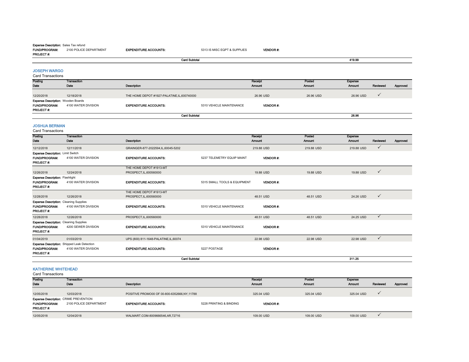| <b>Expense Description:</b> Sales Tax refund<br><b>FUND/PROGRAM:</b>                      | 2100 POLICE DEPARTMENT                                                    | <b>EXPENDITURE ACCOUNTS:</b>                       | 5313 IS MISC EQPT & SUPPLIES | <b>VENDOR#:</b>          |                         |                                 |              |          |
|-------------------------------------------------------------------------------------------|---------------------------------------------------------------------------|----------------------------------------------------|------------------------------|--------------------------|-------------------------|---------------------------------|--------------|----------|
| PROJECT#:                                                                                 |                                                                           |                                                    |                              |                          |                         |                                 |              |          |
|                                                                                           |                                                                           | <b>Card Subtotal</b>                               |                              |                          |                         | 419.99                          |              |          |
| <b>JOSEPH WARGO</b><br><b>Card Transactions</b>                                           |                                                                           |                                                    |                              |                          |                         |                                 |              |          |
| Posting<br>Date                                                                           | <b>Transaction</b><br>Date                                                | Description                                        |                              | Receipt<br><b>Amount</b> | Posted<br><b>Amount</b> | Expense<br><b>Amount</b>        | Reviewed     | Approved |
| 12/20/2018                                                                                | 12/18/2018                                                                | THE HOME DEPOT #1927-PALATINE.IL.600740000         |                              | 26.96 USD                | 26.96 USD               | 26.96 USD                       | ✓            |          |
| <b>Expense Description: Wooden Boards</b><br><b>FUND/PROGRAM:</b><br><b>PROJECT#:</b>     | 4100 WATER DIVISION                                                       | <b>EXPENDITURE ACCOUNTS:</b>                       | 5310 VEHICLE MAINTENANCE     | <b>VENDOR#:</b>          |                         |                                 |              |          |
|                                                                                           |                                                                           | <b>Card Subtotal</b>                               |                              |                          |                         | 26.96                           |              |          |
| <b>JOSHUA BERMAN</b><br>Card Transactions                                                 |                                                                           |                                                    |                              |                          |                         |                                 |              |          |
| Posting<br>Date                                                                           | Transaction<br>Date                                                       | Description                                        |                              | Receipt<br><b>Amount</b> | Posted<br><b>Amount</b> | <b>Expense</b><br><b>Amount</b> | Reviewed     | Approved |
| 12/12/2018                                                                                | 12/11/2018                                                                | GRAINGER-877-2022594,IL,60045-5202                 |                              | 219.88 USD               | 219.88 USD              | 219.88 USD                      | $\checkmark$ |          |
| Expense Description: Limit Switch<br><b>FUND/PROGRAM:</b><br>PROJECT #:                   | 4100 WATER DIVISION                                                       | <b>EXPENDITURE ACCOUNTS:</b>                       | 5237 TELEMETRY EQUIP MAINT   | <b>VENDOR#:</b>          |                         |                                 |              |          |
| 12/26/2018                                                                                | 12/24/2018                                                                | THE HOME DEPOT #1913-MT<br>PROSPECT, IL, 600560000 |                              | 19.88 USD                | 19.88 USD               | 19.88 USD                       | $\checkmark$ |          |
| <b>Expense Description: Flashlight</b><br>FUND/PROGRAM:<br>PROJECT#:                      | 4100 WATER DIVISION                                                       | <b>EXPENDITURE ACCOUNTS:</b>                       | 5315 SMALL TOOLS & EQUIPMENT | <b>VENDOR#:</b>          |                         |                                 |              |          |
| 12/28/2018                                                                                | 12/26/2018                                                                | THE HOME DEPOT #1913-MT<br>PROSPECT, IL, 600560000 |                              | 48.51 USD                | 48.51 USD               | 24.26 USD                       | $\checkmark$ |          |
| <b>Expense Description: Cleaning Supplies</b><br><b>FUND/PROGRAM:</b><br><b>PROJECT#:</b> | 4100 WATER DIVISION                                                       | <b>EXPENDITURE ACCOUNTS:</b>                       | 5310 VEHICLE MAINTENANCE     | VENDOR #                 |                         |                                 |              |          |
| 12/28/2018                                                                                | 12/26/2018                                                                | PROSPECT, IL, 600560000                            |                              | 48.51 USD                | 48.51 USD               | 24.25 USD                       | $\checkmark$ |          |
| <b>Expense Description: Cleaning Supplies</b><br><b>FUND/PROGRAM:</b><br><b>PROJECT#:</b> | 4200 SEWER DIVISION                                                       | <b>EXPENDITURE ACCOUNTS:</b>                       | 5310 VEHICLE MAINTENANCE     | <b>VENDOR#:</b>          |                         |                                 |              |          |
| 01/04/2019                                                                                | 01/03/2019                                                                | UPS (800) 811-1648-PALATINE, IL, 60074             |                              | 22.98 USD                | 22.98 USD               | 22.98 USD                       | $\checkmark$ |          |
| FUND/PROGRAM:                                                                             | <b>Expense Description:</b> Shipped Leak Detection<br>4100 WATER DIVISION | <b>EXPENDITURE ACCOUNTS:</b>                       | 5227 POSTAGE                 | VENDOR#:                 |                         |                                 |              |          |

# KATHERINE WHITEHEAD

Card Transactions

PROJECT #:

| Posting                                      | <b>Transaction</b>     |                                             |                         | <b>Receipt</b>  | Posted     | <b>Expense</b> |          |          |  |  |  |
|----------------------------------------------|------------------------|---------------------------------------------|-------------------------|-----------------|------------|----------------|----------|----------|--|--|--|
| Date                                         | Date                   | Description                                 |                         | <b>Amount</b>   | Amount     | Amount         | Reviewed | Approved |  |  |  |
|                                              |                        |                                             |                         |                 |            |                |          |          |  |  |  |
| 12/05/2018                                   | 12/03/2018             | POSITIVE PROMO00 OF 00-800-6352666,NY,11788 |                         |                 | 325.04 USD | 325.04 USD     |          |          |  |  |  |
| <b>Expense Description: CRIME PREVENTION</b> |                        |                                             |                         |                 |            |                |          |          |  |  |  |
| <b>FUND/PROGRAM:</b>                         | 2100 POLICE DEPARTMENT | <b>EXPENDITURE ACCOUNTS:</b>                | 5228 PRINTING & BINDING | <b>VENDOR#:</b> |            |                |          |          |  |  |  |
| <b>PROJECT#:</b>                             |                        |                                             |                         |                 |            |                |          |          |  |  |  |
| 12/05/2018                                   | 12/04/2018             | WALMART.COM-8009666546,AR,72716             |                         | 109.00 USD      | 109.00 USD | 109,00 USD     |          |          |  |  |  |
|                                              |                        |                                             |                         |                 |            |                |          |          |  |  |  |

311.25

 $311.25$ 

Card Subtotal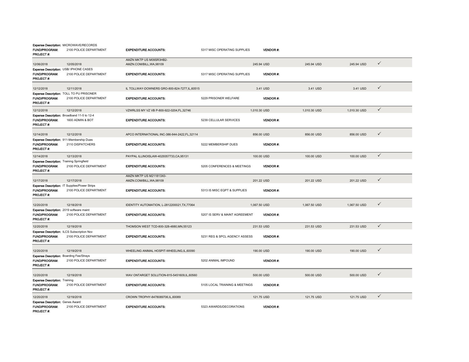| FUND/PROGRAM:<br><b>PROJECT#:</b>                                                    | <b>Expense Description: MICROWAVE/RECORDS</b><br>2100 POLICE DEPARTMENT | <b>EXPENDITURE ACCOUNTS:</b>                        | 5317 MISC OPERATING SUPPLIES   |              | <b>VENDOR#:</b> |              |              |              |
|--------------------------------------------------------------------------------------|-------------------------------------------------------------------------|-----------------------------------------------------|--------------------------------|--------------|-----------------|--------------|--------------|--------------|
| 12/06/2018                                                                           | 12/05/2018                                                              | AMZN MKTP US M09SR3HB2-<br>AMZN.COM/BILL, WA, 98109 |                                | 245.94 USD   |                 | 245.94 USD   | 245.94 USD   | $\checkmark$ |
| Expense Description: USB/ IPHONE CASES<br>FUND/PROGRAM:<br>PROJECT#:                 | 2100 POLICE DEPARTMENT                                                  | <b>EXPENDITURE ACCOUNTS:</b>                        | 5317 MISC OPERATING SUPPLIES   |              | VENDOR#:        |              |              |              |
| 12/12/2018                                                                           | 12/11/2018                                                              | IL TOLLWAY-DOWNERS GRO-800-824-7277, IL, 60515      |                                | 3.41 USD     |                 | 3.41 USD     | 3.41 USD     | $\checkmark$ |
| FUND/PROGRAM:<br>PROJECT#:                                                           | Expense Description: TOLL TO PU PRISONER<br>2100 POLICE DEPARTMENT      | <b>EXPENDITURE ACCOUNTS:</b>                        | 5229 PRISONER WELFARE          |              | VENDOR#:        |              |              |              |
| 12/12/2018                                                                           | 12/12/2018                                                              | VZWRLSS MY VZ VB P-800-922-0204.FL.32746            |                                | 1,010.30 USD |                 | 1.010.30 USD | 1.010.30 USD | $\checkmark$ |
| Expense Description: Broadband 11-5 to 12-4<br><b>FUND/PROGRAM:</b><br>PROJECT #:    | 1600 ADMIN & BOT                                                        | <b>EXPENDITURE ACCOUNTS:</b>                        | 5239 CELLULAR SERVICES         |              | <b>VENDOR#:</b> |              |              |              |
| 12/14/2018                                                                           | 12/12/2018                                                              | APCO INTERNATIONAL INC-386-944-2422,FL,32114        |                                | 856.00 USD   |                 | 856.00 USD   | 856.00 USD   | $\checkmark$ |
| Expense Description: 911-Membership Dues<br><b>FUND/PROGRAM:</b><br><b>PROJECT#:</b> | 2110 DISPATCHERS                                                        | <b>EXPENDITURE ACCOUNTS:</b>                        | 5222 MEMBERSHIP DUES           |              | <b>VENDOR#:</b> |              |              |              |
| 12/14/2018                                                                           | 12/13/2018                                                              | PAYPAL ILLINOISLAW-4029357733,CA,95131              |                                | 100.00 USD   |                 | 100.00 USD   | 100.00 USD   | $\checkmark$ |
| <b>Expense Description: Training Springfield</b><br>FUND/PROGRAM:<br>PROJECT #:      | 2100 POLICE DEPARTMENT                                                  | <b>EXPENDITURE ACCOUNTS:</b>                        | 5205 CONFERENCES & MEETINGS    |              | <b>VENDOR#:</b> |              |              |              |
| 12/17/2018                                                                           | 12/17/2018                                                              | AMZN MKTP US M211813X0-<br>AMZN.COM/BILL, WA, 98109 |                                | 201.22 USD   |                 | 201.22 USD   | 201.22 USD   | $\checkmark$ |
| FUND/PROGRAM:<br>PROJECT#:                                                           | Expense Description: IT Supplies/Power Strips<br>2100 POLICE DEPARTMENT | <b>EXPENDITURE ACCOUNTS:</b>                        | 5313 IS MISC EQPT & SUPPLIES   |              | <b>VENDOR#:</b> |              |              |              |
| 12/20/2018                                                                           | 12/18/2018                                                              | IDENTITY AUTOMATION, L-2812200021, TX, 77064        |                                | 1,067.50 USD |                 | 1,067.50 USD | 1,067.50 USD | $\checkmark$ |
| Expense Description: 2019 software maint<br>FUND/PROGRAM:<br>PROJECT#:               | 2100 POLICE DEPARTMENT                                                  | <b>EXPENDITURE ACCOUNTS:</b>                        | 5207 IS SERV & MAINT AGREEMENT |              | <b>VENDOR#:</b> |              |              |              |
| 12/20/2018                                                                           | 12/19/2018                                                              | THOMSON WEST TCD-800-328-4880, MN, 55123            |                                | 231.53 USD   |                 | 231.53 USD   | 231.53 USD   | $\checkmark$ |
| Expense Description: ILCS Subscription Nov<br><b>FUND/PROGRAM:</b><br>PROJECT #:     | 2100 POLICE DEPARTMENT                                                  | <b>EXPENDITURE ACCOUNTS:</b>                        | 5231 REG & SPCL AGENCY ASSESS  |              | <b>VENDOR#:</b> |              |              |              |
| 12/20/2018                                                                           | 12/19/2018                                                              | WHEELING ANIMAL HOSPIT-WHEELING,IL,60090            |                                | 190.00 USD   |                 | 190.00 USD   | 190.00 USD   | $\checkmark$ |
| <b>Expense Description: Boarding Fee/Strays</b><br>FUND/PROGRAM:<br>PROJECT#:        | 2100 POLICE DEPARTMENT                                                  | <b>EXPENDITURE ACCOUNTS:</b>                        | 5202 ANIMAL IMPOUND            |              | VENDOR#.        |              |              |              |
| 12/20/2018                                                                           | 12/19/2018                                                              | WAV ONTARGET SOLUTION-815-5451609,IL,60560          |                                | 500.00 USD   |                 | 500.00 USD   | 500.00 USD   | $\checkmark$ |
| <b>Expense Description: Training</b><br>FUND/PROGRAM:<br><b>PROJECT#:</b>            | 2100 POLICE DEPARTMENT                                                  | <b>EXPENDITURE ACCOUNTS:</b>                        | 5105 LOCAL TRAINING & MEETINGS |              | <b>VENDOR#:</b> |              |              |              |
| 12/20/2018                                                                           | 12/19/2018                                                              | CROWN TROPHY-8478089706,IL,60089                    |                                | 121.75 USD   |                 | 121.75 USD   | 121.75 USD   | $\checkmark$ |
| <b>Expense Description: Genes Award</b><br><b>FUND/PROGRAM:</b><br><b>PROJECT#:</b>  | 2100 POLICE DEPARTMENT                                                  | <b>EXPENDITURE ACCOUNTS:</b>                        | 5323 AWARDS/DECORATIONS        |              | <b>VENDOR#:</b> |              |              |              |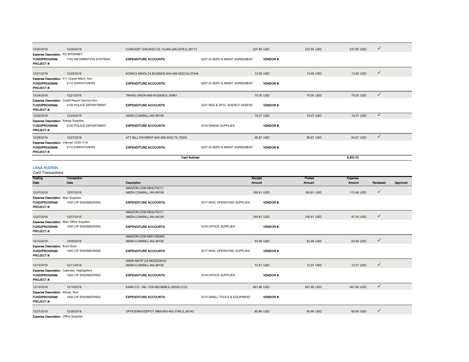| 12/20/2018                                                                             | 12/20/2018                                                               | COMCAST CHICAGO CS 1X-800-266-2278, IL, 60173 |                                | 237,85 USD      | 237.85 USD | 237.85 USD | $\checkmark$ |
|----------------------------------------------------------------------------------------|--------------------------------------------------------------------------|-----------------------------------------------|--------------------------------|-----------------|------------|------------|--------------|
| <b>Expense Description: PD INTERNET</b><br><b>FUND/PROGRAM:</b><br><b>PROJECT#:</b>    | 1750 INFORMATION SYSTEMS                                                 | <b>EXPENDITURE ACCOUNTS:</b>                  | 5207 IS SERV & MAINT AGREEMENT | <b>VENDOR#:</b> |            |            |              |
| 12/21/2018                                                                             | 12/20/2018                                                               | KONICA MINOLTA BUSINES-800-456-6422, NJ,07446 |                                | 13.85 USD       | 13.85 USD  | 13.85 USD  | $\checkmark$ |
| Expense Description: 911 Copier Maint -Nov<br><b>FUND/PROGRAM:</b><br><b>PROJECT#:</b> | 2110 DISPATCHERS                                                         | <b>EXPENDITURE ACCOUNTS:</b>                  | 5207 IS SERV & MAINT AGREEMENT | <b>VENDOR#:</b> |            |            |              |
| 12/24/2018                                                                             | 12/21/2018                                                               | TRANS UNION-866-8102636, IL, 60661            |                                | 75.00 USD       | 75,00 USD  | 75,00 USD  | $\checkmark$ |
| <b>FUND/PROGRAM:</b><br><b>PROJECT#:</b>                                               | Expense Description: Credit Report Service-Nov<br>2100 POLICE DEPARTMENT | <b>EXPENDITURE ACCOUNTS:</b>                  | 5231 REG & SPCL AGENCY ASSESS  | <b>VENDOR#:</b> |            |            |              |
| 12/26/2018                                                                             | 12/24/2018                                                               | AMZN.COM/BILL, WA, 98109                      |                                | 19.27 USD       | 19.27 USD  | 19.27 USD  | $\checkmark$ |
| <b>Expense Description: Range Supplies</b><br><b>FUND/PROGRAM:</b><br><b>PROJECT#:</b> | 2100 POLICE DEPARTMENT                                                   | <b>EXPENDITURE ACCOUNTS:</b>                  | 5316 RANGE SUPPLIES            | <b>VENDOR#:</b> |            |            |              |
| 12/28/2018                                                                             | 12/27/2018                                                               | ATT BILL PAYMENT-800-288-2020, TX, 75202      |                                | 95.67 USD       | 95.67 USD  | 95.67 USD  | $\checkmark$ |
| Expense Description: Internet 12/20-1/19<br><b>FUND/PROGRAM:</b><br><b>PROJECT#:</b>   | 2110 DISPATCHERS                                                         | <b>EXPENDITURE ACCOUNTS:</b>                  | 5207 IS SERV & MAINT AGREEMENT | <b>VENDOR#:</b> |            |            |              |
|                                                                                        | <b>Card Subtotal</b>                                                     |                                               |                                |                 |            | 5.403.33   |              |

# LANA RUDNIK

| <b>Card Transactions</b>                  |                                                    |                                            |                              |                 |            |                |              |          |
|-------------------------------------------|----------------------------------------------------|--------------------------------------------|------------------------------|-----------------|------------|----------------|--------------|----------|
| Posting                                   | Transaction                                        |                                            |                              | Receipt         | Posted     | <b>Expense</b> |              |          |
| Date                                      | Date                                               | Description                                |                              | Amount          | Amount     | Amount         | Reviewed     | Approved |
|                                           |                                                    | AMAZON.COM M04LF0211-                      |                              |                 |            |                |              |          |
| 12/07/2018                                | 12/07/2018                                         | AMZN.COM/BILL, WA, 98109                   |                              | 160.81 USD      | 160.81 USD | 113.46 USD     | $\checkmark$ |          |
| <b>Expense Description: Misc Supplies</b> |                                                    |                                            |                              |                 |            |                |              |          |
| <b>FUND/PROGRAM:</b><br>PROJECT#:         | 1400 CIP ENGINEERING                               | <b>EXPENDITURE ACCOUNTS:</b>               | 5317 MISC OPERATING SUPPLIES | <b>VENDOR#:</b> |            |                |              |          |
|                                           |                                                    | AMAZON.COM M04LF0211-                      |                              |                 |            |                |              |          |
| 12/07/2018                                | 12/07/2018                                         | AMZN.COM/BILL, WA, 98109                   |                              | 160.81 USD      | 160.81 USD | 47.35 USD      | $\checkmark$ |          |
|                                           | <b>Expense Description:</b> Misc Office Supplies   |                                            |                              |                 |            |                |              |          |
| <b>FUND/PROGRAM:</b><br>PROJECT#:         | 1400 CIP ENGINEERING                               | <b>EXPENDITURE ACCOUNTS:</b>               | 5318 OFFICE SUPPLIES         | VENDOR#:        |            |                |              |          |
|                                           |                                                    | AMAZON.COM M05129DM2-                      |                              |                 |            |                |              |          |
| 12/10/2018                                | 12/09/2018                                         | AMZN.COM/BILL, WA, 98109                   |                              | 53.99 USD       | 53.99 USD  | 53.99 USD      | $\checkmark$ |          |
| <b>Expense Description: Boot Dryer</b>    |                                                    |                                            |                              |                 |            |                |              |          |
| <b>FUND/PROGRAM:</b><br>PROJECT#:         | 1400 CIP ENGINEERING                               | <b>EXPENDITURE ACCOUNTS:</b>               | 5317 MISC OPERATING SUPPLIES | <b>VENDOR#:</b> |            |                |              |          |
|                                           |                                                    | AMZN MKTP US M00ZZ2KV2-                    |                              |                 |            |                |              |          |
| 12/12/2018                                | 12/11/2018                                         | AMZN.COM/BILL, WA, 98109                   |                              | 10.57 USD       | 10.57 USD  | 10.57 USD      | $\checkmark$ |          |
|                                           | <b>Expense Description:</b> Calendar, Highlighters |                                            |                              |                 |            |                |              |          |
| FUND/PROGRAM:<br>PROJECT#:                | 1400 CIP ENGINEERING                               | <b>EXPENDITURE ACCOUNTS:</b>               | 5318 OFFICE SUPPLIES         | <b>VENDOR#:</b> |            |                |              |          |
| 12/19/2018                                | 12/19/2018                                         | KARA CO., INC.-708-482-8888.IL.60525-3123  |                              | 491.86 USD      | 491.86 USD | 491.86 USD     | $\checkmark$ |          |
| Expense Description: Wheel, Rod           |                                                    |                                            |                              |                 |            |                |              |          |
| <b>FUND/PROGRAM:</b><br>PROJECT#:         | 1400 CIP ENGINEERING                               | <b>EXPENDITURE ACCOUNTS:</b>               | 5315 SMALL TOOLS & EQUIPMENT | <b>VENDOR#:</b> |            |                |              |          |
| 12/27/2018                                | 12/26/2018                                         | OFFICEMAX/DEPOT 6869-800-463-3768,IL,60143 |                              | 80.86 USD       | 80.86 USD  | 80.86 USD      | ✓            |          |
| Evnence December Office Supplies          |                                                    |                                            |                              |                 |            |                |              |          |

Expense Description: Office Supplies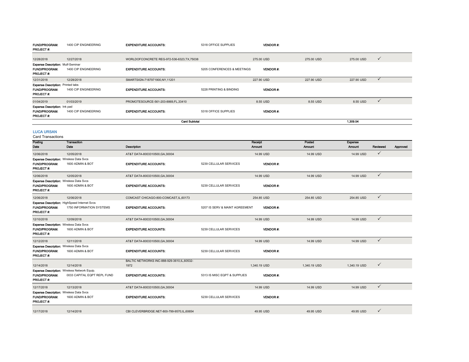| <b>FUND/PROGRAM:</b><br>PROJECT#:                                             | 1400 CIP ENGINEERING | <b>EXPENDITURE ACCOUNTS:</b>                | 5318 OFFICE SUPPLIES        | <b>VENDOR#:</b> |            |                |              |          |
|-------------------------------------------------------------------------------|----------------------|---------------------------------------------|-----------------------------|-----------------|------------|----------------|--------------|----------|
| 12/28/2018                                                                    | 12/27/2018           | WORLDOFCONCRETE REG-972-536-6323, TX, 75038 |                             | 275.00 USD      | 275,00 USD | 275.00 USD     | $\checkmark$ |          |
| <b>Expense Description: Mulf-Seminar</b>                                      |                      |                                             |                             |                 |            |                |              |          |
| <b>FUND/PROGRAM:</b><br>PROJECT#:                                             | 1400 CIP ENGINEERING | <b>EXPENDITURE ACCOUNTS:</b>                | 5205 CONFERENCES & MEETINGS | <b>VENDOR#:</b> |            |                |              |          |
| 12/31/2018                                                                    | 12/28/2018           | SMARTSIGN-7187971900,NY,11201               |                             | 227,90 USD      | 227,90 USD | 227,90 USD     | $\checkmark$ |          |
| <b>Expense Description: Printed tabs</b><br>FUND/PROGRAM:<br><b>PROJECT#:</b> | 1400 CIP ENGINEERING | <b>EXPENDITURE ACCOUNTS:</b>                | 5228 PRINTING & BINDING     | VENDOR#:        |            |                |              |          |
| 01/04/2019                                                                    | 01/03/2019           | PROMOTESOURCE-561-203-8869, FL, 33410       |                             | 8.55 USD        | 8.55 USD   | 8.55 USD       | $\checkmark$ |          |
| Expense Description: Ink pad<br><b>FUND/PROGRAM:</b><br>PROJECT#:             | 1400 CIP ENGINEERING | <b>EXPENDITURE ACCOUNTS:</b>                | 5318 OFFICE SUPPLIES        | <b>VENDOR#:</b> |            |                |              |          |
|                                                                               |                      | <b>Card Subtotal</b>                        |                             |                 |            | 1,309.54       |              |          |
| <b>LUCA URSAN</b><br><b>Card Transactions</b>                                 |                      |                                             |                             |                 |            |                |              |          |
| Posting                                                                       | Transaction          |                                             |                             | Receipt         | Posted     | <b>Expense</b> |              |          |
| Dato                                                                          | Date                 | Description                                 |                             | <b>Amount</b>   | Amount     | <b>Amount</b>  | Reviewed     | Approved |
| 12/06/2018                                                                    | 12/05/2018           | AT&T DATA-8003310500, GA, 30004             |                             | 14.99 USD       | 14.99 USD  | 14.99 USD      | $\checkmark$ |          |
| <b>Expense Description: Wireless Data Svcs</b>                                |                      |                                             |                             |                 |            |                |              |          |
| <b>FUND/PROGRAM:</b><br>PROJECT#:                                             | 1600 ADMIN & BOT     | <b>EXPENDITURE ACCOUNTS:</b>                | 5239 CELLULAR SERVICES      | <b>VENDOR#:</b> |            |                |              |          |
| 12/06/2018                                                                    | 12/05/2018           | AT&T DATA-8003310500, GA, 30004             |                             | 14.99 USD       | 14.99 USD  | 14.99 USD      | $\checkmark$ |          |
| <b>Expense Description: Wireless Data Sycs</b>                                |                      |                                             |                             |                 |            |                |              |          |

| <b>Experise Description.</b> Writeress Data OVCS<br><b>FUND/PROGRAM:</b><br>PROJECT#: | 1600 ADMIN & BOT                                                                | <b>EXPENDITURE ACCOUNTS:</b>                       | 5239 CELLULAR SERVICES         | VENDOR#:        |              |              |              |
|---------------------------------------------------------------------------------------|---------------------------------------------------------------------------------|----------------------------------------------------|--------------------------------|-----------------|--------------|--------------|--------------|
| 12/06/2018                                                                            | 12/06/2018                                                                      | COMCAST CHICAGO-800-COMCAST, IL, 60173             |                                | 254.85 USD      | 254.85 USD   | 254.85 USD   | $\checkmark$ |
| <b>FUND/PROGRAM:</b><br><b>PROJECT#:</b>                                              | <b>Expense Description: HighSpeed Internet Svcs</b><br>1750 INFORMATION SYSTEMS | <b>EXPENDITURE ACCOUNTS:</b>                       | 5207 IS SERV & MAINT AGREEMENT | <b>VENDOR#:</b> |              |              |              |
| 12/10/2018                                                                            | 12/09/2018                                                                      | AT&T DATA-8003310500.GA.30004                      |                                | 14.99 USD       | 14.99 USD    | 14.99 USD    | $\checkmark$ |
| <b>Expense Description: Wireless Data Svcs</b><br><b>FUND/PROGRAM:</b><br>PROJECT#:   | 1600 ADMIN & BOT                                                                | <b>EXPENDITURE ACCOUNTS:</b>                       | 5239 CELLULAR SERVICES         | <b>VENDOR#:</b> |              |              |              |
| 12/12/2018                                                                            | 12/11/2018                                                                      | AT&T DATA-8003310500, GA, 30004                    |                                | 14.99 USD       | 14.99 USD    | 14.99 USD    | $\checkmark$ |
| <b>Expense Description: Wireless Data Svcs</b><br><b>FUND/PROGRAM:</b><br>PROJECT#:   | 1600 ADMIN & BOT                                                                | <b>EXPENDITURE ACCOUNTS:</b>                       | 5239 CELLULAR SERVICES         | <b>VENDOR#</b>  |              |              |              |
| 12/14/2018                                                                            | 12/14/2018                                                                      | BALTIC NETWORKS INC-888-929-3610,IL,60532-<br>1972 |                                | 1.340.19 USD    | 1.340.19 USD | 1,340.19 USD | $\checkmark$ |
| <b>FUND/PROGRAM:</b><br><b>PROJECT#:</b>                                              | Expense Description: Wireless Network Equip.<br>0033 CAPITAL EQPT REPL FUND     | <b>EXPENDITURE ACCOUNTS:</b>                       | 5313 IS MISC EQPT & SUPPLIES   | <b>VENDOR#:</b> |              |              |              |
| 12/17/2018                                                                            | 12/13/2018                                                                      | AT&T DATA-8003310500, GA, 30004                    |                                | 14.99 USD       | 14.99 USD    | 14.99 USD    | $\checkmark$ |
| <b>Expense Description: Wireless Data Svcs</b><br><b>FUND/PROGRAM:</b><br>PROJECT#:   | 1600 ADMIN & BOT                                                                | <b>EXPENDITURE ACCOUNTS:</b>                       | 5239 CELLULAR SERVICES         | <b>VENDOR#:</b> |              |              |              |
| 12/17/2018                                                                            | 12/14/2018                                                                      | CBI CLEVERBRIDGE.NET-800-799-9570.IL.60654         |                                | 49.95 USD       | 49.95 USD    | 49.95 USD    | $\checkmark$ |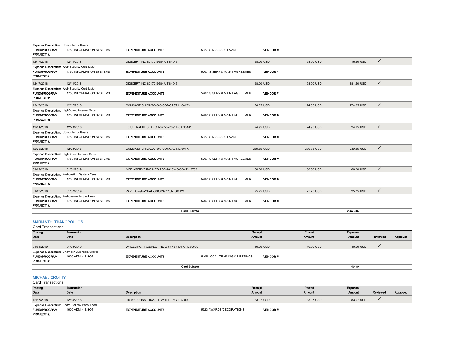|                                                                                    | <b>Card Subtotal</b>                                                                   |                                                                      |                                |                        |            | 2.443.34   |              |
|------------------------------------------------------------------------------------|----------------------------------------------------------------------------------------|----------------------------------------------------------------------|--------------------------------|------------------------|------------|------------|--------------|
| <b>FUND/PROGRAM:</b><br>PROJECT#:                                                  | <b>Expense Description: Webpayments Sys Fees</b><br>1750 INFORMATION SYSTEMS           | <b>EXPENDITURE ACCOUNTS:</b>                                         | 5207 IS SERV & MAINT AGREEMENT | <b>VENDOR#:</b>        |            |            |              |
| 01/03/2019                                                                         | 01/02/2019                                                                             | PAYFLOW/PAYPAL-8888839770.NE.68126                                   |                                | 25.75 USD              | 25.75 USD  | 25.75 USD  | $\checkmark$ |
| <b>FUND/PROGRAM:</b><br>PROJECT#:                                                  | <b>Expense Description: Webcasting System Fees</b><br>1750 INFORMATION SYSTEMS         | <b>EXPENDITURE ACCOUNTS:</b>                                         | 5207 IS SERV & MAINT AGREEMENT | <b>VENDOR#:</b>        |            |            |              |
| 01/02/2019                                                                         | 01/01/2019                                                                             | MEDIASERVE INC MEDIASE-16153456600, TN, 37031                        |                                | 60.00 USD              | 60.00 USD  | 60.00 USD  | $\checkmark$ |
| 12/28/2018<br><b>FUND/PROGRAM:</b><br>PROJECT#:                                    | 12/28/2018<br>Expense Description: HighSpeed Internet Svcs<br>1750 INFORMATION SYSTEMS | COMCAST CHICAGO-800-COMCAST.IL.60173<br><b>EXPENDITURE ACCOUNTS:</b> | 5207 IS SERV & MAINT AGREEMENT | 239.85 USD<br>VENDOR#: | 239.85 USD | 239.85 USD | $\checkmark$ |
| <b>FUND/PROGRAM:</b><br>PROJECT#:                                                  | 1750 INFORMATION SYSTEMS                                                               | <b>EXPENDITURE ACCOUNTS:</b>                                         | 5327 IS MISC SOFTWARE          | <b>VENDOR#:</b>        |            |            |              |
| <b>Expense Description: Computer Software</b>                                      |                                                                                        |                                                                      |                                |                        |            |            |              |
| 12/21/2018                                                                         | 12/20/2018                                                                             | FS ULTRAFILESEARCH-877-3278914, CA, 93101                            |                                | 24.95 USD              | 24.95 USD  | 24.95 USD  | $\checkmark$ |
| <b>FUND/PROGRAM:</b><br>PROJECT #:                                                 | Expense Description: HighSpeed Internet Svcs<br>1750 INFORMATION SYSTEMS               | <b>EXPENDITURE ACCOUNTS:</b>                                         | 5207 IS SERV & MAINT AGREEMENT | <b>VENDOR#:</b>        |            |            |              |
| 12/17/2018                                                                         | 12/17/2018                                                                             | COMCAST CHICAGO-800-COMCAST, IL, 60173                               |                                | 174.85 USD             | 174.85 USD | 174.85 USD | $\checkmark$ |
| <b>FUND/PROGRAM:</b><br><b>PROJECT#:</b>                                           | Expense Description: Web Security Certificate<br>1750 INFORMATION SYSTEMS              | <b>EXPENDITURE ACCOUNTS:</b>                                         | 5207 IS SERV & MAINT AGREEMENT | VENDOR#:               |            |            |              |
| 12/17/2018                                                                         | 12/14/2018                                                                             | DIGICERT INC-8017019684, UT, 84043                                   |                                | 198,00 USD             | 198,00 USD | 181.50 USD | $\checkmark$ |
| <b>FUND/PROGRAM:</b><br>PROJECT#:                                                  | <b>Expense Description: Web Security Certificate</b><br>1750 INFORMATION SYSTEMS       | <b>EXPENDITURE ACCOUNTS:</b>                                         | 5207 IS SERV & MAINT AGREEMENT | <b>VENDOR#:</b>        |            |            |              |
| 12/17/2018                                                                         | 12/14/2018                                                                             | DIGICERT INC-8017019684,UT,84043                                     |                                | 198,00 USD             | 198,00 USD | 16.50 USD  | $\checkmark$ |
| <b>Expense Description: Computer Software</b><br><b>FUND/PROGRAM:</b><br>PROJECT#: | 1750 INFORMATION SYSTEMS                                                               | <b>EXPENDITURE ACCOUNTS:</b>                                         | 5327 IS MISC SOFTWARE          | <b>VENDOR#</b>         |            |            |              |

#### MARIANTHI THANOPOULOS

#### Card Transactions

| Posting                                  | <b>Transaction</b>                                                      |                                             |                                | Receipt          | Posted        | Expense   |          |          |
|------------------------------------------|-------------------------------------------------------------------------|---------------------------------------------|--------------------------------|------------------|---------------|-----------|----------|----------|
| Date                                     | Date                                                                    | Description                                 |                                | Amount           | <b>Amount</b> | Amount    | Reviewed | Approved |
| 01/04/2019                               | 01/03/2019                                                              | WHEELING PROSPECT HEIG-847-5410170,IL,60090 |                                | 40.00 USD        | 40.00 USD     | 40.00 USD |          |          |
| <b>FUND/PROGRAM:</b><br><b>PROJECT#:</b> | <b>Expense Description:</b> Chamber Business Awards<br>1600 ADMIN & BOT | <b>EXPENDITURE ACCOUNTS:</b>                | 5105 LOCAL TRAINING & MEETINGS | <b>VENDOR #:</b> |               |           |          |          |
|                                          | <b>Card Subtotal</b>                                                    |                                             |                                |                  |               | 40.00     |          |          |

# MICHAEL CROTTY

| Posting                                              | Transaction      |                                          |                         | Receipt         | Posted        | Expense   |          |          |
|------------------------------------------------------|------------------|------------------------------------------|-------------------------|-----------------|---------------|-----------|----------|----------|
| Date                                                 | Date             | Description                              |                         | Amount          | <b>Amount</b> | Amount    | Reviewed | Approved |
| 12/17/2018                                           | 12/14/2018       | JIMMY JOHNS - 1629 - E-WHEELING,IL,60090 |                         | 83.97 USD       | 83.97 USD     | 83.97 USD |          |          |
| <b>Expense Description:</b> Board Holiday Party Food |                  |                                          |                         |                 |               |           |          |          |
| <b>FUND/PROGRAM:</b>                                 | 1600 ADMIN & BOT | <b>EXPENDITURE ACCOUNTS:</b>             | 5323 AWARDS/DECORATIONS | <b>VENDOR#:</b> |               |           |          |          |
| <b>PROJECT#:</b>                                     |                  |                                          |                         |                 |               |           |          |          |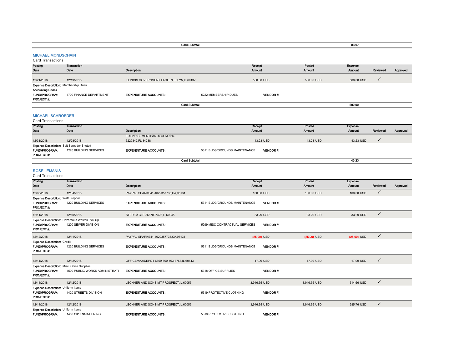|                                                                                 |                                                                      | <b>Card Subtotal</b>                       |                                |                          |                 |                  | 83.97                    |              |          |
|---------------------------------------------------------------------------------|----------------------------------------------------------------------|--------------------------------------------|--------------------------------|--------------------------|-----------------|------------------|--------------------------|--------------|----------|
| <b>MICHAEL MONDSCHAIN</b><br><b>Card Transactions</b>                           |                                                                      |                                            |                                |                          |                 |                  |                          |              |          |
| Posting<br>Date                                                                 | Transaction<br>Date                                                  | Description                                |                                | Receipt<br><b>Amount</b> |                 | Posted<br>Amount | Expense<br><b>Amount</b> | Reviewed     | Approved |
| 12/21/2018<br>Expense Description: Membership Dues                              | 12/19/2018                                                           | ILLINOIS GOVERNMENT FI-GLEN ELLYN.IL.60137 |                                |                          | 500.00 USD      | 500.00 USD       | 500.00 USD               | $\checkmark$ |          |
| Accounting Codes<br><b>FUND/PROGRAM:</b><br>PROJECT #:                          | 1700 FINANCE DEPARTMENT                                              | <b>EXPENDITURE ACCOUNTS:</b>               | 5222 MEMBERSHIP DUES           |                          | VENDOR#:        |                  |                          |              |          |
|                                                                                 |                                                                      | <b>Card Subtotal</b>                       |                                |                          |                 |                  | 500.00                   |              |          |
| <b>MICHAEL SCHROEDER</b><br><b>Card Transactions</b>                            |                                                                      |                                            |                                |                          |                 |                  |                          |              |          |
| Posting<br>Date                                                                 | Transaction<br>Date                                                  | Description                                |                                | Receipt<br>Amount        |                 | Posted<br>Amount | <b>Expense</b><br>Amount | Reviewed     | Approved |
|                                                                                 |                                                                      | EREPLACEMENTPARTS.COM-866-                 |                                |                          |                 |                  |                          |              |          |
| 12/31/2018                                                                      | 12/28/2018                                                           | 3229842, FL, 34238                         |                                |                          | 43.23 USD       | 43.23 USD        | 43.23 USD                | $\checkmark$ |          |
| Expense Description: Salt Spreader Shutoff<br>FUND/PROGRAM:<br>PROJECT #:       | 1220 BUILDING SERVICES                                               | <b>EXPENDITURE ACCOUNTS:</b>               | 5311 BLDG/GROUNDS MAINTENANCE  |                          | <b>VENDOR#:</b> |                  |                          |              |          |
|                                                                                 |                                                                      | <b>Card Subtotal</b>                       |                                |                          |                 |                  | 43.23                    |              |          |
| <b>ROSE LEMANIS</b><br><b>Card Transactions</b>                                 |                                                                      |                                            |                                |                          |                 |                  |                          |              |          |
| Posting<br>Dato                                                                 | <b>Transaction</b><br>Date                                           | Description                                |                                | Receipt<br><b>Amount</b> |                 | Posted<br>Amount | Expense<br><b>Amount</b> | Reviewed     | Approved |
| 12/05/2018                                                                      | 12/04/2018                                                           | PAYPAL SPARKS41-4029357733,CA,95131        |                                |                          | 100.00 USD      | 100.00 USD       | 100.00 USD               | $\checkmark$ |          |
| <b>Expense Description: Watt Stopper</b><br>FUND/PROGRAM:<br><b>PROJECT #:</b>  | 1220 BUILDING SERVICES                                               | <b>EXPENDITURE ACCOUNTS:</b>               | 5311 BLDG/GROUNDS MAINTENANCE  |                          | <b>VENDOR#:</b> |                  |                          |              |          |
| 12/11/2018                                                                      | 12/10/2018                                                           | STERICYCLE-8667837422,IL,60045             |                                |                          | 33.29 USD       | 33.29 USD        | 33.29 USD                | $\checkmark$ |          |
| FUND/PROGRAM:<br>PROJECT #:                                                     | Expense Description: Hazardous Wastes Pick Up<br>4200 SEWER DIVISION | <b>EXPENDITURE ACCOUNTS:</b>               | 5299 MISC CONTRACTUAL SERVICES |                          | <b>VENDOR#:</b> |                  |                          |              |          |
| 12/12/2018                                                                      | 12/11/2018                                                           | PAYPAL SPARKS41-4029357733,CA,95131        |                                |                          | $(25.00)$ USD   | $(25.00)$ USD    | $(25.00)$ USD            | $\checkmark$ |          |
| <b>Expense Description: Credit</b><br>FUND/PROGRAM:<br>PROJECT#:                | 1220 BUILDING SERVICES                                               | <b>EXPENDITURE ACCOUNTS:</b>               | 5311 BLDG/GROUNDS MAINTENANCE  |                          | <b>VENDOR#:</b> |                  |                          |              |          |
| 12/14/2018                                                                      | 12/12/2018                                                           | OFFICEMAX/DEPOT 6869-800-463-3768,IL,60143 |                                |                          | 17.99 USD       | 17.99 USD        | 17.99 USD                | $\checkmark$ |          |
| Expense Description: Misc. Office Supplies<br>FUND/PROGRAM:<br>PROJECT #:       | 1500 PUBLIC WORKS ADMINISTRATI                                       | <b>EXPENDITURE ACCOUNTS:</b>               | 5318 OFFICE SUPPLIES           |                          | <b>VENDOR#:</b> |                  |                          |              |          |
| 12/14/2018                                                                      | 12/12/2018                                                           | LECHNER AND SONS-MT PROSPECT, IL, 60056    |                                | 3,946.35 USD             |                 | 3,946.35 USD     | 314.66 USD               | $\checkmark$ |          |
| Expense Description: Uniform Items<br><b>FUND/PROGRAM:</b><br><b>PROJECT #:</b> | 1420 STREETS DIVISION                                                | <b>EXPENDITURE ACCOUNTS:</b>               | 5319 PROTECTIVE CLOTHING       |                          | VENDOR#:        |                  |                          |              |          |
| 12/14/2018                                                                      | 12/12/2018                                                           | LECHNER AND SONS-MT PROSPECT, IL, 60056    |                                | 3,946.35 USD             |                 | 3,946.35 USD     | 285,76 USD               | $\checkmark$ |          |
| Expense Description: Uniform Items<br>FUND/PROGRAM:                             | 1400 CIP ENGINEERING                                                 | <b>EXPENDITURE ACCOUNTS:</b>               | 5319 PROTECTIVE CLOTHING       |                          | <b>VENDOR#:</b> |                  |                          |              |          |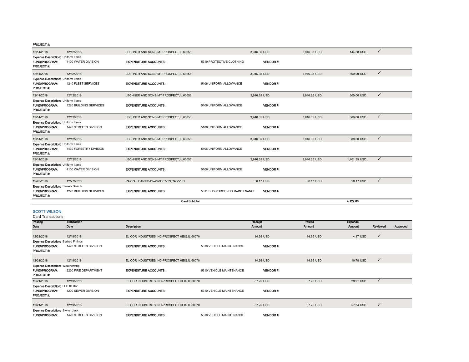#### PROJECT #:

| 12/14/2018                                                                     | 12/12/2018             | LECHNER AND SONS-MT PROSPECT.IL.60056   |                               | 3.946.35 USD    | 3.946.35 USD | $\checkmark$<br>144.58 USD   |  |
|--------------------------------------------------------------------------------|------------------------|-----------------------------------------|-------------------------------|-----------------|--------------|------------------------------|--|
| Expense Description: Uniform Items<br><b>FUND/PROGRAM:</b><br>PROJECT#:        | 4100 WATER DIVISION    | <b>EXPENDITURE ACCOUNTS:</b>            | 5319 PROTECTIVE CLOTHING      | <b>VENDOR#:</b> |              |                              |  |
| 12/14/2018                                                                     | 12/12/2018             | LECHNER AND SONS-MT PROSPECT, IL, 60056 |                               | 3.946.35 USD    | 3.946.35 USD | $\checkmark$<br>600.00 USD   |  |
| Expense Description: Uniform Items<br><b>FUND/PROGRAM:</b><br><b>PROJECT#:</b> | 1240 FLEET SERVICES    | <b>EXPENDITURE ACCOUNTS:</b>            | 5106 UNIFORM ALLOWANCE        | <b>VENDOR#:</b> |              |                              |  |
| 12/14/2018                                                                     | 12/12/2018             | LECHNER AND SONS-MT PROSPECT, IL, 60056 |                               | 3,946.35 USD    | 3,946.35 USD | $\checkmark$<br>600.00 USD   |  |
| Expense Description: Uniform Items<br><b>FUND/PROGRAM:</b><br><b>PROJECT#:</b> | 1220 BUILDING SERVICES | <b>EXPENDITURE ACCOUNTS:</b>            | 5106 UNIFORM ALLOWANCE        | VENDOR#:        |              |                              |  |
| 12/14/2018                                                                     | 12/12/2018             | LECHNER AND SONS-MT PROSPECT.IL.60056   |                               | 3.946.35 USD    | 3.946.35 USD | $\checkmark$<br>300,00 USD   |  |
| Expense Description: Uniform Items<br><b>FUND/PROGRAM:</b><br>PROJECT#:        | 1420 STREETS DIVISION  | <b>EXPENDITURE ACCOUNTS:</b>            | 5106 UNIFORM ALLOWANCE        | <b>VENDOR#:</b> |              |                              |  |
| 12/14/2018                                                                     | 12/12/2018             | LECHNER AND SONS-MT PROSPECT, IL, 60056 |                               | 3,946.35 USD    | 3,946.35 USD | $\checkmark$<br>300.00 USD   |  |
| Expense Description: Uniform Items<br><b>FUND/PROGRAM:</b><br>PROJECT#:        | 1430 FORESTRY DIVISION | <b>EXPENDITURE ACCOUNTS:</b>            | 5106 UNIFORM ALLOWANCE        | <b>VENDOR#:</b> |              |                              |  |
| 12/14/2018                                                                     | 12/12/2018             | LECHNER AND SONS-MT PROSPECT.IL.60056   |                               | 3.946.35 USD    | 3.946.35 USD | $\checkmark$<br>1.401.35 USD |  |
| Expense Description: Uniform Items<br><b>FUND/PROGRAM:</b><br>PROJECT#:        | 4100 WATER DIVISION    | <b>EXPENDITURE ACCOUNTS:</b>            | 5106 UNIFORM ALLOWANCE        | <b>VENDOR#:</b> |              |                              |  |
| 12/28/2018                                                                     | 12/27/2018             | PAYPAL CARIBBAY-4029357733.CA.95131     |                               | 50.17 USD       | 50.17 USD    | $\checkmark$<br>50.17 USD    |  |
| <b>Expense Description: Sensor Switch</b><br>FUND/PROGRAM:<br>PROJECT#:        | 1220 BUILDING SERVICES | <b>EXPENDITURE ACCOUNTS:</b>            | 5311 BLDG/GROUNDS MAINTENANCE | <b>VENDOR#:</b> |              |                              |  |
| <b>Card Subtotal</b>                                                           |                        |                                         |                               |                 |              | 4.122.80                     |  |

# SCOTT WILSON

| Posting                                     | Transaction           |                                                |                          | Receipt         | Posted        | <b>Expense</b> |              |          |
|---------------------------------------------|-----------------------|------------------------------------------------|--------------------------|-----------------|---------------|----------------|--------------|----------|
| Date                                        | Date                  | Description                                    |                          | <b>Amount</b>   | <b>Amount</b> | <b>Amount</b>  | Reviewed     | Approved |
|                                             |                       |                                                |                          |                 |               |                |              |          |
| 12/21/2018                                  | 12/19/2018            | EL COR INDUSTRIES INC-PROSPECT HEIG,IL,60070   |                          | 14.95 USD       | 14.95 USD     | 4.17 USD       | $\checkmark$ |          |
| <b>Expense Description: Barbed Fittings</b> |                       |                                                |                          |                 |               |                |              |          |
| <b>FUND/PROGRAM:</b>                        | 1420 STREETS DIVISION | <b>EXPENDITURE ACCOUNTS:</b>                   | 5310 VEHICLE MAINTENANCE | <b>VENDOR#:</b> |               |                |              |          |
| <b>PROJECT#:</b>                            |                       |                                                |                          |                 |               |                |              |          |
|                                             |                       |                                                |                          |                 |               |                |              |          |
| 12/21/2018                                  | 12/19/2018            | EL COR INDUSTRIES INC-PROSPECT HEIG, IL, 60070 |                          | 14.95 USD       | 14.95 USD     | 10.78 USD      | $\checkmark$ |          |
| <b>Expense Description: Weatherstrip</b>    |                       |                                                |                          |                 |               |                |              |          |
| <b>FUND/PROGRAM:</b>                        | 2200 FIRE DEPARTMENT  | <b>EXPENDITURE ACCOUNTS:</b>                   | 5310 VEHICLE MAINTENANCE | <b>VENDOR#:</b> |               |                |              |          |
| PROJECT#:                                   |                       |                                                |                          |                 |               |                |              |          |
| 12/21/2018                                  | 12/19/2018            | EL COR INDUSTRIES INC-PROSPECT HEIG, IL, 60070 |                          | 87.25 USD       | 87.25 USD     | 29.91 USD      | $\checkmark$ |          |
| Expense Description: LED ID Bar             |                       |                                                |                          |                 |               |                |              |          |
| <b>FUND/PROGRAM:</b>                        | 4200 SEWER DIVISION   | <b>EXPENDITURE ACCOUNTS:</b>                   | 5310 VEHICLE MAINTENANCE | <b>VENDOR#:</b> |               |                |              |          |
| <b>PROJECT#:</b>                            |                       |                                                |                          |                 |               |                |              |          |
|                                             |                       |                                                |                          |                 |               |                |              |          |
| 12/21/2018                                  | 12/19/2018            | EL COR INDUSTRIES INC-PROSPECT HEIG,IL,60070   |                          | 87.25 USD       | 87.25 USD     | 57.34 USD      | $\checkmark$ |          |
| <b>Expense Description: Swivel Jack</b>     |                       |                                                |                          |                 |               |                |              |          |
| <b>FUND/PROGRAM:</b>                        | 1420 STREETS DIVISION | <b>EXPENDITURE ACCOUNTS:</b>                   | 5310 VEHICLE MAINTENANCE | <b>VENDOR#:</b> |               |                |              |          |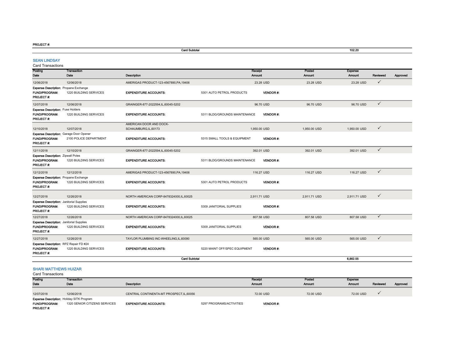#### PROJECT #:

|                                                                                             |                        | 102.20                                         |                               |                          |                 |                         |                                 |              |          |
|---------------------------------------------------------------------------------------------|------------------------|------------------------------------------------|-------------------------------|--------------------------|-----------------|-------------------------|---------------------------------|--------------|----------|
| <b>SEAN LINDSAY</b><br><b>Card Transactions</b>                                             |                        |                                                |                               |                          |                 |                         |                                 |              |          |
| Posting<br>Date                                                                             | Transaction<br>Date    | Description                                    |                               | Receipt<br><b>Amount</b> |                 | Posted<br><b>Amount</b> | <b>Expense</b><br><b>Amount</b> | Reviewed     | Approved |
| 12/06/2018                                                                                  | 12/06/2018             | AMERIGAS PRODUCT-123-4567890.PA.19406          |                               | 23.28 USD                |                 | 23.28 USD               | 23.28 USD                       | $\checkmark$ |          |
| <b>Expense Description: Propane Exchange</b><br><b>FUND/PROGRAM:</b><br><b>PROJECT#:</b>    | 1220 BUILDING SERVICES | <b>EXPENDITURE ACCOUNTS:</b>                   | 5301 AUTO PETROL PRODUCTS     |                          | <b>VENDOR#</b>  |                         |                                 |              |          |
| 12/07/2018                                                                                  | 12/06/2018             | GRAINGER-877-2022594,IL,60045-5202             |                               | 96.70 USD                |                 | 96.70 USD               | 96.70 USD                       | $\checkmark$ |          |
| Expense Description: Fuse Holders<br><b>FUND/PROGRAM:</b><br>PROJECT#:                      | 1220 BUILDING SERVICES | <b>EXPENDITURE ACCOUNTS:</b>                   | 5311 BLDG/GROUNDS MAINTENANCE |                          | <b>VENDOR#:</b> |                         |                                 |              |          |
| 12/10/2018                                                                                  | 12/07/2018             | AMERICAN DOOR AND DOCK-<br>SCHAUMBURG,IL,60173 |                               | 1,950.00 USD             |                 | 1,950.00 USD            | 1,950.00 USD                    | $\checkmark$ |          |
| <b>Expense Description: Garage Door Opener</b><br>FUND/PROGRAM:<br><b>PROJECT#:</b>         | 2100 POLICE DEPARTMENT | <b>EXPENDITURE ACCOUNTS:</b>                   | 5315 SMALL TOOLS & EQUIPMENT  |                          | <b>VENDOR#:</b> |                         |                                 |              |          |
| 12/11/2018                                                                                  | 12/10/2018             | GRAINGER-877-2022594,IL,60045-5202             |                               | 392.01 USD               |                 | 392.01 USD              | 392.01 USD                      | $\checkmark$ |          |
| <b>Expense Description: Zipwall Poles</b><br><b>FUND/PROGRAM:</b><br><b>PROJECT#:</b>       | 1220 BUILDING SERVICES | <b>EXPENDITURE ACCOUNTS:</b>                   | 5311 BLDG/GROUNDS MAINTENANCE |                          | <b>VENDOR#:</b> |                         |                                 |              |          |
| 12/12/2018                                                                                  | 12/12/2018             | AMERIGAS PRODUCT-123-4567890,PA,19406          |                               | 116.27 USD               |                 | 116,27 USD              | 116.27 USD                      | $\checkmark$ |          |
| <b>Expense Description: Propane Exchange</b><br><b>FUND/PROGRAM:</b><br><b>PROJECT#:</b>    | 1220 BUILDING SERVICES | <b>EXPENDITURE ACCOUNTS:</b>                   | 5301 AUTO PETROL PRODUCTS     |                          | <b>VENDOR#:</b> |                         |                                 |              |          |
| 12/27/2018                                                                                  | 12/26/2018             | NORTH AMERICAN CORP-8478324000.IL.60025        |                               | 2.911.71 USD             |                 | 2.911.71 USD            | 2.911.71 USD                    | $\checkmark$ |          |
| <b>Expense Description: Janitorial Supplies</b><br><b>FUND/PROGRAM:</b><br><b>PROJECT#:</b> | 1220 BUILDING SERVICES | <b>EXPENDITURE ACCOUNTS:</b>                   | 5309 JANITORIAL SUPPLIES      |                          | <b>VENDOR#:</b> |                         |                                 |              |          |
| 12/27/2018                                                                                  | 12/26/2018             | NORTH AMERICAN CORP-8478324000,IL,60025        |                               | 807.58 USD               |                 | 807.58 USD              | 807.58 USD                      | $\checkmark$ |          |
| <b>Expense Description: Janitorial Supplies</b><br>FUND/PROGRAM:<br>PROJECT#:               | 1220 BUILDING SERVICES | <b>EXPENDITURE ACCOUNTS:</b>                   | 5309 JANITORIAL SUPPLIES      |                          | <b>VENDOR#:</b> |                         |                                 |              |          |
| 12/27/2018                                                                                  | 12/26/2018             | TAYLOR PLUMBING INC-WHEELING,IL,60090          |                               | 565.00 USD               |                 | 565.00 USD              | 565.00 USD                      | $\checkmark$ |          |
| Expense Description: RPZ Repair FD #24<br><b>FUND/PROGRAM:</b><br><b>PROJECT#:</b>          | 1220 BUILDING SERVICES | <b>EXPENDITURE ACCOUNTS:</b>                   | 5220 MAINT OFF/SPEC EQUIPMENT |                          | <b>VENDOR#:</b> |                         |                                 |              |          |
|                                                                                             |                        | <b>Card Subtotal</b>                           |                               |                          |                 |                         | 6.862.55                        |              |          |
| <b>SHARI MATTHEWS HUIZAR</b>                                                                |                        |                                                |                               |                          |                 |                         |                                 |              |          |

| Posting                                          | Transaction                   |                                           |                          | Receipt         | Posted    | Expense       |          |          |
|--------------------------------------------------|-------------------------------|-------------------------------------------|--------------------------|-----------------|-----------|---------------|----------|----------|
| Date                                             | Date                          | Description                               |                          | <b>Amount</b>   | Amount    | <b>Amount</b> | Reviewed | Approved |
|                                                  |                               |                                           |                          |                 |           |               |          |          |
| 12/07/2018                                       | 12/06/2018                    | CENTRAL CONTINENTA-MT PROSPECT, IL, 60056 |                          | 72.00 USD       | 72.00 USD | 72.00 USD     |          |          |
| <b>Expense Description: Holiday SITK Program</b> |                               |                                           |                          |                 |           |               |          |          |
| <b>FUND/PROGRAM:</b>                             | 1320 SENIOR CITIZENS SERVICES | <b>EXPENDITURE ACCOUNTS:</b>              | 5297 PROGRAMS/ACTIVITIES | <b>VENDOR#:</b> |           |               |          |          |
| <b>PROJECT#:</b>                                 |                               |                                           |                          |                 |           |               |          |          |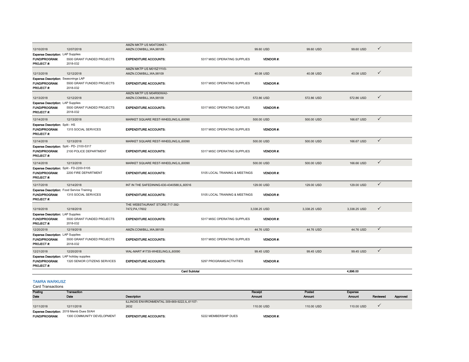|                                                                                               |                                        | AMZN MKTP US M04TO6KE1-                           |                                |                 |              |              |              |
|-----------------------------------------------------------------------------------------------|----------------------------------------|---------------------------------------------------|--------------------------------|-----------------|--------------|--------------|--------------|
| 12/10/2018                                                                                    | 12/07/2018                             | AMZN.COM/BILL.WA.98109                            |                                | 99.60 USD       | 99.60 USD    | 99.60 USD    | ✓            |
| Expense Description: LAP Supplies                                                             |                                        |                                                   |                                |                 |              |              |              |
| <b>FUND/PROGRAM:</b><br>PROJECT#:                                                             | 5500 GRANT FUNDED PROJECTS<br>2018-032 | <b>EXPENDITURE ACCOUNTS:</b>                      | 5317 MISC OPERATING SUPPLIES   | <b>VENDOR#:</b> |              |              |              |
|                                                                                               |                                        | AMZN MKTP US M015Z1YV0-                           |                                |                 |              |              |              |
| 12/13/2018                                                                                    | 12/12/2018                             | AMZN.COM/BILL, WA, 98109                          |                                | 40.08 USD       | 40.08 USD    | 40.08 USD    | $\checkmark$ |
| <b>Expense Description: Seasonings LAP</b>                                                    |                                        |                                                   |                                |                 |              |              |              |
| FUND/PROGRAM:<br>PROJECT#:                                                                    | 5500 GRANT FUNDED PROJECTS<br>2018-032 | <b>EXPENDITURE ACCOUNTS:</b>                      | 5317 MISC OPERATING SUPPLIES   | <b>VENDOR#:</b> |              |              |              |
|                                                                                               |                                        | AMZN MKTP US M04R90WA0-                           |                                |                 |              |              |              |
| 12/13/2018                                                                                    | 12/12/2018                             | AMZN.COM/BILL, WA, 98109                          |                                | 572.86 USD      | 572.86 USD   | 572.86 USD   | $\checkmark$ |
| Expense Description: LAP Supplies                                                             |                                        |                                                   |                                |                 |              |              |              |
| FUND/PROGRAM:<br>PROJECT#:                                                                    | 5500 GRANT FUNDED PROJECTS<br>2018-032 | <b>EXPENDITURE ACCOUNTS:</b>                      | 5317 MISC OPERATING SUPPLIES   | <b>VENDOR#:</b> |              |              |              |
| 12/14/2018                                                                                    | 12/13/2018                             | MARKET SQUARE REST-WHEELING, IL, 60090            |                                | 500.00 USD      | 500.00 USD   | 166.67 USD   | $\checkmark$ |
| Expense Description: Split - HS<br><b>FUND/PROGRAM:</b>                                       | 1315 SOCIAL SERVICES                   | <b>EXPENDITURE ACCOUNTS:</b>                      | 5317 MISC OPERATING SUPPLIES   | <b>VENDOR#:</b> |              |              |              |
| PROJECT#:                                                                                     |                                        |                                                   |                                |                 |              |              |              |
| 12/14/2018                                                                                    | 12/13/2018                             | MARKET SQUARE REST-WHEELING, IL, 60090            |                                | 500.00 USD      | 500.00 USD   | 166.67 USD   | $\checkmark$ |
| Expense Description: Split - PD-2100-5317                                                     |                                        |                                                   |                                |                 |              |              |              |
| <b>FUND/PROGRAM:</b><br>PROJECT#:                                                             | 2100 POLICE DEPARTMENT                 | <b>EXPENDITURE ACCOUNTS:</b>                      | 5317 MISC OPERATING SUPPLIES   | <b>VENDOR#:</b> |              |              |              |
| 12/14/2018                                                                                    | 12/13/2018                             | MARKET SQUARE REST-WHEELING,IL,60090              |                                | 500.00 USD      | 500.00 USD   | 166.66 USD   | $\checkmark$ |
| Expense Description: Split - FD-2200-5105<br>FUND/PROGRAM:<br>PROJECT#:                       | 2200 FIRE DEPARTMENT                   | <b>EXPENDITURE ACCOUNTS:</b>                      | 5105 LOCAL TRAINING & MEETINGS | <b>VENDOR#:</b> |              |              |              |
| 12/17/2018                                                                                    | 12/14/2018                             | INT IN THE SAFEDINING-630-4340588,IL,60516        |                                | 129.00 USD      | 129.00 USD   | 129.00 USD   | $\checkmark$ |
| <b>Expense Description:</b> Food Service Training<br><b>FUND/PROGRAM:</b><br><b>PROJECT#:</b> | 1315 SOCIAL SERVICES                   | <b>EXPENDITURE ACCOUNTS:</b>                      | 5105 LOCAL TRAINING & MEETINGS | <b>VENDOR#:</b> |              |              |              |
| 12/19/2018                                                                                    | 12/18/2018                             | THE WEBSTAURANT STORE-717-392-<br>7472, PA, 17602 |                                | 3,338.25 USD    | 3,338.25 USD | 3,338.25 USD | $\checkmark$ |
| Expense Description: LAP Supplies                                                             |                                        |                                                   |                                |                 |              |              |              |
| <b>FUND/PROGRAM:</b><br>PROJECT#:                                                             | 5500 GRANT FUNDED PROJECTS<br>2018-032 | <b>EXPENDITURE ACCOUNTS:</b>                      | 5317 MISC OPERATING SUPPLIES   | <b>VENDOR#:</b> |              |              |              |
| 12/20/2018                                                                                    | 12/19/2018                             | AMZN.COM/BILL, WA, 98109                          |                                | 44.76 USD       | 44.76 USD    | 44.76 USD    | $\checkmark$ |
| <b>Expense Description: LAP Supplies</b>                                                      |                                        |                                                   |                                |                 |              |              |              |
| FUND/PROGRAM:<br>PROJECT#:                                                                    | 5500 GRANT FUNDED PROJECTS<br>2018-032 | <b>EXPENDITURE ACCOUNTS:</b>                      | 5317 MISC OPERATING SUPPLIES   | <b>VENDOR#:</b> |              |              |              |
| 12/21/2018                                                                                    | 12/20/2018                             | WAL-MART #1735-WHEELING,IL,60090                  |                                | 99.45 USD       | 99.45 USD    | 99.45 USD    | $\checkmark$ |
| <b>Expense Description:</b> LAP holiday supplies<br><b>FUND/PROGRAM:</b><br><b>PROJECT#:</b>  | 1320 SENIOR CITIZENS SERVICES          | <b>EXPENDITURE ACCOUNTS:</b>                      | 5297 PROGRAMS/ACTIVITIES       | <b>VENDOR#:</b> |              |              |              |
|                                                                                               |                                        | <b>Card Subtotal</b>                              |                                |                 |              | 4,896.00     |              |
| <b>TAMRA WARKUSZ</b>                                                                          |                                        |                                                   |                                |                 |              |              |              |

| Posting                                   | Transaction                |                                                 |                      | Receipt         | Posted     | Expense       |          |          |
|-------------------------------------------|----------------------------|-------------------------------------------------|----------------------|-----------------|------------|---------------|----------|----------|
| Date                                      | Date                       | <b>Description</b>                              |                      | <b>Amount</b>   | Amount     | <b>Amount</b> | Reviewed | Approved |
|                                           |                            | ILLINOIS ENVIRONMENTAL-309-669-9222, IL, 61107- |                      |                 |            |               |          |          |
| 12/11/2018                                | 12/11/2018                 | 2632                                            |                      | 110,00 USD      | 110,00 USD | 110,00 USD    |          |          |
| Expense Description: 2019 Memb Dues SI/AH |                            |                                                 |                      |                 |            |               |          |          |
| <b>FUND/PROGRAM:</b>                      | 1300 COMMUNITY DEVELOPMENT | <b>EXPENDITURE ACCOUNTS:</b>                    | 5222 MEMBERSHIP DUES | <b>VENDOR#:</b> |            |               |          |          |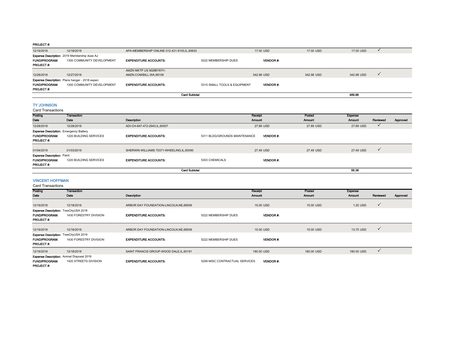#### PROJECT #:

| 12/19/2018                                | 12/18/2018                                                                          | APA-MEMBERSHIP ONLINE-312-431-9100.IL.90630 |                              | 17.00 USD       | 17,00 USD  | 17.00 USD  |  |
|-------------------------------------------|-------------------------------------------------------------------------------------|---------------------------------------------|------------------------------|-----------------|------------|------------|--|
|                                           | Expense Description: 2019 Membership dues AJ                                        |                                             |                              |                 |            |            |  |
| <b>FUND/PROGRAM:</b><br><b>PROJECT #:</b> | 1300 COMMUNITY DEVELOPMENT                                                          | <b>EXPENDITURE ACCOUNTS:</b>                | 5222 MEMBERSHIP DUES         | <b>VENDOR</b> # |            |            |  |
|                                           |                                                                                     | AMZN MKTP US M26BY87I1-                     |                              |                 |            |            |  |
| 12/28/2018                                | 12/27/2018                                                                          | AMZN.COM/BILL, WA, 98109                    |                              | 342.98 USD      | 342.98 USD | 342.98 USD |  |
| <b>FUND/PROGRAM:</b><br><b>PROJECT#:</b>  | <b>Expense Description:</b> Plans hangar - 2018 expen<br>1300 COMMUNITY DEVELOPMENT | <b>EXPENDITURE ACCOUNTS:</b>                | 5315 SMALL TOOLS & EQUIPMENT | <b>VENDOR#:</b> |            |            |  |
|                                           |                                                                                     | <b>Card Subtotal</b>                        |                              |                 |            | 469.98     |  |

## TY JOHNSON

Card Transactions

| Posting                                       | <b>Transaction</b>     |                                          |                               | Receipt          | Posted        | Expense       |              |          |
|-----------------------------------------------|------------------------|------------------------------------------|-------------------------------|------------------|---------------|---------------|--------------|----------|
| Date                                          | Date                   | Description                              |                               | <b>Amount</b>    | <b>Amount</b> | <b>Amount</b> | Reviewed     | Approved |
| 12/28/2018                                    | 12/28/2018             | ADI-CH-847-472-2943,IL,60007             |                               | 27.89 USD        | 27.89 USD     | 27.89 USD     | $\checkmark$ |          |
| <b>Expense Description: Emergency Battery</b> |                        |                                          |                               |                  |               |               |              |          |
| <b>FUND/PROGRAM:</b>                          | 1220 BUILDING SERVICES | <b>EXPENDITURE ACCOUNTS:</b>             | 5311 BLDG/GROUNDS MAINTENANCE | <b>VENDOR #:</b> |               |               |              |          |
| <b>PROJECT#:</b>                              |                        |                                          |                               |                  |               |               |              |          |
|                                               |                        |                                          |                               |                  |               |               |              |          |
| 01/04/2019                                    | 01/03/2019             | SHERWIN WILLIAMS 70371-WHEELING.IL.60090 |                               | 27.49 USD        | 27.49 USD     | 27.49 USD     | $\checkmark$ |          |
| <b>Expense Description: Paint</b>             |                        |                                          |                               |                  |               |               |              |          |
| <b>FUND/PROGRAM:</b>                          | 1220 BUILDING SERVICES | <b>EXPENDITURE ACCOUNTS:</b>             | 5303 CHEMICALS                | <b>VENDOR#:</b>  |               |               |              |          |
| <b>PROJECT#:</b>                              |                        |                                          |                               |                  |               |               |              |          |
|                                               |                        | <b>Card Subtotal</b>                     |                               |                  |               | 55.38         |              |          |

# VINCENT HOFFMAN

| Posting                                      | Transaction                                      |                                          |                                | Receipt         | Posted     | <b>Expense</b> |              |          |
|----------------------------------------------|--------------------------------------------------|------------------------------------------|--------------------------------|-----------------|------------|----------------|--------------|----------|
|                                              |                                                  |                                          |                                |                 |            |                |              |          |
| Date                                         | Date                                             | Description                              |                                | <b>Amount</b>   | Amount     | <b>Amount</b>  | Reviewed     | Approved |
|                                              |                                                  |                                          |                                |                 |            |                |              |          |
| 12/19/2018                                   | 12/18/2018                                       | ARBOR DAY FOUNDATION-LINCOLN, NE, 68508  |                                | 15.00 USD       | 15.00 USD  | 1.25 USD       | $\checkmark$ |          |
| <b>Expense Description: TreeCityUSA 2018</b> |                                                  |                                          |                                |                 |            |                |              |          |
| <b>FUND/PROGRAM:</b>                         | 1430 FORESTRY DIVISION                           | <b>EXPENDITURE ACCOUNTS:</b>             | 5222 MEMBERSHIP DUES           | <b>VENDOR#:</b> |            |                |              |          |
| <b>PROJECT#:</b>                             |                                                  |                                          |                                |                 |            |                |              |          |
|                                              |                                                  |                                          |                                |                 |            |                |              |          |
| 12/19/2018                                   | 12/18/2018                                       | ARBOR DAY FOUNDATION-LINCOLN, NE, 68508  |                                | 15.00 USD       | 15.00 USD  | 13.75 USD      | $\checkmark$ |          |
| Expense Description: TreeCityUSA 2019        |                                                  |                                          |                                |                 |            |                |              |          |
| <b>FUND/PROGRAM:</b>                         | 1430 FORESTRY DIVISION                           | <b>EXPENDITURE ACCOUNTS:</b>             | 5222 MEMBERSHIP DUES           | <b>VENDOR#:</b> |            |                |              |          |
| <b>PROJECT#:</b>                             |                                                  |                                          |                                |                 |            |                |              |          |
| 12/19/2018                                   | 12/18/2018                                       | SAINT FRANCIS GROUP-WOOD DALE, IL, 60191 |                                | 180.00 USD      | 180,00 USD | 180.00 USD     | $\checkmark$ |          |
|                                              | <b>Expense Description:</b> Animal Disposal 2018 |                                          |                                |                 |            |                |              |          |
| <b>FUND/PROGRAM:</b>                         | 1420 STREETS DIVISION                            | <b>EXPENDITURE ACCOUNTS:</b>             | 5299 MISC CONTRACTUAL SERVICES | <b>VENDOR#:</b> |            |                |              |          |
| <b>PROJECT#:</b>                             |                                                  |                                          |                                |                 |            |                |              |          |
|                                              |                                                  |                                          |                                |                 |            |                |              |          |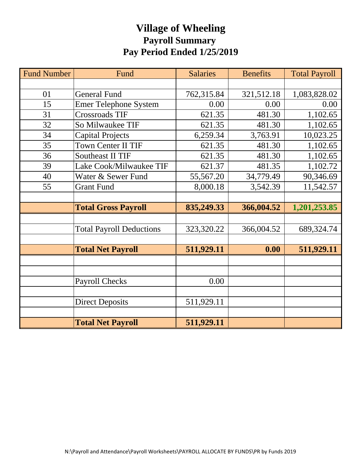# **Village of Wheeling Payroll Summary Pay Period Ended 1/25/2019**

| <b>Fund Number</b> | Fund                            | <b>Salaries</b> | <b>Benefits</b> | <b>Total Payroll</b> |
|--------------------|---------------------------------|-----------------|-----------------|----------------------|
|                    |                                 |                 |                 |                      |
| 01                 | <b>General Fund</b>             | 762,315.84      | 321,512.18      | 1,083,828.02         |
| 15                 | <b>Emer Telephone System</b>    | 0.00            | 0.00            | 0.00                 |
| 31                 | <b>Crossroads TIF</b>           | 621.35          | 481.30          | 1,102.65             |
| 32                 | So Milwaukee TIF                | 621.35          | 481.30          | 1,102.65             |
| 34                 | <b>Capital Projects</b>         | 6,259.34        | 3,763.91        | 10,023.25            |
| 35                 | <b>Town Center II TIF</b>       | 621.35          | 481.30          | 1,102.65             |
| 36                 | <b>Southeast II TIF</b>         | 621.35          | 481.30          | 1,102.65             |
| 39                 | Lake Cook/Milwaukee TIF         | 621.37          | 481.35          | 1,102.72             |
| 40                 | Water & Sewer Fund              | 55,567.20       | 34,779.49       | 90,346.69            |
| 55                 | <b>Grant Fund</b>               | 8,000.18        | 3,542.39        | 11,542.57            |
|                    |                                 |                 |                 |                      |
|                    | <b>Total Gross Payroll</b>      | 835,249.33      | 366,004.52      | 1,201,253.85         |
|                    |                                 |                 |                 |                      |
|                    | <b>Total Payroll Deductions</b> | 323,320.22      | 366,004.52      | 689,324.74           |
|                    |                                 |                 |                 |                      |
|                    | <b>Total Net Payroll</b>        | 511,929.11      | 0.00            | 511,929.11           |
|                    |                                 |                 |                 |                      |
|                    |                                 |                 |                 |                      |
|                    | <b>Payroll Checks</b>           | 0.00            |                 |                      |
|                    |                                 |                 |                 |                      |
|                    | <b>Direct Deposits</b>          | 511,929.11      |                 |                      |
|                    |                                 |                 |                 |                      |
|                    | <b>Total Net Payroll</b>        | 511,929.11      |                 |                      |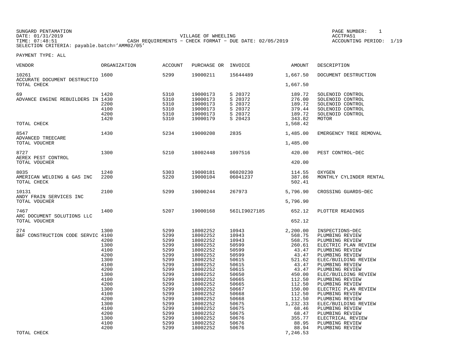| SUNGARD PENTAMATION                          |                                                           |                     | PAGE NUMBER:            |  |
|----------------------------------------------|-----------------------------------------------------------|---------------------|-------------------------|--|
| DATE: 01/31/2019                             |                                                           | VILLAGE OF WHEELING | ACCTPA51                |  |
| TIME: 07:48:51                               | CASH REOUIREMENTS - CHECK FORMAT - DUE DATE: $02/05/2019$ |                     | ACCOUNTING PERIOD: 1/19 |  |
| SELECTION CRITERIA: payable.batch='AMM02/05' |                                                           |                     |                         |  |

| VENDOR                                              | ORGANIZATION                                                                                                                                         | <b>ACCOUNT</b>                                                                                                                                               | PURCHASE OR INVOICE                                                                                                                                                                                                                          |                                                                                                                                                                                  | AMOUNT                                                                                                                                                                                            | DESCRIPTION                                                                                                                                                                                                                                                                                                                                                                                                         |
|-----------------------------------------------------|------------------------------------------------------------------------------------------------------------------------------------------------------|--------------------------------------------------------------------------------------------------------------------------------------------------------------|----------------------------------------------------------------------------------------------------------------------------------------------------------------------------------------------------------------------------------------------|----------------------------------------------------------------------------------------------------------------------------------------------------------------------------------|---------------------------------------------------------------------------------------------------------------------------------------------------------------------------------------------------|---------------------------------------------------------------------------------------------------------------------------------------------------------------------------------------------------------------------------------------------------------------------------------------------------------------------------------------------------------------------------------------------------------------------|
| 10261<br>ACCURATE DOCUMENT DESTRUCTIO               | 1600                                                                                                                                                 | 5299                                                                                                                                                         | 19000211                                                                                                                                                                                                                                     | 15644489                                                                                                                                                                         | 1,667.50                                                                                                                                                                                          | DOCUMENT DESTRUCTION                                                                                                                                                                                                                                                                                                                                                                                                |
| TOTAL CHECK                                         |                                                                                                                                                      |                                                                                                                                                              |                                                                                                                                                                                                                                              |                                                                                                                                                                                  | 1,667.50                                                                                                                                                                                          |                                                                                                                                                                                                                                                                                                                                                                                                                     |
| 69<br>ADVANCE ENGINE REBUILDERS IN 1430             | 1420<br>2200<br>4100<br>4200<br>1420                                                                                                                 | 5310<br>5310<br>5310<br>5310<br>5310<br>5310                                                                                                                 | 19000173<br>19000173<br>19000173<br>19000173<br>19000173<br>19000179                                                                                                                                                                         | S 20372<br>S 20372<br>S 20372<br>S 20372<br>S 20372<br>S 20423                                                                                                                   | 189.72<br>276.00<br>189.72<br>379.44<br>189.72<br>343.82                                                                                                                                          | SOLENOID CONTROL<br>SOLENOID CONTROL<br>SOLENOID CONTROL<br>SOLENOID CONTROL<br>SOLENOID CONTROL<br>MOTOR                                                                                                                                                                                                                                                                                                           |
| TOTAL CHECK                                         |                                                                                                                                                      |                                                                                                                                                              |                                                                                                                                                                                                                                              |                                                                                                                                                                                  | 1,568.42                                                                                                                                                                                          |                                                                                                                                                                                                                                                                                                                                                                                                                     |
| 8547<br>ADVANCED TREECARE                           | 1430                                                                                                                                                 | 5234                                                                                                                                                         | 19000208                                                                                                                                                                                                                                     | 2835                                                                                                                                                                             | 1,485.00                                                                                                                                                                                          | EMERGENCY TREE REMOVAL                                                                                                                                                                                                                                                                                                                                                                                              |
| TOTAL VOUCHER                                       |                                                                                                                                                      |                                                                                                                                                              |                                                                                                                                                                                                                                              |                                                                                                                                                                                  | 1,485.00                                                                                                                                                                                          |                                                                                                                                                                                                                                                                                                                                                                                                                     |
| 8727<br>AEREX PEST CONTROL                          | 1300                                                                                                                                                 | 5210                                                                                                                                                         | 18002448                                                                                                                                                                                                                                     | 1097516                                                                                                                                                                          | 420.00                                                                                                                                                                                            | PEST CONTROL-DEC                                                                                                                                                                                                                                                                                                                                                                                                    |
| TOTAL VOUCHER                                       |                                                                                                                                                      |                                                                                                                                                              |                                                                                                                                                                                                                                              |                                                                                                                                                                                  | 420.00                                                                                                                                                                                            |                                                                                                                                                                                                                                                                                                                                                                                                                     |
| 8035<br>AMERICAN WELDING & GAS INC<br>TOTAL CHECK   | 1240<br>2200                                                                                                                                         | 5303<br>5220                                                                                                                                                 | 19000181<br>19000104                                                                                                                                                                                                                         | 06020230<br>06041237                                                                                                                                                             | 114.55<br>387.86<br>502.41                                                                                                                                                                        | OXYGEN<br>MONTHLY CYLINDER RENTAL                                                                                                                                                                                                                                                                                                                                                                                   |
| 10131<br>ANDY FRAIN SERVICES INC<br>TOTAL VOUCHER   | 2100                                                                                                                                                 | 5299                                                                                                                                                         | 19000244                                                                                                                                                                                                                                     | 267973                                                                                                                                                                           | 5,796.90<br>5,796.90                                                                                                                                                                              | CROSSING GUARDS-DEC                                                                                                                                                                                                                                                                                                                                                                                                 |
|                                                     |                                                                                                                                                      |                                                                                                                                                              |                                                                                                                                                                                                                                              |                                                                                                                                                                                  |                                                                                                                                                                                                   |                                                                                                                                                                                                                                                                                                                                                                                                                     |
| 7467<br>ARC DOCUMENT SOLUTIONS LLC<br>TOTAL VOUCHER | 1400                                                                                                                                                 | 5207                                                                                                                                                         | 19000168                                                                                                                                                                                                                                     | 56ILI9027185                                                                                                                                                                     | 652.12<br>652.12                                                                                                                                                                                  | PLOTTER READINGS                                                                                                                                                                                                                                                                                                                                                                                                    |
|                                                     |                                                                                                                                                      |                                                                                                                                                              |                                                                                                                                                                                                                                              |                                                                                                                                                                                  |                                                                                                                                                                                                   |                                                                                                                                                                                                                                                                                                                                                                                                                     |
| 274<br>B&F CONSTRUCTION CODE SERVIC 4100            | 1300<br>4200<br>1300<br>4100<br>4200<br>1300<br>4100<br>4200<br>1300<br>4100<br>4200<br>1300<br>4100<br>4200<br>1300<br>4100<br>4200<br>1300<br>4100 | 5299<br>5299<br>5299<br>5299<br>5299<br>5299<br>5299<br>5299<br>5299<br>5299<br>5299<br>5299<br>5299<br>5299<br>5299<br>5299<br>5299<br>5299<br>5299<br>5299 | 18002252<br>18002252<br>18002252<br>18002252<br>18002252<br>18002252<br>18002252<br>18002252<br>18002252<br>18002252<br>18002252<br>18002252<br>18002252<br>18002252<br>18002252<br>18002252<br>18002252<br>18002252<br>18002252<br>18002252 | 10943<br>10943<br>10943<br>50599<br>50599<br>50599<br>50615<br>50615<br>50615<br>50650<br>50665<br>50665<br>50667<br>50668<br>50668<br>50675<br>50675<br>50675<br>50676<br>50676 | 2,200.00<br>568.75<br>568.75<br>260.61<br>43.47<br>43.47<br>521.62<br>43.47<br>43.47<br>450.00<br>112.50<br>112.50<br>150.00<br>112.50<br>112.50<br>1,232.33<br>68.46<br>68.47<br>355.77<br>88.95 | INSPECTIONS-DEC<br>PLUMBING REVIEW<br>PLUMBING REVIEW<br>ELECTRIC PLAN REVIEW<br>PLUMBING REVIEW<br>PLUMBING REVIEW<br>ELEC/BUILDING REVIEW<br>PLUMBING REVIEW<br>PLUMBING REVIEW<br>ELEC/BUILDING REVIEW<br>PLUMBING REVIEW<br>PLUMBING REVIEW<br>ELECTRIC PLAN REVIEW<br>PLUMBING REVIEW<br>PLUMBING REVIEW<br>ELEC/BUILDING REVIEW<br>PLUMBING REVIEW<br>PLUMBING REVIEW<br>ELECTRICAL REVIEW<br>PLUMBING REVIEW |
| TOTAL CHECK                                         | 4200                                                                                                                                                 | 5299                                                                                                                                                         | 18002252                                                                                                                                                                                                                                     | 50676                                                                                                                                                                            | 88.94<br>7,246.53                                                                                                                                                                                 | PLUMBING REVIEW                                                                                                                                                                                                                                                                                                                                                                                                     |
|                                                     |                                                                                                                                                      |                                                                                                                                                              |                                                                                                                                                                                                                                              |                                                                                                                                                                                  |                                                                                                                                                                                                   |                                                                                                                                                                                                                                                                                                                                                                                                                     |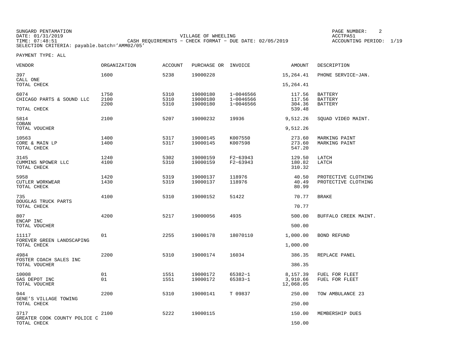SUNGARD PENTAMATION SUNGARD PENTAMATION SUNG PAGE NUMBER: 2 DATE: 01/31/2019 VILLAGE OF WHEELING ACCTPA51TIMES OF MILLETIME CASH REQUIREMENTS - CHECK FORMAT - DUE DATE: 02/05/2019 SELECTION CRITERIA: payable.batch='AMM02/05'

ACCOUNTING PERIOD: 1/19

| VENDOR                                   | <b>ORGANIZATION</b> | <b>ACCOUNT</b> | PURCHASE OR INVOICE  |                        | AMOUNT                | DESCRIPTION                                |
|------------------------------------------|---------------------|----------------|----------------------|------------------------|-----------------------|--------------------------------------------|
| 397<br>CALL ONE                          | 1600                | 5238           | 19000228             |                        | 15,264.41             | PHONE SERVICE-JAN.                         |
| TOTAL CHECK                              |                     |                |                      |                        | 15,264.41             |                                            |
| 6074                                     | 1750                | 5310           | 19000180             | 1-0046566              | 117.56                | <b>BATTERY</b>                             |
| CHICAGO PARTS & SOUND LLC                | 2100<br>2200        | 5310<br>5310   | 19000180<br>19000180 | 1-0046566<br>1-0046566 | 117.56<br>304.36      | <b>BATTERY</b><br><b>BATTERY</b>           |
| TOTAL CHECK                              |                     |                |                      |                        | 539.48                |                                            |
| 5814<br>COBAN                            | 2100                | 5207           | 19000232             | 19936                  | 9,512.26              | SOUAD VIDEO MAINT.                         |
| TOTAL VOUCHER                            |                     |                |                      |                        | 9,512.26              |                                            |
| 10563                                    | 1400                | 5317           | 19000145             | K007550                | 273.60                | MARKING PAINT                              |
| CORE & MAIN LP<br>TOTAL CHECK            | 1400                | 5317           | 19000145             | K007598                | 273.60<br>547.20      | MARKING PAINT                              |
| 3145                                     | 1240                | 5302           | 19000159             | $F2 - 63943$           | 129.50                | LATCH                                      |
| CUMMINS NPOWER LLC<br>TOTAL CHECK        | 4100                | 5310           | 19000159             | $F2 - 63943$           | 180.82<br>310.32      | LATCH                                      |
|                                          |                     |                |                      |                        |                       |                                            |
| 5958<br>CUTLER WORKWEAR                  | 1420<br>1430        | 5319<br>5319   | 19000137<br>19000137 | 118976<br>118976       | 40.50<br>40.49        | PROTECTIVE CLOTHING<br>PROTECTIVE CLOTHING |
| TOTAL CHECK                              |                     |                |                      |                        | 80.99                 |                                            |
| 735<br>DOUGLAS TRUCK PARTS               | 4100                | 5310           | 19000152             | 51422                  | 70.77                 | <b>BRAKE</b>                               |
| TOTAL CHECK                              |                     |                |                      |                        | 70.77                 |                                            |
| 807<br>ENCAP INC                         | 4200                | 5217           | 19000056             | 4935                   | 500.00                | BUFFALO CREEK MAINT.                       |
| TOTAL VOUCHER                            |                     |                |                      |                        | 500.00                |                                            |
| 11117                                    | 01                  | 2255           | 19000178             | 18070110               | 1,000.00              | <b>BOND REFUND</b>                         |
| FOREVER GREEN LANDSCAPING<br>TOTAL CHECK |                     |                |                      |                        | 1,000.00              |                                            |
| 4984                                     | 2200                | 5310           | 19000174             | 16034                  | 386.35                | REPLACE PANEL                              |
| FOSTER COACH SALES INC<br>TOTAL VOUCHER  |                     |                |                      |                        | 386.35                |                                            |
| 10008                                    | 01                  | 1551           | 19000172             | 65382-1                | 8,157.39              | FUEL FOR FLEET                             |
| GAS DEPOT INC<br>TOTAL VOUCHER           | 01                  | 1551           | 19000172             | 65383-1                | 3,910.66<br>12,068.05 | FUEL FOR FLEET                             |
| 944                                      | 2200                | 5310           | 19000141             | T 09837                | 250.00                | TOW AMBULANCE 23                           |
| GENE'S VILLAGE TOWING<br>TOTAL CHECK     |                     |                |                      |                        | 250.00                |                                            |
| 3717                                     | 2100                | 5222           | 19000115             |                        | 150.00                | MEMBERSHIP DUES                            |
| GREATER COOK COUNTY POLICE C             |                     |                |                      |                        |                       |                                            |
| TOTAL CHECK                              |                     |                |                      |                        | 150.00                |                                            |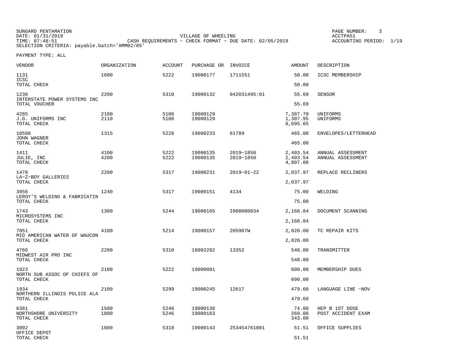| SUNGARD PENTAMATION                          |                                                         | PAGE NUMBER:            |  |
|----------------------------------------------|---------------------------------------------------------|-------------------------|--|
| DATE: 01/31/2019                             | VILLAGE OF WHEELING                                     | ACCTPA51                |  |
| TIME: 07:48:51                               | CASH REOUIREMENTS - CHECK FORMAT - DUE DATE: 02/05/2019 | ACCOUNTING PERIOD: 1/19 |  |
| SELECTION CRITERIA: payable.batch='AMM02/05' |                                                         |                         |  |

| VENDOR                                              | <b>ORGANIZATION</b> | <b>ACCOUNT</b> | PURCHASE OR INVOICE  |                        | <b>AMOUNT</b>                    | DESCRIPTION                            |
|-----------------------------------------------------|---------------------|----------------|----------------------|------------------------|----------------------------------|----------------------------------------|
| 1131<br>ICSC                                        | 1600                | 5222           | 19000177             | 1711551                | 50.00                            | ICSC MEMBERSHIP                        |
| TOTAL CHECK                                         |                     |                |                      |                        | 50.00                            |                                        |
| 1236<br>INTERSTATE POWER SYSTEMS INC                | 2200                | 5310           | 19000132             | 042031495:01           | 55.69                            | <b>SENSOR</b>                          |
| TOTAL VOUCHER                                       |                     |                |                      |                        | 55.69                            |                                        |
| 4285<br>J.G. UNIFORMS INC<br>TOTAL CHECK            | 2100<br>2110        | 5106<br>5106   | 19000129<br>19000129 |                        | 7,387.70<br>1,307.95<br>8,695.65 | UNIFORMS<br>UNIFORMS                   |
| 10598<br>JOHN WAGNER                                | 1315                | 5228           | 19000233             | 61789                  | 465.00                           | ENVELOPES/LETTERHEAD                   |
| TOTAL CHECK                                         |                     |                |                      |                        | 465.00                           |                                        |
| 1411<br>JULIE, INC<br>TOTAL CHECK                   | 4100<br>4200        | 5222<br>5222   | 19000135<br>19000135 | 2019-1850<br>2019-1850 | 2,403.54<br>2,403.54<br>4,807.08 | ANNUAL ASSESSMENT<br>ANNUAL ASSESSMENT |
| 1478                                                | 2200                | 5317           | 19000231             | $2019 - 01 - 22$       | 2,037.97                         | REPLACE RECLINERS                      |
| LA-Z-BOY GALLERIES<br>TOTAL CHECK                   |                     |                |                      |                        | 2,037.97                         |                                        |
| 3956<br>LEROY'S WELDING & FABRICATIN<br>TOTAL CHECK | 1240                | 5317           | 19000151             | 4134                   | 75.00<br>75.00                   | WELDING                                |
| 1743                                                | 1300                | 5244           | 19000165             | I000080034             | 2,166.84                         | DOCUMENT SCANNING                      |
| MICROSYSTEMS INC<br>TOTAL CHECK                     |                     |                |                      |                        | 2,166.84                         |                                        |
| 7051                                                | 4100                | 5214           | 19000157             | 205907W                | 2,820.00                         | TC REPAIR KITS                         |
| MID AMERICAN WATER OF WAUCON<br>TOTAL CHECK         |                     |                |                      |                        | 2,820.00                         |                                        |
| 4766                                                | 2200                | 5310           | 18002282             | 13352                  | 548.00                           | TRANSMITTER                            |
| MIDWEST AIR PRO INC<br>TOTAL CHECK                  |                     |                |                      |                        | 548.00                           |                                        |
| 1923                                                | 2100                | 5222           | 19000081             |                        | 600.00                           | MEMBERSHIP DUES                        |
| NORTH SUB ASSOC OF CHIEFS OF<br>TOTAL CHECK         |                     |                |                      |                        | 600.00                           |                                        |
| 1934                                                | 2100                | 5299           | 19000245             | 12617                  | 479.60                           | LANGUAGE LINE -NOV                     |
| NORTHERN ILLINOIS POLICE ALA<br>TOTAL CHECK         |                     |                |                      |                        | 479.60                           |                                        |
| 6361<br>NORTHSHORE UNIVERSITY<br>TOTAL CHECK        | 1500<br>1800        | 5246<br>5246   | 19000138<br>19000163 |                        | 74.00<br>269.00<br>343.00        | HEP B 1ST DOSE<br>POST ACCIDENT EXAM   |
| 3092<br>OFFICE DEPOT                                | 1600                | 5318           | 19000143             | 253454761001           | 51.51                            | OFFICE SUPPLIES                        |
| TOTAL CHECK                                         |                     |                |                      |                        | 51.51                            |                                        |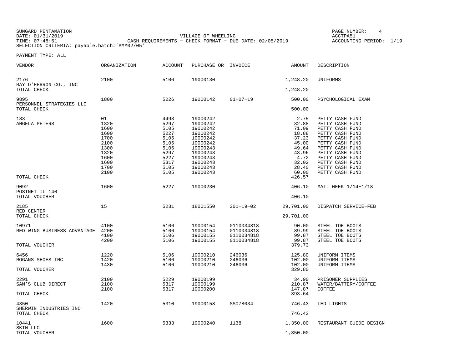SUNGARD PENTAMATION PAGE NUMBER: 4DATE: 01/31/2019 VILLAGE OF WHEELING ACCTPA51

CASH REQUIREMENTS - CHECK FORMAT - DUE DATE: 02/05/2019 SELECTION CRITERIA: payable.batch='AMM02/05'

ACCOUNTING PERIOD: 1/19

| VENDOR                                                | ORGANIZATION                                                                               | <b>ACCOUNT</b>                                                                               | PURCHASE OR INVOICE                                                                                                                          |                                                      | AMOUNT                                                                                                           | DESCRIPTION                                                                                                                                                                                                                      |
|-------------------------------------------------------|--------------------------------------------------------------------------------------------|----------------------------------------------------------------------------------------------|----------------------------------------------------------------------------------------------------------------------------------------------|------------------------------------------------------|------------------------------------------------------------------------------------------------------------------|----------------------------------------------------------------------------------------------------------------------------------------------------------------------------------------------------------------------------------|
| 2176<br>RAY O'HERRON CO., INC<br>TOTAL CHECK          | 2100                                                                                       | 5106                                                                                         | 19000130                                                                                                                                     |                                                      | 1,248.20<br>1,248.20                                                                                             | UNIFORMS                                                                                                                                                                                                                         |
|                                                       |                                                                                            |                                                                                              |                                                                                                                                              |                                                      |                                                                                                                  |                                                                                                                                                                                                                                  |
| 9895<br>PERSONNEL STRATEGIES LLC<br>TOTAL CHECK       | 1800                                                                                       | 5226                                                                                         | 19000142                                                                                                                                     | $01 - 07 - 19$                                       | 500.00<br>500.00                                                                                                 | PSYCHOLOGICAL EXAM                                                                                                                                                                                                               |
| 183<br>ANGELA PETERS<br>TOTAL CHECK                   | 01<br>1320<br>1600<br>1600<br>1700<br>2100<br>1300<br>1320<br>1600<br>1600<br>1700<br>2100 | 4493<br>5297<br>5105<br>5227<br>5105<br>5105<br>5105<br>5297<br>5227<br>5317<br>5105<br>5105 | 19000242<br>19000242<br>19000242<br>19000242<br>19000242<br>19000242<br>19000243<br>19000243<br>19000243<br>19000243<br>19000243<br>19000243 |                                                      | 2.75<br>32.88<br>71.09<br>18.88<br>37.23<br>45.00<br>49.64<br>43.96<br>4.72<br>32.02<br>28.40<br>60.00<br>426.57 | PETTY CASH FUND<br>PETTY CASH FUND<br>PETTY CASH FUND<br>PETTY CASH FUND<br>PETTY CASH FUND<br>PETTY CASH FUND<br>PETTY CASH FUND<br>PETTY CASH FUND<br>PETTY CASH FUND<br>PETTY CASH FUND<br>PETTY CASH FUND<br>PETTY CASH FUND |
| 9092<br>POSTNET IL 140                                | 1600                                                                                       | 5227                                                                                         | 19000230                                                                                                                                     |                                                      | 406.10                                                                                                           | MAIL WEEK 1/14-1/18                                                                                                                                                                                                              |
| TOTAL VOUCHER                                         |                                                                                            |                                                                                              |                                                                                                                                              |                                                      | 406.10                                                                                                           |                                                                                                                                                                                                                                  |
| 2185<br>RED CENTER<br>TOTAL CHECK                     | 15                                                                                         | 5231                                                                                         | 18001550                                                                                                                                     | $301 - 19 - 02$                                      | 29,701.00<br>29,701.00                                                                                           | DISPATCH SERVICE-FEB                                                                                                                                                                                                             |
|                                                       |                                                                                            |                                                                                              |                                                                                                                                              |                                                      |                                                                                                                  |                                                                                                                                                                                                                                  |
| 10971<br>RED WING BUSINESS ADVANTAGE<br>TOTAL VOUCHER | 4100<br>4200<br>4100<br>4200                                                               | 5106<br>5106<br>5106<br>5106                                                                 | 19000154<br>19000154<br>19000155<br>19000155                                                                                                 | 0110034818<br>0110034818<br>0110034818<br>0110034818 | 90.00<br>89.99<br>99.87<br>99.87<br>379.73                                                                       | STEEL TOE BOOTS<br>STEEL TOE BOOTS<br>STEEL TOE BOOTS<br>STEEL TOE BOOTS                                                                                                                                                         |
| 6456<br>ROGANS SHOES INC<br>TOTAL VOUCHER             | 1220<br>1420<br>1430                                                                       | 5106<br>5106<br>5106                                                                         | 19000210<br>19000210<br>19000210                                                                                                             | 246036<br>246036<br>246036                           | 125.80<br>102.00<br>102.00<br>329.80                                                                             | UNIFORM ITEMS<br>UNIFORM ITEMS<br>UNIFORM ITEMS                                                                                                                                                                                  |
| 2291<br>SAM'S CLUB DIRECT<br>TOTAL CHECK              | 2100<br>2100<br>2100                                                                       | 5229<br>5317<br>5317                                                                         | 19000199<br>19000199<br>19000200                                                                                                             |                                                      | 34.90<br>210.87<br>147.87<br>393.64                                                                              | PRISONER SUPPLIES<br>WATER/BATTERY/COFFEE<br>COFFEE                                                                                                                                                                              |
| 4350<br>SHERWIN INDUSTRIES INC                        | 1420                                                                                       | 5310                                                                                         | 19000158                                                                                                                                     | SS078034                                             | 746.43                                                                                                           | LED LIGHTS                                                                                                                                                                                                                       |
| TOTAL CHECK                                           |                                                                                            |                                                                                              |                                                                                                                                              |                                                      | 746.43                                                                                                           |                                                                                                                                                                                                                                  |
| 10441<br>SKIN LLC<br>TOTAL VOUCHER                    | 1600                                                                                       | 5333                                                                                         | 19000240                                                                                                                                     | 1138                                                 | 1,350.00<br>1,350.00                                                                                             | RESTAURANT GUIDE DESIGN                                                                                                                                                                                                          |